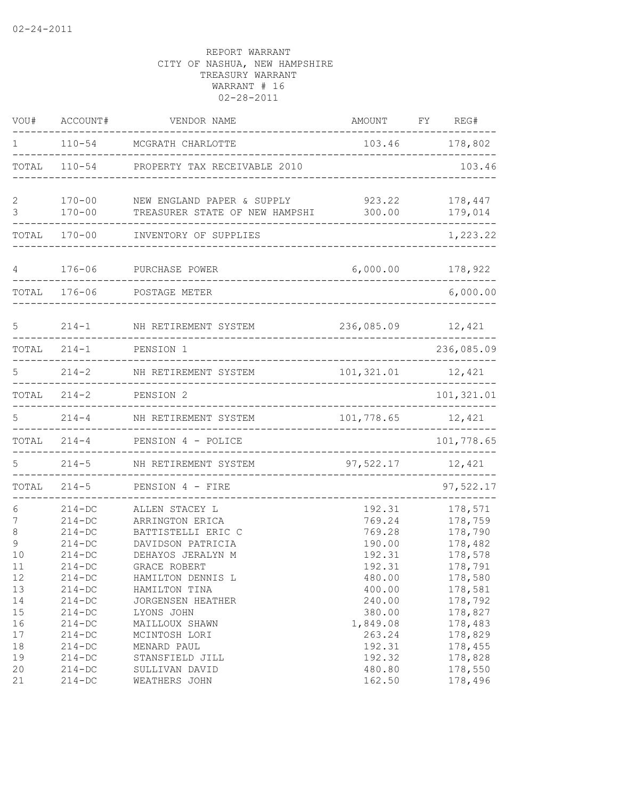| VOU#              | ACCOUNT#                                     | VENDOR NAME                                                                     | AMOUNT                               | REG#<br>FY                               |
|-------------------|----------------------------------------------|---------------------------------------------------------------------------------|--------------------------------------|------------------------------------------|
| 1                 | $110 - 54$                                   | MCGRATH CHARLOTTE                                                               | 103.46                               | 178,802                                  |
| TOTAL             | $110 - 54$                                   | PROPERTY TAX RECEIVABLE 2010                                                    |                                      | 103.46                                   |
| 2<br>3            | $170 - 00$<br>$170 - 00$                     | NEW ENGLAND PAPER & SUPPLY<br>TREASURER STATE OF NEW HAMPSHI                    | 923.22<br>300.00                     | 178,447<br>179,014                       |
| TOTAL             | $170 - 00$                                   | INVENTORY OF SUPPLIES                                                           |                                      | 1,223.22                                 |
|                   |                                              |                                                                                 |                                      |                                          |
| 4                 | $176 - 06$                                   | PURCHASE POWER                                                                  | 6,000.00                             | 178,922                                  |
| TOTAL             | $176 - 06$                                   | POSTAGE METER                                                                   |                                      | 6,000.00                                 |
| 5                 | $214 - 1$                                    | NH RETIREMENT SYSTEM                                                            | 236,085.09                           | 12,421                                   |
| TOTAL             | $214 - 1$                                    | PENSION 1                                                                       |                                      | 236,085.09                               |
| 5                 | $214 - 2$                                    | NH RETIREMENT SYSTEM                                                            | 101,321.01                           | 12,421                                   |
| TOTAL             | $214 - 2$                                    | PENSION <sub>2</sub>                                                            |                                      | 101,321.01                               |
| 5                 | $214 - 4$                                    | NH RETIREMENT SYSTEM                                                            | 101,778.65                           | 12,421                                   |
| TOTAL             | $214 - 4$                                    | PENSION 4 - POLICE                                                              |                                      | 101,778.65                               |
|                   | $214 - 5$                                    | NH RETIREMENT SYSTEM                                                            | 97,522.17                            | 12,421                                   |
| TOTAL             | $214 - 5$                                    | PENSION 4 - FIRE                                                                |                                      | 97,522.17                                |
| 6                 | $214 - DC$                                   | ALLEN STACEY L                                                                  | 192.31                               | 178,571                                  |
| 7<br>8<br>9<br>10 | $214-DC$<br>$214-DC$<br>$214-DC$<br>$214-DC$ | ARRINGTON ERICA<br>BATTISTELLI ERIC C<br>DAVIDSON PATRICIA<br>DEHAYOS JERALYN M | 769.24<br>769.28<br>190.00<br>192.31 | 178,759<br>178,790<br>178,482<br>178,578 |
| 11<br>12          | $214 - DC$<br>$214 - DC$                     | GRACE ROBERT<br>HAMILTON DENNIS L                                               | 192.31<br>480.00                     | 178,791<br>178,580                       |
| 13<br>14<br>15    | $214 - DC$<br>$214 - DC$<br>$214 - DC$       | HAMILTON TINA<br>JORGENSEN HEATHER<br>LYONS JOHN                                | 400.00<br>240.00<br>380.00           | 178,581<br>178,792<br>178,827            |
| 16<br>17<br>18    | $214 - DC$<br>$214 - DC$<br>$214 - DC$       | MAILLOUX SHAWN<br>MCINTOSH LORI<br>MENARD PAUL                                  | 1,849.08<br>263.24<br>192.31         | 178,483<br>178,829<br>178,455            |
| 19<br>20<br>21    | $214 - DC$<br>$214 - DC$<br>$214-DC$         | STANSFIELD JILL<br>SULLIVAN DAVID<br>WEATHERS JOHN                              | 192.32<br>480.80<br>162.50           | 178,828<br>178,550<br>178,496            |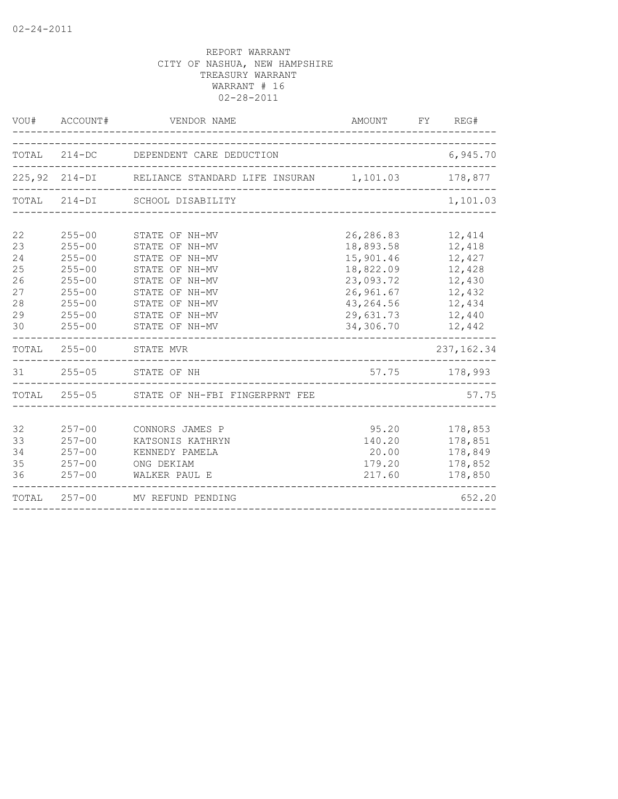|                                                    | VOU# ACCOUNT#                                                                                                              | VENDOR NAME                                                                                                                                                    | AMOUNT FY REG#                                                                                                    |                                                                                        |
|----------------------------------------------------|----------------------------------------------------------------------------------------------------------------------------|----------------------------------------------------------------------------------------------------------------------------------------------------------------|-------------------------------------------------------------------------------------------------------------------|----------------------------------------------------------------------------------------|
|                                                    |                                                                                                                            | TOTAL 214-DC DEPENDENT CARE DEDUCTION                                                                                                                          |                                                                                                                   | 6,945.70                                                                               |
|                                                    |                                                                                                                            | 225,92 214-DI RELIANCE STANDARD LIFE INSURAN 1,101.03 178,877                                                                                                  |                                                                                                                   |                                                                                        |
| TOTAL                                              |                                                                                                                            | 214-DI SCHOOL DISABILITY                                                                                                                                       |                                                                                                                   | 1,101.03                                                                               |
| 22<br>23<br>24<br>25<br>26<br>27<br>28<br>29<br>30 | $255 - 00$<br>$255 - 00$<br>$255 - 00$<br>$255 - 00$<br>$255 - 00$<br>$255 - 00$<br>$255 - 00$<br>$255 - 00$<br>$255 - 00$ | STATE OF NH-MV<br>STATE OF NH-MV<br>STATE OF NH-MV<br>STATE OF NH-MV<br>STATE OF NH-MV<br>STATE OF NH-MV<br>STATE OF NH-MV<br>STATE OF NH-MV<br>STATE OF NH-MV | 26,286.83<br>18,893.58<br>15,901.46<br>18,822.09<br>23,093.72<br>26,961.67<br>43,264.56<br>29,631.73<br>34,306.70 | 12,414<br>12,418<br>12,427<br>12,428<br>12,430<br>12,432<br>12,434<br>12,440<br>12,442 |
|                                                    |                                                                                                                            | TOTAL 255-00 STATE MVR                                                                                                                                         |                                                                                                                   | 237, 162.34                                                                            |
|                                                    |                                                                                                                            | 31  255-05  STATE OF NH<br>_________________________________                                                                                                   | 57.75 178,993                                                                                                     |                                                                                        |
|                                                    |                                                                                                                            | TOTAL 255-05 STATE OF NH-FBI FINGERPRNT FEE                                                                                                                    |                                                                                                                   | 57.75                                                                                  |
| 32<br>33<br>34<br>35<br>36                         | $257 - 00$<br>$257 - 00$<br>$257 - 00$<br>$257 - 00$<br>$257 - 00$                                                         | CONNORS JAMES P<br>KATSONIS KATHRYN<br>KENNEDY PAMELA<br>ONG DEKIAM<br>WALKER PAUL E                                                                           | 95.20<br>140.20<br>20.00<br>179.20<br>217.60                                                                      | 178,853<br>178,851<br>178,849<br>178,852<br>178,850                                    |
|                                                    |                                                                                                                            | TOTAL 257-00 MV REFUND PENDING                                                                                                                                 |                                                                                                                   | 652.20                                                                                 |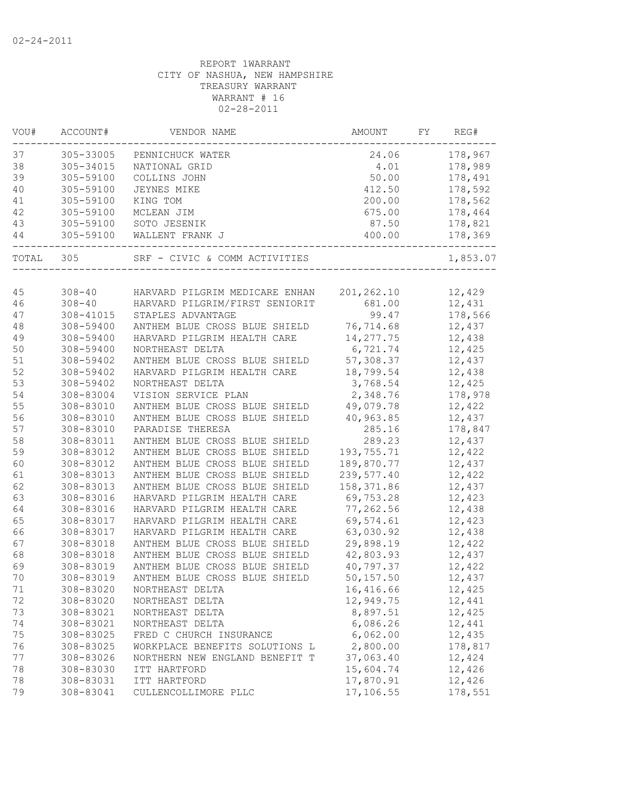| VOU#      | ACCOUNT#   | VENDOR NAME                           | AMOUNT     | FY | REG#     |
|-----------|------------|---------------------------------------|------------|----|----------|
| 37        | 305-33005  | PENNICHUCK WATER                      | 24.06      |    | 178,967  |
| 38        | 305-34015  | NATIONAL GRID                         | 4.01       |    | 178,989  |
| 39        | 305-59100  | COLLINS JOHN                          | 50.00      |    | 178,491  |
| 40        | 305-59100  | JEYNES MIKE                           | 412.50     |    | 178,592  |
| 41        | 305-59100  | KING TOM                              | 200.00     |    | 178,562  |
| 42        | 305-59100  | MCLEAN JIM                            | 675.00     |    | 178,464  |
| 43        | 305-59100  | SOTO JESENIK                          | 87.50      |    | 178,821  |
| 44        | 305-59100  | WALLENT FRANK J<br>-------            | 400.00     |    | 178,369  |
| TOTAL 305 |            | SRF - CIVIC & COMM ACTIVITIES         |            |    | 1,853.07 |
|           |            |                                       |            |    |          |
| 45        |            | 308-40 HARVARD PILGRIM MEDICARE ENHAN | 201,262.10 |    | 12,429   |
| 46        | $308 - 40$ | HARVARD PILGRIM/FIRST SENIORIT        | 681.00     |    | 12,431   |
| 47        | 308-41015  | STAPLES ADVANTAGE                     | 99.47      |    | 178,566  |
| 48        | 308-59400  | ANTHEM BLUE CROSS BLUE SHIELD         | 76,714.68  |    | 12,437   |
| 49        | 308-59400  | HARVARD PILGRIM HEALTH CARE           | 14, 277.75 |    | 12,438   |
| 50        | 308-59400  | NORTHEAST DELTA                       | 6,721.74   |    | 12,425   |
| 51        | 308-59402  | ANTHEM BLUE CROSS BLUE SHIELD         | 57,308.37  |    | 12,437   |
| 52        | 308-59402  | HARVARD PILGRIM HEALTH CARE           | 18,799.54  |    | 12,438   |
| 53        | 308-59402  | NORTHEAST DELTA                       | 3,768.54   |    | 12,425   |
| 54        | 308-83004  | VISION SERVICE PLAN                   | 2,348.76   |    | 178,978  |
| 55        | 308-83010  | ANTHEM BLUE CROSS BLUE SHIELD         | 49,079.78  |    | 12,422   |
| 56        | 308-83010  | ANTHEM BLUE CROSS BLUE SHIELD         | 40,963.85  |    | 12,437   |
| 57        | 308-83010  | PARADISE THERESA                      | 285.16     |    | 178,847  |
| 58        | 308-83011  | ANTHEM BLUE CROSS BLUE SHIELD         | 289.23     |    | 12,437   |
| 59        | 308-83012  | ANTHEM BLUE CROSS BLUE SHIELD         | 193,755.71 |    | 12,422   |
| 60        | 308-83012  | ANTHEM BLUE CROSS BLUE SHIELD         | 189,870.77 |    | 12,437   |
| 61        | 308-83013  | ANTHEM BLUE CROSS BLUE SHIELD         | 239,577.40 |    | 12,422   |
| 62        | 308-83013  | ANTHEM BLUE CROSS BLUE SHIELD         | 158,371.86 |    | 12,437   |
| 63        | 308-83016  | HARVARD PILGRIM HEALTH CARE           | 69,753.28  |    | 12,423   |
| 64        | 308-83016  | HARVARD PILGRIM HEALTH CARE           | 77,262.56  |    | 12,438   |
| 65        | 308-83017  | HARVARD PILGRIM HEALTH CARE           | 69,574.61  |    | 12,423   |
| 66        | 308-83017  | HARVARD PILGRIM HEALTH CARE           | 63,030.92  |    | 12,438   |
| 67        | 308-83018  | ANTHEM BLUE CROSS BLUE SHIELD         | 29,898.19  |    | 12,422   |
| 68        | 308-83018  | ANTHEM BLUE CROSS BLUE SHIELD         | 42,803.93  |    | 12,437   |
| 69        | 308-83019  | ANTHEM BLUE CROSS BLUE SHIELD         | 40,797.37  |    | 12,422   |
| 70        | 308-83019  | ANTHEM BLUE CROSS BLUE SHIELD         | 50, 157.50 |    | 12,437   |
| 71        | 308-83020  | NORTHEAST DELTA                       | 16,416.66  |    | 12,425   |
| 72        | 308-83020  | NORTHEAST DELTA                       | 12,949.75  |    | 12,441   |
| 73        | 308-83021  | NORTHEAST DELTA                       | 8,897.51   |    | 12,425   |
| 74        | 308-83021  | NORTHEAST DELTA                       | 6,086.26   |    | 12,441   |
| 75        | 308-83025  | FRED C CHURCH INSURANCE               | 6,062.00   |    | 12,435   |
| 76        | 308-83025  | WORKPLACE BENEFITS SOLUTIONS L        | 2,800.00   |    | 178,817  |
| 77        | 308-83026  | NORTHERN NEW ENGLAND BENEFIT T        | 37,063.40  |    | 12,424   |
| 78        | 308-83030  | ITT HARTFORD                          | 15,604.74  |    | 12,426   |
| 78        | 308-83031  | ITT HARTFORD                          | 17,870.91  |    | 12,426   |
| 79        | 308-83041  | CULLENCOLLIMORE PLLC                  | 17,106.55  |    | 178,551  |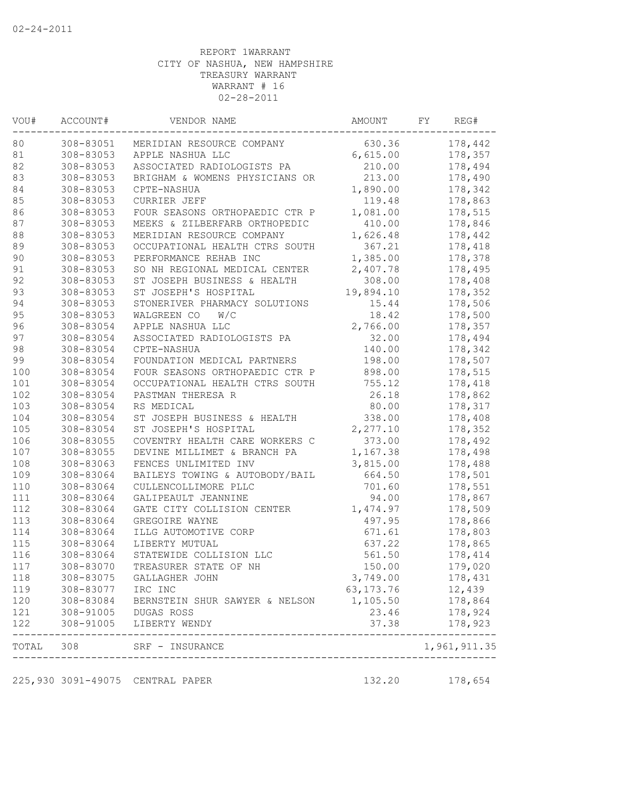| VOU#      | ACCOUNT#          | VENDOR NAME                                               | AMOUNT      | FY | REG#         |
|-----------|-------------------|-----------------------------------------------------------|-------------|----|--------------|
| 80        | 308-83051         | MERIDIAN RESOURCE COMPANY                                 | 630.36      |    | 178,442      |
| 81        | 308-83053         | APPLE NASHUA LLC                                          | 6,615.00    |    | 178,357      |
| 82        | 308-83053         | ASSOCIATED RADIOLOGISTS PA                                | 210.00      |    | 178,494      |
| 83        | 308-83053         | BRIGHAM & WOMENS PHYSICIANS OR                            | 213.00      |    | 178,490      |
| 84        | 308-83053         | CPTE-NASHUA                                               | 1,890.00    |    | 178,342      |
| 85        | 308-83053         | CURRIER JEFF                                              | 119.48      |    | 178,863      |
| 86        | 308-83053         | FOUR SEASONS ORTHOPAEDIC CTR P                            | 1,081.00    |    | 178,515      |
| 87        | 308-83053         | MEEKS & ZILBERFARB ORTHOPEDIC                             | 410.00      |    | 178,846      |
| 88        | 308-83053         | MERIDIAN RESOURCE COMPANY                                 | 1,626.48    |    | 178,442      |
| 89        | 308-83053         | OCCUPATIONAL HEALTH CTRS SOUTH                            | 367.21      |    | 178,418      |
| 90        | 308-83053         | PERFORMANCE REHAB INC                                     | 1,385.00    |    | 178,378      |
| 91        | 308-83053         | SO NH REGIONAL MEDICAL CENTER                             | 2,407.78    |    | 178,495      |
| 92        | 308-83053         | ST JOSEPH BUSINESS & HEALTH                               | 308.00      |    | 178,408      |
| 93        | 308-83053         | ST JOSEPH'S HOSPITAL                                      | 19,894.10   |    | 178,352      |
| 94        | 308-83053         | STONERIVER PHARMACY SOLUTIONS                             | 15.44       |    | 178,506      |
| 95        | 308-83053         | WALGREEN CO<br>W/C                                        | 18.42       |    | 178,500      |
| 96        | 308-83054         | APPLE NASHUA LLC                                          | 2,766.00    |    | 178,357      |
| 97        | 308-83054         | ASSOCIATED RADIOLOGISTS PA                                | 32.00       |    | 178,494      |
| 98        | 308-83054         | CPTE-NASHUA                                               | 140.00      |    | 178,342      |
| 99        | 308-83054         | FOUNDATION MEDICAL PARTNERS                               | 198.00      |    | 178,507      |
| 100       | 308-83054         | FOUR SEASONS ORTHOPAEDIC CTR P                            | 898.00      |    | 178,515      |
| 101       | 308-83054         | OCCUPATIONAL HEALTH CTRS SOUTH                            | 755.12      |    | 178,418      |
| 102       | 308-83054         | PASTMAN THERESA R                                         | 26.18       |    | 178,862      |
| 103       | 308-83054         | RS MEDICAL                                                | 80.00       |    | 178,317      |
| 104       | 308-83054         | ST JOSEPH BUSINESS & HEALTH                               | 338.00      |    | 178,408      |
| 105       | 308-83054         | ST JOSEPH'S HOSPITAL                                      | 2,277.10    |    | 178,352      |
| 106       | 308-83055         | COVENTRY HEALTH CARE WORKERS C                            | 373.00      |    | 178,492      |
| 107       | 308-83055         | DEVINE MILLIMET & BRANCH PA                               | 1,167.38    |    | 178,498      |
| 108       | 308-83063         | FENCES UNLIMITED INV                                      | 3,815.00    |    | 178,488      |
| 109       | 308-83064         | BAILEYS TOWING & AUTOBODY/BAIL                            | 664.50      |    | 178,501      |
| 110       | 308-83064         | CULLENCOLLIMORE PLLC                                      | 701.60      |    | 178,551      |
| 111       | 308-83064         | GALIPEAULT JEANNINE                                       | 94.00       |    | 178,867      |
| 112       | 308-83064         | GATE CITY COLLISION CENTER                                | 1,474.97    |    | 178,509      |
| 113       | 308-83064         | GREGOIRE WAYNE                                            | 497.95      |    | 178,866      |
| 114       | 308-83064         | ILLG AUTOMOTIVE CORP                                      | 671.61      |    | 178,803      |
| 115       | 308-83064         | LIBERTY MUTUAL                                            | 637.22      |    | 178,865      |
| 116       | 308-83064         | STATEWIDE COLLISION LLC                                   | 561.50      |    | 178,414      |
| 117       | 308-83070         | TREASURER STATE OF NH                                     | 150.00      |    | 179,020      |
| 118       |                   | 308-83075 GALLAGHER JOHN                                  | 3,749.00    |    | 178,431      |
| 119       | 308-83077 IRC INC |                                                           | 63, 173. 76 |    | 12,439       |
|           |                   | 120 308-83084 BERNSTEIN SHUR SAWYER & NELSON              | 1,105.50    |    | 178,864      |
| 121       |                   | 308-91005 DUGAS ROSS                                      | 23.46       |    | 178,924      |
| 122       |                   | 308-91005 LIBERTY WENDY<br>----------------------------   | 37.38       |    | 178,923      |
| TOTAL 308 |                   | SRF - INSURANCE<br>-------------------------------------- |             |    | 1,961,911.35 |
|           |                   | 225,930 3091-49075 CENTRAL PAPER                          | 132.20      |    | 178,654      |
|           |                   |                                                           |             |    |              |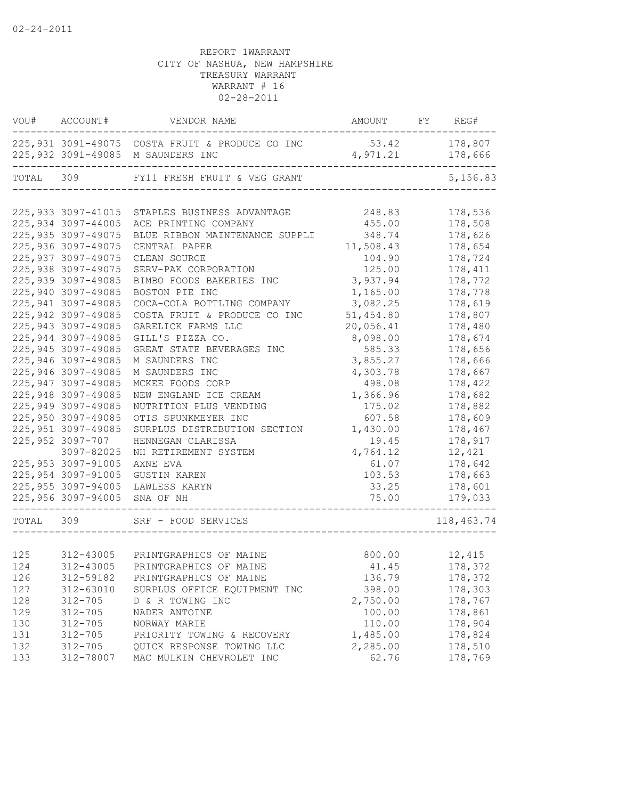|                                 | VOU# ACCOUNT#                                                                                                                       | VENDOR NAME                                                                                                                                                                                  | AMOUNT FY REG#                                                          |                                                                           |
|---------------------------------|-------------------------------------------------------------------------------------------------------------------------------------|----------------------------------------------------------------------------------------------------------------------------------------------------------------------------------------------|-------------------------------------------------------------------------|---------------------------------------------------------------------------|
|                                 |                                                                                                                                     | 225,931 3091-49075 COSTA FRUIT & PRODUCE CO INC<br>225,932 3091-49085 M SAUNDERS INC                                                                                                         | 53.42<br>4,971.21                                                       | 178,807<br>178,666<br>$- - - - - - -$                                     |
| TOTAL 309                       |                                                                                                                                     | FY11 FRESH FRUIT & VEG GRANT                                                                                                                                                                 |                                                                         | 5,156.83                                                                  |
|                                 | 225,934 3097-44005<br>225, 935 3097-49075<br>225,936 3097-49075<br>225, 937 3097-49075<br>225,938 3097-49075<br>225,939 3097-49085  | 225,933 3097-41015 STAPLES BUSINESS ADVANTAGE<br>ACE PRINTING COMPANY<br>BLUE RIBBON MAINTENANCE SUPPLI<br>CENTRAL PAPER<br>CLEAN SOURCE<br>SERV-PAK CORPORATION<br>BIMBO FOODS BAKERIES INC | 248.83<br>455.00<br>348.74<br>11,508.43<br>104.90<br>125.00<br>3,937.94 | 178,536<br>178,508<br>178,626<br>178,654<br>178,724<br>178,411<br>178,772 |
|                                 | 225,940 3097-49085<br>225, 941 3097-49085<br>225, 942 3097-49085<br>225,943 3097-49085<br>225,944 3097-49085<br>225, 945 3097-49085 | BOSTON PIE INC<br>COCA-COLA BOTTLING COMPANY<br>COSTA FRUIT & PRODUCE CO INC<br>GARELICK FARMS LLC<br>GILL'S PIZZA CO.<br>GREAT STATE BEVERAGES INC                                          | 1,165.00<br>3,082.25<br>51,454.80<br>20,056.41<br>8,098.00<br>585.33    | 178,778<br>178,619<br>178,807<br>178,480<br>178,674<br>178,656            |
|                                 | 225,946 3097-49085<br>225,946 3097-49085<br>225, 947 3097-49085<br>225,948 3097-49085<br>225,949 3097-49085<br>225,950 3097-49085   | M SAUNDERS INC<br>M SAUNDERS INC<br>MCKEE FOODS CORP<br>NEW ENGLAND ICE CREAM<br>NUTRITION PLUS VENDING                                                                                      | 3,855.27<br>4,303.78<br>498.08<br>1,366.96<br>175.02<br>607.58          | 178,666<br>178,667<br>178,422<br>178,682<br>178,882<br>178,609            |
|                                 | 225, 951 3097-49085<br>225,952 3097-707<br>3097-82025<br>225,953 3097-91005                                                         | OTIS SPUNKMEYER INC<br>SURPLUS DISTRIBUTION SECTION<br>HENNEGAN CLARISSA<br>NH RETIREMENT SYSTEM<br>AXNE EVA                                                                                 | 1,430.00<br>19.45<br>4,764.12<br>61.07                                  | 178,467<br>178,917<br>12,421<br>178,642                                   |
|                                 | 225, 954 3097-91005<br>225,955 3097-94005<br>225,956 3097-94005                                                                     | GUSTIN KAREN<br>LAWLESS KARYN<br>SNA OF NH                                                                                                                                                   | 103.53<br>33.25<br>75.00                                                | 178,663<br>178,601<br>179,033                                             |
| TOTAL 309                       |                                                                                                                                     | SRF - FOOD SERVICES                                                                                                                                                                          |                                                                         | 118,463.74                                                                |
| 125<br>124                      |                                                                                                                                     | 312-43005 PRINTGRAPHICS OF MAINE<br>312-43005 PRINTGRAPHICS OF MAINE                                                                                                                         | 800.00<br>41.45                                                         | 12,415<br>178,372                                                         |
| 126<br>127<br>128<br>129<br>130 | 312-59182<br>312-63010<br>$312 - 705$<br>$312 - 705$<br>$312 - 705$                                                                 | PRINTGRAPHICS OF MAINE<br>SURPLUS OFFICE EQUIPMENT INC<br>D & R TOWING INC<br>NADER ANTOINE<br>NORWAY MARIE                                                                                  | 136.79<br>398.00<br>2,750.00<br>100.00<br>110.00                        | 178,372<br>178,303<br>178,767<br>178,861<br>178,904                       |
| 131<br>132<br>133               | $312 - 705$<br>$312 - 705$<br>312-78007                                                                                             | PRIORITY TOWING & RECOVERY<br>QUICK RESPONSE TOWING LLC<br>MAC MULKIN CHEVROLET INC                                                                                                          | 1,485.00<br>2,285.00<br>62.76                                           | 178,824<br>178,510<br>178,769                                             |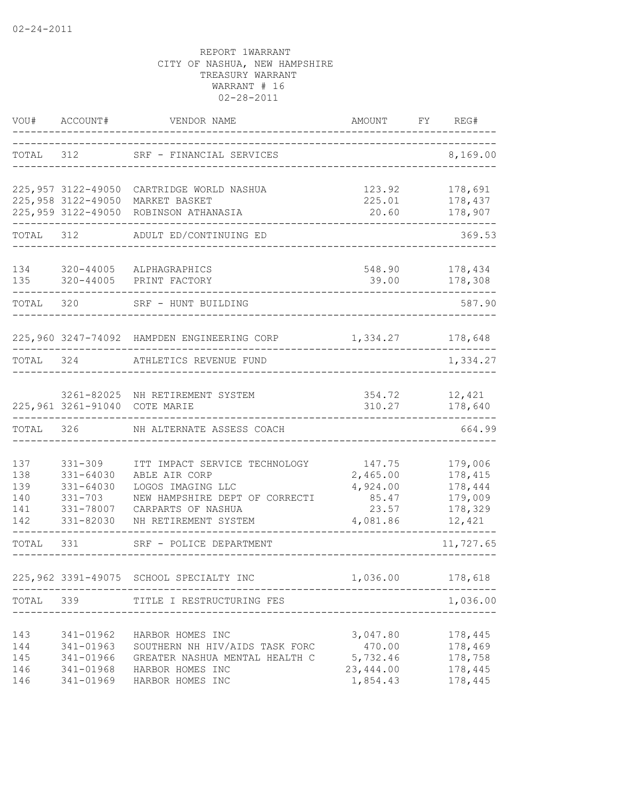| VOU#                                   | ACCOUNT#                                                                       | VENDOR NAME                                                                                                                                         | AMOUNT                                                       | FY | REG#                                                          |
|----------------------------------------|--------------------------------------------------------------------------------|-----------------------------------------------------------------------------------------------------------------------------------------------------|--------------------------------------------------------------|----|---------------------------------------------------------------|
| TOTAL                                  | 312                                                                            | SRF - FINANCIAL SERVICES                                                                                                                            |                                                              |    | 8,169.00                                                      |
|                                        | 225,957 3122-49050<br>225,958 3122-49050<br>225,959 3122-49050                 | CARTRIDGE WORLD NASHUA<br>MARKET BASKET<br>ROBINSON ATHANASIA                                                                                       | 123.92<br>225.01<br>20.60                                    |    | 178,691<br>178,437<br>178,907                                 |
| TOTAL                                  | 312                                                                            | ADULT ED/CONTINUING ED                                                                                                                              |                                                              |    | 369.53                                                        |
| 134<br>135                             | 320-44005<br>320-44005                                                         | ALPHAGRAPHICS<br>PRINT FACTORY                                                                                                                      | 548.90<br>39.00                                              |    | 178,434<br>178,308                                            |
| TOTAL 320                              |                                                                                | SRF - HUNT BUILDING                                                                                                                                 |                                                              |    | 587.90                                                        |
|                                        |                                                                                | 225,960 3247-74092 HAMPDEN ENGINEERING CORP                                                                                                         | 1,334.27 178,648                                             |    |                                                               |
| TOTAL 324                              |                                                                                | ATHLETICS REVENUE FUND                                                                                                                              |                                                              |    | 1,334.27                                                      |
|                                        | 3261-82025<br>225,961 3261-91040                                               | NH RETIREMENT SYSTEM<br>COTE MARIE                                                                                                                  | 354.72<br>310.27                                             |    | 12,421<br>178,640                                             |
| TOTAL                                  | 326                                                                            | NH ALTERNATE ASSESS COACH                                                                                                                           |                                                              |    | 664.99                                                        |
| 137<br>138<br>139<br>140<br>141<br>142 | $331 - 309$<br>331-64030<br>331-64030<br>$331 - 703$<br>331-78007<br>331-82030 | ITT IMPACT SERVICE TECHNOLOGY<br>ABLE AIR CORP<br>LOGOS IMAGING LLC<br>NEW HAMPSHIRE DEPT OF CORRECTI<br>CARPARTS OF NASHUA<br>NH RETIREMENT SYSTEM | 147.75<br>2,465.00<br>4,924.00<br>85.47<br>23.57<br>4,081.86 |    | 179,006<br>178,415<br>178,444<br>179,009<br>178,329<br>12,421 |
| TOTAL                                  | 331                                                                            | SRF - POLICE DEPARTMENT                                                                                                                             |                                                              |    | 11,727.65                                                     |
|                                        |                                                                                | 225,962 3391-49075 SCHOOL SPECIALTY INC                                                                                                             | 1,036.00                                                     |    | 178,618                                                       |
| TOTAL                                  | 339                                                                            | TITLE I RESTRUCTURING FES                                                                                                                           |                                                              |    | 1,036.00                                                      |
| 143<br>144<br>145<br>146<br>146        | 341-01962<br>341-01963<br>341-01966<br>341-01968<br>341-01969                  | HARBOR HOMES INC<br>SOUTHERN NH HIV/AIDS TASK FORC<br>GREATER NASHUA MENTAL HEALTH C<br>HARBOR HOMES INC<br>HARBOR HOMES INC                        | 3,047.80<br>470.00<br>5,732.46<br>23, 444.00<br>1,854.43     |    | 178,445<br>178,469<br>178,758<br>178,445<br>178,445           |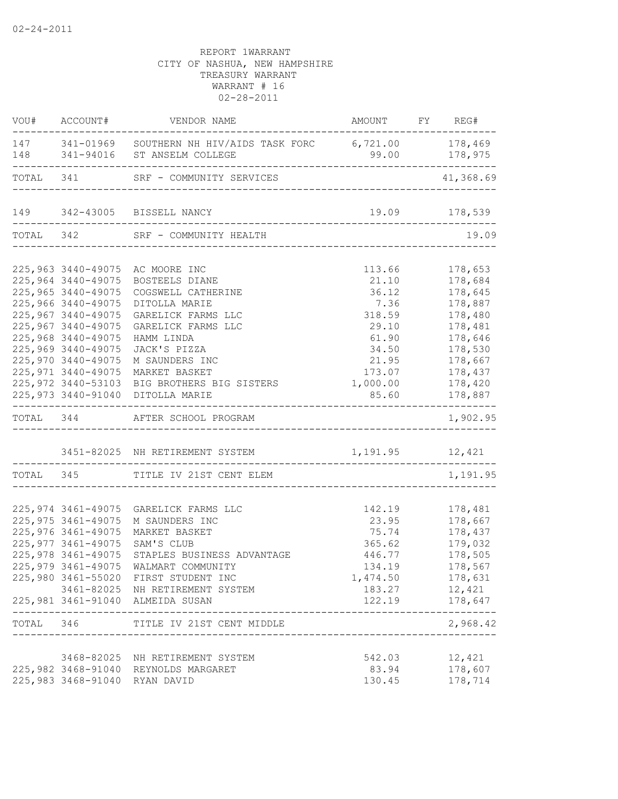|                                                                                                                                                                                                                                                           | VOU# ACCOUNT# VENDOR NAME                                                                                                                                                                                                                                                                                                                                           | AMOUNT FY REG#                                                                           | $- - -$                                                                                                                                            |
|-----------------------------------------------------------------------------------------------------------------------------------------------------------------------------------------------------------------------------------------------------------|---------------------------------------------------------------------------------------------------------------------------------------------------------------------------------------------------------------------------------------------------------------------------------------------------------------------------------------------------------------------|------------------------------------------------------------------------------------------|----------------------------------------------------------------------------------------------------------------------------------------------------|
|                                                                                                                                                                                                                                                           | 147 341-01969 SOUTHERN NH HIV/AIDS TASK FORC 6,721.00 178,469<br>148 341-94016 ST ANSELM COLLEGE                                                                                                                                                                                                                                                                    |                                                                                          |                                                                                                                                                    |
|                                                                                                                                                                                                                                                           | TOTAL 341 SRF - COMMUNITY SERVICES                                                                                                                                                                                                                                                                                                                                  |                                                                                          | 41,368.69                                                                                                                                          |
|                                                                                                                                                                                                                                                           | 149 342-43005 BISSELL NANCY                                                                                                                                                                                                                                                                                                                                         | 19.09 178,539                                                                            |                                                                                                                                                    |
|                                                                                                                                                                                                                                                           | TOTAL 342 SRF - COMMUNITY HEALTH                                                                                                                                                                                                                                                                                                                                    | -----------------------------                                                            | 19.09                                                                                                                                              |
|                                                                                                                                                                                                                                                           |                                                                                                                                                                                                                                                                                                                                                                     |                                                                                          |                                                                                                                                                    |
| 225,964 3440-49075<br>225,965 3440-49075<br>225,966 3440-49075<br>225,967 3440-49075<br>225,967 3440-49075<br>225,968 3440-49075<br>225,969 3440-49075<br>225,970 3440-49075<br>225, 971 3440-49075<br>225,972 3440-53103<br>---------------------------- | 225,963 3440-49075 AC MOORE INC<br>BOSTEELS DIANE<br>COGSWELL CATHERINE<br>DITOLLA MARIE<br>GARELICK FARMS LLC<br>GARELICK FARMS LLC<br>HAMM LINDA<br>JACK'S PIZZA<br>M SAUNDERS INC<br>MARKET BASKET<br>BIG BROTHERS BIG SISTERS 1,000.00<br>225,973 3440-91040 DITOLLA MARIE<br>TOTAL 344 AFTER SCHOOL PROGRAM<br>3451-82025 NH RETIREMENT SYSTEM 1,191.95 12,421 | 113.66<br>21.10<br>36.12<br>7.36<br>318.59<br>29.10<br>61.90<br>34.50<br>21.95<br>173.07 | 178,653<br>178,684<br>178,645<br>178,887<br>178,480<br>178,481<br>178,646<br>178,530<br>178,667<br>178,437<br>178,420<br>85.60 178,887<br>1,902.95 |
|                                                                                                                                                                                                                                                           | TOTAL 345 TITLE IV 21ST CENT ELEM                                                                                                                                                                                                                                                                                                                                   |                                                                                          | 1,191.95                                                                                                                                           |
|                                                                                                                                                                                                                                                           |                                                                                                                                                                                                                                                                                                                                                                     |                                                                                          |                                                                                                                                                    |
| 225, 975 3461-49075<br>225,976 3461-49075<br>225, 977 3461-49075<br>225,978 3461-49075                                                                                                                                                                    | 225,974 3461-49075 GARELICK FARMS LLC<br>M SAUNDERS INC<br>MARKET BASKET<br>SAM'S CLUB<br>STAPLES BUSINESS ADVANTAGE<br>225,979 3461-49075 WALMART COMMUNITY<br>225,980 3461-55020 FIRST STUDENT INC<br>3461-82025 NH RETIREMENT SYSTEM<br>225,981 3461-91040 ALMEIDA SUSAN                                                                                         | 142.19<br>75.74<br>365.62<br>446.77<br>134.19<br>1,474.50<br>183.27<br>122.19            | 178,481<br>23.95 178,667<br>178,437<br>179,032<br>178,505<br>178,567<br>178,631<br>12,421<br>178,647<br>--------------                             |
|                                                                                                                                                                                                                                                           | TOTAL 346 TITLE IV 21ST CENT MIDDLE                                                                                                                                                                                                                                                                                                                                 |                                                                                          | 2,968.42                                                                                                                                           |
| 225,983 3468-91040 RYAN DAVID                                                                                                                                                                                                                             | 3468-82025 NH RETIREMENT SYSTEM<br>225,982 3468-91040 REYNOLDS MARGARET                                                                                                                                                                                                                                                                                             | 542.03<br>83.94<br>130.45                                                                | 12,421<br>178,607<br>178,714                                                                                                                       |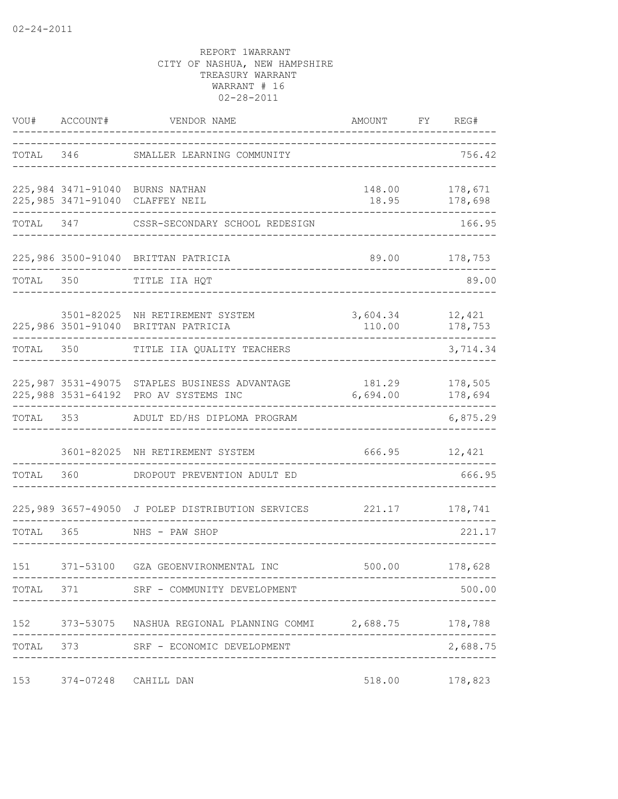| VOU#      | ACCOUNT#             | VENDOR NAME                                                                            | AMOUNT             | FY | REG#                           |
|-----------|----------------------|----------------------------------------------------------------------------------------|--------------------|----|--------------------------------|
|           | TOTAL 346            | SMALLER LEARNING COMMUNITY                                                             |                    |    | 756.42                         |
|           |                      | 225,984 3471-91040 BURNS NATHAN<br>225,985 3471-91040 CLAFFEY NEIL                     | 18.95              |    | 148.00 178,671<br>178,698      |
| TOTAL 347 |                      | CSSR-SECONDARY SCHOOL REDESIGN                                                         |                    |    | 166.95                         |
|           |                      | 225,986 3500-91040 BRITTAN PATRICIA                                                    |                    |    | 89.00 178,753                  |
| TOTAL     | 350                  | TITLE IIA HQT                                                                          |                    |    | 89.00                          |
|           |                      | 3501-82025 NH RETIREMENT SYSTEM<br>225,986 3501-91040 BRITTAN PATRICIA                 | 3,604.34<br>110.00 |    | 12,421<br>178,753              |
| TOTAL     | 350                  | TITLE IIA QUALITY TEACHERS                                                             |                    |    | 3,714.34                       |
|           |                      | 225,987 3531-49075 STAPLES BUSINESS ADVANTAGE<br>225,988 3531-64192 PRO AV SYSTEMS INC | 6,694.00           |    | 181.29 178,505<br>178,694<br>. |
| TOTAL 353 |                      | ADULT ED/HS DIPLOMA PROGRAM                                                            |                    |    | 6,875.29                       |
|           |                      | 3601-82025 NH RETIREMENT SYSTEM                                                        | 666.95             |    | 12,421                         |
| TOTAL     | 360                  | DROPOUT PREVENTION ADULT ED                                                            |                    |    | 666.95                         |
|           |                      | 225,989 3657-49050 J POLEP DISTRIBUTION SERVICES                                       | 221.17             |    | 178,741                        |
| TOTAL     | 365                  | NHS - PAW SHOP                                                                         |                    |    | 221.17                         |
| 151       |                      | 371-53100 GZA GEOENVIRONMENTAL INC                                                     |                    |    | 500.00 178,628                 |
|           |                      | TOTAL 371 SRF - COMMUNITY DEVELOPMENT                                                  |                    |    | 500.00                         |
|           |                      | 152 373-53075 NASHUA REGIONAL PLANNING COMMI 2,688.75 178,788                          |                    |    |                                |
| TOTAL     |                      | 373 SRF - ECONOMIC DEVELOPMENT                                                         |                    |    | 2,688.75                       |
| 153       | 374-07248 CAHILL DAN |                                                                                        |                    |    | 518.00 178,823                 |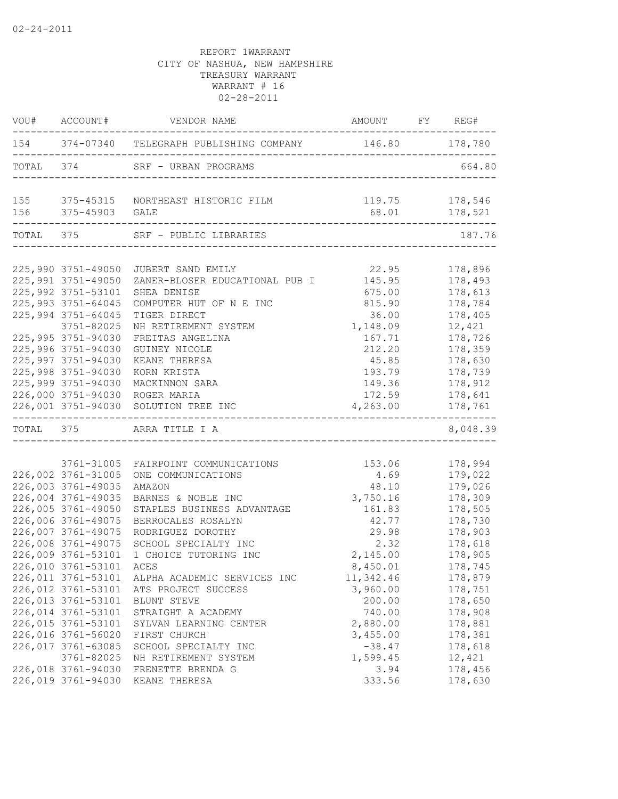| 154 374-07340 TELEGRAPH PUBLISHING COMPANY 146.80 178,780<br>TOTAL 374 SRF - URBAN PROGRAMS<br>664.80<br>119.75 178,546<br>155 375-45315 NORTHEAST HISTORIC FILM<br>156 375-45903 GALE<br>TOTAL 375 SRF - PUBLIC LIBRARIES<br>187.76<br>225,990 3751-49050<br>22.95<br>178,896<br>JUBERT SAND EMILY<br>225,991 3751-49050<br>145.95<br>178,493<br>ZANER-BLOSER EDUCATIONAL PUB I<br>178,613<br>225,992 3751-53101<br>675.00<br>SHEA DENISE<br>225,993 3751-64045<br>815.90<br>178,784<br>COMPUTER HUT OF N E INC<br>225,994 3751-64045<br>36.00<br>178,405<br>TIGER DIRECT<br>3751-82025<br>1,148.09<br>12,421<br>NH RETIREMENT SYSTEM<br>225,995 3751-94030<br>FREITAS ANGELINA<br>167.71<br>178,726<br>225,996 3751-94030<br>212.20<br>178,359<br>GUINEY NICOLE<br>225,997 3751-94030<br>178,630<br>KEANE THERESA<br>45.85<br>225,998 3751-94030<br>KORN KRISTA<br>193.79<br>178,739<br>225,999 3751-94030<br>MACKINNON SARA<br>149.36<br>178,912<br>226,000 3751-94030 ROGER MARIA<br>172.59<br>178,641<br>226,001 3751-94030 SOLUTION TREE INC<br>4,263.00<br>178,761<br>TOTAL 375 ARRA TITLE I A<br>178,994<br>3761-31005<br>FAIRPOINT COMMUNICATIONS<br>153.06<br>226,002 3761-31005<br>4.69<br>179,022<br>ONE COMMUNICATIONS<br>226,003 3761-49035<br>179,026<br>AMAZON<br>48.10<br>226,004 3761-49035<br>BARNES & NOBLE INC<br>3,750.16<br>178,309<br>226,005 3761-49050<br>161.83<br>178,505<br>STAPLES BUSINESS ADVANTAGE<br>226,006 3761-49075<br>42.77<br>178,730<br>BERROCALES ROSALYN<br>226,007 3761-49075<br>29.98<br>178,903<br>RODRIGUEZ DOROTHY<br>226,008 3761-49075<br>178,618<br>SCHOOL SPECIALTY INC<br>2.32<br>226,009 3761-53101<br>1 CHOICE TUTORING INC<br>2,145.00<br>178,905<br>226,010 3761-53101<br>ACES<br>8,450.01<br>178,745<br>226,011 3761-53101<br>11,342.46<br>178,879<br>ALPHA ACADEMIC SERVICES INC<br>3,960.00<br>226,012 3761-53101<br>178,751<br>ATS PROJECT SUCCESS<br>226,013 3761-53101<br>200.00<br>178,650<br>BLUNT STEVE<br>226,014 3761-53101<br>740.00<br>178,908<br>STRAIGHT A ACADEMY<br>226,015 3761-53101<br>2,880.00<br>178,881<br>SYLVAN LEARNING CENTER<br>226,016 3761-56020<br>3,455.00<br>178,381<br>FIRST CHURCH<br>226,017 3761-63085<br>$-38.47$<br>178,618<br>SCHOOL SPECIALTY INC<br>3761-82025<br>1,599.45<br>12,421<br>NH RETIREMENT SYSTEM<br>226,018 3761-94030<br>178,456<br>FRENETTE BRENDA G<br>3.94<br>226,019 3761-94030<br>333.56<br>178,630<br>KEANE THERESA | VOU# ACCOUNT# | VENDOR NAME | AMOUNT FY REG# |          |
|-------------------------------------------------------------------------------------------------------------------------------------------------------------------------------------------------------------------------------------------------------------------------------------------------------------------------------------------------------------------------------------------------------------------------------------------------------------------------------------------------------------------------------------------------------------------------------------------------------------------------------------------------------------------------------------------------------------------------------------------------------------------------------------------------------------------------------------------------------------------------------------------------------------------------------------------------------------------------------------------------------------------------------------------------------------------------------------------------------------------------------------------------------------------------------------------------------------------------------------------------------------------------------------------------------------------------------------------------------------------------------------------------------------------------------------------------------------------------------------------------------------------------------------------------------------------------------------------------------------------------------------------------------------------------------------------------------------------------------------------------------------------------------------------------------------------------------------------------------------------------------------------------------------------------------------------------------------------------------------------------------------------------------------------------------------------------------------------------------------------------------------------------------------------------------------------------------------------------------------------------------------------------------------------------------------------------------------------------------------------------------------------------------------------------------------------|---------------|-------------|----------------|----------|
|                                                                                                                                                                                                                                                                                                                                                                                                                                                                                                                                                                                                                                                                                                                                                                                                                                                                                                                                                                                                                                                                                                                                                                                                                                                                                                                                                                                                                                                                                                                                                                                                                                                                                                                                                                                                                                                                                                                                                                                                                                                                                                                                                                                                                                                                                                                                                                                                                                           |               |             |                |          |
|                                                                                                                                                                                                                                                                                                                                                                                                                                                                                                                                                                                                                                                                                                                                                                                                                                                                                                                                                                                                                                                                                                                                                                                                                                                                                                                                                                                                                                                                                                                                                                                                                                                                                                                                                                                                                                                                                                                                                                                                                                                                                                                                                                                                                                                                                                                                                                                                                                           |               |             |                |          |
|                                                                                                                                                                                                                                                                                                                                                                                                                                                                                                                                                                                                                                                                                                                                                                                                                                                                                                                                                                                                                                                                                                                                                                                                                                                                                                                                                                                                                                                                                                                                                                                                                                                                                                                                                                                                                                                                                                                                                                                                                                                                                                                                                                                                                                                                                                                                                                                                                                           |               |             |                |          |
|                                                                                                                                                                                                                                                                                                                                                                                                                                                                                                                                                                                                                                                                                                                                                                                                                                                                                                                                                                                                                                                                                                                                                                                                                                                                                                                                                                                                                                                                                                                                                                                                                                                                                                                                                                                                                                                                                                                                                                                                                                                                                                                                                                                                                                                                                                                                                                                                                                           |               |             |                |          |
|                                                                                                                                                                                                                                                                                                                                                                                                                                                                                                                                                                                                                                                                                                                                                                                                                                                                                                                                                                                                                                                                                                                                                                                                                                                                                                                                                                                                                                                                                                                                                                                                                                                                                                                                                                                                                                                                                                                                                                                                                                                                                                                                                                                                                                                                                                                                                                                                                                           |               |             |                |          |
|                                                                                                                                                                                                                                                                                                                                                                                                                                                                                                                                                                                                                                                                                                                                                                                                                                                                                                                                                                                                                                                                                                                                                                                                                                                                                                                                                                                                                                                                                                                                                                                                                                                                                                                                                                                                                                                                                                                                                                                                                                                                                                                                                                                                                                                                                                                                                                                                                                           |               |             |                |          |
|                                                                                                                                                                                                                                                                                                                                                                                                                                                                                                                                                                                                                                                                                                                                                                                                                                                                                                                                                                                                                                                                                                                                                                                                                                                                                                                                                                                                                                                                                                                                                                                                                                                                                                                                                                                                                                                                                                                                                                                                                                                                                                                                                                                                                                                                                                                                                                                                                                           |               |             |                |          |
|                                                                                                                                                                                                                                                                                                                                                                                                                                                                                                                                                                                                                                                                                                                                                                                                                                                                                                                                                                                                                                                                                                                                                                                                                                                                                                                                                                                                                                                                                                                                                                                                                                                                                                                                                                                                                                                                                                                                                                                                                                                                                                                                                                                                                                                                                                                                                                                                                                           |               |             |                |          |
|                                                                                                                                                                                                                                                                                                                                                                                                                                                                                                                                                                                                                                                                                                                                                                                                                                                                                                                                                                                                                                                                                                                                                                                                                                                                                                                                                                                                                                                                                                                                                                                                                                                                                                                                                                                                                                                                                                                                                                                                                                                                                                                                                                                                                                                                                                                                                                                                                                           |               |             |                |          |
|                                                                                                                                                                                                                                                                                                                                                                                                                                                                                                                                                                                                                                                                                                                                                                                                                                                                                                                                                                                                                                                                                                                                                                                                                                                                                                                                                                                                                                                                                                                                                                                                                                                                                                                                                                                                                                                                                                                                                                                                                                                                                                                                                                                                                                                                                                                                                                                                                                           |               |             |                |          |
|                                                                                                                                                                                                                                                                                                                                                                                                                                                                                                                                                                                                                                                                                                                                                                                                                                                                                                                                                                                                                                                                                                                                                                                                                                                                                                                                                                                                                                                                                                                                                                                                                                                                                                                                                                                                                                                                                                                                                                                                                                                                                                                                                                                                                                                                                                                                                                                                                                           |               |             |                |          |
|                                                                                                                                                                                                                                                                                                                                                                                                                                                                                                                                                                                                                                                                                                                                                                                                                                                                                                                                                                                                                                                                                                                                                                                                                                                                                                                                                                                                                                                                                                                                                                                                                                                                                                                                                                                                                                                                                                                                                                                                                                                                                                                                                                                                                                                                                                                                                                                                                                           |               |             |                |          |
|                                                                                                                                                                                                                                                                                                                                                                                                                                                                                                                                                                                                                                                                                                                                                                                                                                                                                                                                                                                                                                                                                                                                                                                                                                                                                                                                                                                                                                                                                                                                                                                                                                                                                                                                                                                                                                                                                                                                                                                                                                                                                                                                                                                                                                                                                                                                                                                                                                           |               |             |                |          |
|                                                                                                                                                                                                                                                                                                                                                                                                                                                                                                                                                                                                                                                                                                                                                                                                                                                                                                                                                                                                                                                                                                                                                                                                                                                                                                                                                                                                                                                                                                                                                                                                                                                                                                                                                                                                                                                                                                                                                                                                                                                                                                                                                                                                                                                                                                                                                                                                                                           |               |             |                |          |
|                                                                                                                                                                                                                                                                                                                                                                                                                                                                                                                                                                                                                                                                                                                                                                                                                                                                                                                                                                                                                                                                                                                                                                                                                                                                                                                                                                                                                                                                                                                                                                                                                                                                                                                                                                                                                                                                                                                                                                                                                                                                                                                                                                                                                                                                                                                                                                                                                                           |               |             |                |          |
|                                                                                                                                                                                                                                                                                                                                                                                                                                                                                                                                                                                                                                                                                                                                                                                                                                                                                                                                                                                                                                                                                                                                                                                                                                                                                                                                                                                                                                                                                                                                                                                                                                                                                                                                                                                                                                                                                                                                                                                                                                                                                                                                                                                                                                                                                                                                                                                                                                           |               |             |                |          |
|                                                                                                                                                                                                                                                                                                                                                                                                                                                                                                                                                                                                                                                                                                                                                                                                                                                                                                                                                                                                                                                                                                                                                                                                                                                                                                                                                                                                                                                                                                                                                                                                                                                                                                                                                                                                                                                                                                                                                                                                                                                                                                                                                                                                                                                                                                                                                                                                                                           |               |             |                |          |
|                                                                                                                                                                                                                                                                                                                                                                                                                                                                                                                                                                                                                                                                                                                                                                                                                                                                                                                                                                                                                                                                                                                                                                                                                                                                                                                                                                                                                                                                                                                                                                                                                                                                                                                                                                                                                                                                                                                                                                                                                                                                                                                                                                                                                                                                                                                                                                                                                                           |               |             |                |          |
|                                                                                                                                                                                                                                                                                                                                                                                                                                                                                                                                                                                                                                                                                                                                                                                                                                                                                                                                                                                                                                                                                                                                                                                                                                                                                                                                                                                                                                                                                                                                                                                                                                                                                                                                                                                                                                                                                                                                                                                                                                                                                                                                                                                                                                                                                                                                                                                                                                           |               |             |                |          |
|                                                                                                                                                                                                                                                                                                                                                                                                                                                                                                                                                                                                                                                                                                                                                                                                                                                                                                                                                                                                                                                                                                                                                                                                                                                                                                                                                                                                                                                                                                                                                                                                                                                                                                                                                                                                                                                                                                                                                                                                                                                                                                                                                                                                                                                                                                                                                                                                                                           |               |             |                | 8,048.39 |
|                                                                                                                                                                                                                                                                                                                                                                                                                                                                                                                                                                                                                                                                                                                                                                                                                                                                                                                                                                                                                                                                                                                                                                                                                                                                                                                                                                                                                                                                                                                                                                                                                                                                                                                                                                                                                                                                                                                                                                                                                                                                                                                                                                                                                                                                                                                                                                                                                                           |               |             |                |          |
|                                                                                                                                                                                                                                                                                                                                                                                                                                                                                                                                                                                                                                                                                                                                                                                                                                                                                                                                                                                                                                                                                                                                                                                                                                                                                                                                                                                                                                                                                                                                                                                                                                                                                                                                                                                                                                                                                                                                                                                                                                                                                                                                                                                                                                                                                                                                                                                                                                           |               |             |                |          |
|                                                                                                                                                                                                                                                                                                                                                                                                                                                                                                                                                                                                                                                                                                                                                                                                                                                                                                                                                                                                                                                                                                                                                                                                                                                                                                                                                                                                                                                                                                                                                                                                                                                                                                                                                                                                                                                                                                                                                                                                                                                                                                                                                                                                                                                                                                                                                                                                                                           |               |             |                |          |
|                                                                                                                                                                                                                                                                                                                                                                                                                                                                                                                                                                                                                                                                                                                                                                                                                                                                                                                                                                                                                                                                                                                                                                                                                                                                                                                                                                                                                                                                                                                                                                                                                                                                                                                                                                                                                                                                                                                                                                                                                                                                                                                                                                                                                                                                                                                                                                                                                                           |               |             |                |          |
|                                                                                                                                                                                                                                                                                                                                                                                                                                                                                                                                                                                                                                                                                                                                                                                                                                                                                                                                                                                                                                                                                                                                                                                                                                                                                                                                                                                                                                                                                                                                                                                                                                                                                                                                                                                                                                                                                                                                                                                                                                                                                                                                                                                                                                                                                                                                                                                                                                           |               |             |                |          |
|                                                                                                                                                                                                                                                                                                                                                                                                                                                                                                                                                                                                                                                                                                                                                                                                                                                                                                                                                                                                                                                                                                                                                                                                                                                                                                                                                                                                                                                                                                                                                                                                                                                                                                                                                                                                                                                                                                                                                                                                                                                                                                                                                                                                                                                                                                                                                                                                                                           |               |             |                |          |
|                                                                                                                                                                                                                                                                                                                                                                                                                                                                                                                                                                                                                                                                                                                                                                                                                                                                                                                                                                                                                                                                                                                                                                                                                                                                                                                                                                                                                                                                                                                                                                                                                                                                                                                                                                                                                                                                                                                                                                                                                                                                                                                                                                                                                                                                                                                                                                                                                                           |               |             |                |          |
|                                                                                                                                                                                                                                                                                                                                                                                                                                                                                                                                                                                                                                                                                                                                                                                                                                                                                                                                                                                                                                                                                                                                                                                                                                                                                                                                                                                                                                                                                                                                                                                                                                                                                                                                                                                                                                                                                                                                                                                                                                                                                                                                                                                                                                                                                                                                                                                                                                           |               |             |                |          |
|                                                                                                                                                                                                                                                                                                                                                                                                                                                                                                                                                                                                                                                                                                                                                                                                                                                                                                                                                                                                                                                                                                                                                                                                                                                                                                                                                                                                                                                                                                                                                                                                                                                                                                                                                                                                                                                                                                                                                                                                                                                                                                                                                                                                                                                                                                                                                                                                                                           |               |             |                |          |
|                                                                                                                                                                                                                                                                                                                                                                                                                                                                                                                                                                                                                                                                                                                                                                                                                                                                                                                                                                                                                                                                                                                                                                                                                                                                                                                                                                                                                                                                                                                                                                                                                                                                                                                                                                                                                                                                                                                                                                                                                                                                                                                                                                                                                                                                                                                                                                                                                                           |               |             |                |          |
|                                                                                                                                                                                                                                                                                                                                                                                                                                                                                                                                                                                                                                                                                                                                                                                                                                                                                                                                                                                                                                                                                                                                                                                                                                                                                                                                                                                                                                                                                                                                                                                                                                                                                                                                                                                                                                                                                                                                                                                                                                                                                                                                                                                                                                                                                                                                                                                                                                           |               |             |                |          |
|                                                                                                                                                                                                                                                                                                                                                                                                                                                                                                                                                                                                                                                                                                                                                                                                                                                                                                                                                                                                                                                                                                                                                                                                                                                                                                                                                                                                                                                                                                                                                                                                                                                                                                                                                                                                                                                                                                                                                                                                                                                                                                                                                                                                                                                                                                                                                                                                                                           |               |             |                |          |
|                                                                                                                                                                                                                                                                                                                                                                                                                                                                                                                                                                                                                                                                                                                                                                                                                                                                                                                                                                                                                                                                                                                                                                                                                                                                                                                                                                                                                                                                                                                                                                                                                                                                                                                                                                                                                                                                                                                                                                                                                                                                                                                                                                                                                                                                                                                                                                                                                                           |               |             |                |          |
|                                                                                                                                                                                                                                                                                                                                                                                                                                                                                                                                                                                                                                                                                                                                                                                                                                                                                                                                                                                                                                                                                                                                                                                                                                                                                                                                                                                                                                                                                                                                                                                                                                                                                                                                                                                                                                                                                                                                                                                                                                                                                                                                                                                                                                                                                                                                                                                                                                           |               |             |                |          |
|                                                                                                                                                                                                                                                                                                                                                                                                                                                                                                                                                                                                                                                                                                                                                                                                                                                                                                                                                                                                                                                                                                                                                                                                                                                                                                                                                                                                                                                                                                                                                                                                                                                                                                                                                                                                                                                                                                                                                                                                                                                                                                                                                                                                                                                                                                                                                                                                                                           |               |             |                |          |
|                                                                                                                                                                                                                                                                                                                                                                                                                                                                                                                                                                                                                                                                                                                                                                                                                                                                                                                                                                                                                                                                                                                                                                                                                                                                                                                                                                                                                                                                                                                                                                                                                                                                                                                                                                                                                                                                                                                                                                                                                                                                                                                                                                                                                                                                                                                                                                                                                                           |               |             |                |          |
|                                                                                                                                                                                                                                                                                                                                                                                                                                                                                                                                                                                                                                                                                                                                                                                                                                                                                                                                                                                                                                                                                                                                                                                                                                                                                                                                                                                                                                                                                                                                                                                                                                                                                                                                                                                                                                                                                                                                                                                                                                                                                                                                                                                                                                                                                                                                                                                                                                           |               |             |                |          |
|                                                                                                                                                                                                                                                                                                                                                                                                                                                                                                                                                                                                                                                                                                                                                                                                                                                                                                                                                                                                                                                                                                                                                                                                                                                                                                                                                                                                                                                                                                                                                                                                                                                                                                                                                                                                                                                                                                                                                                                                                                                                                                                                                                                                                                                                                                                                                                                                                                           |               |             |                |          |
|                                                                                                                                                                                                                                                                                                                                                                                                                                                                                                                                                                                                                                                                                                                                                                                                                                                                                                                                                                                                                                                                                                                                                                                                                                                                                                                                                                                                                                                                                                                                                                                                                                                                                                                                                                                                                                                                                                                                                                                                                                                                                                                                                                                                                                                                                                                                                                                                                                           |               |             |                |          |
|                                                                                                                                                                                                                                                                                                                                                                                                                                                                                                                                                                                                                                                                                                                                                                                                                                                                                                                                                                                                                                                                                                                                                                                                                                                                                                                                                                                                                                                                                                                                                                                                                                                                                                                                                                                                                                                                                                                                                                                                                                                                                                                                                                                                                                                                                                                                                                                                                                           |               |             |                |          |
|                                                                                                                                                                                                                                                                                                                                                                                                                                                                                                                                                                                                                                                                                                                                                                                                                                                                                                                                                                                                                                                                                                                                                                                                                                                                                                                                                                                                                                                                                                                                                                                                                                                                                                                                                                                                                                                                                                                                                                                                                                                                                                                                                                                                                                                                                                                                                                                                                                           |               |             |                |          |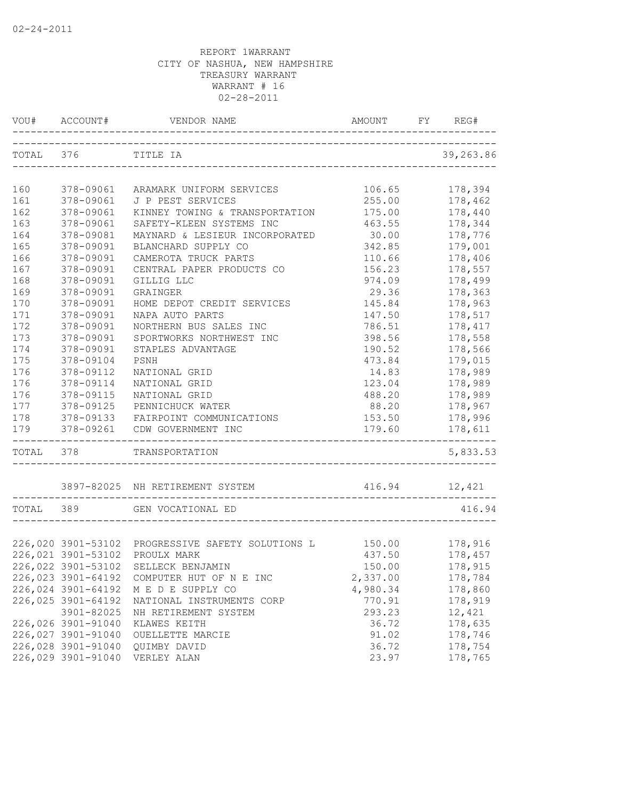|           | VOU# ACCOUNT#                    | VENDOR NAME                                       | AMOUNT                    | FY | REG#           |
|-----------|----------------------------------|---------------------------------------------------|---------------------------|----|----------------|
| TOTAL 376 |                                  | TITLE IA                                          |                           |    | 39,263.86      |
| 160       | 378-09061                        | ARAMARK UNIFORM SERVICES                          | 106.65                    |    | 178,394        |
| 161       | 378-09061                        | J P PEST SERVICES                                 | 255.00                    |    | 178,462        |
| 162       | 378-09061                        | KINNEY TOWING & TRANSPORTATION                    | 175.00                    |    | 178,440        |
| 163       | 378-09061                        | SAFETY-KLEEN SYSTEMS INC                          | 463.55                    |    | 178,344        |
| 164       | 378-09081                        | MAYNARD & LESIEUR INCORPORATED                    | 30.00                     |    | 178,776        |
| 165       | 378-09091                        | BLANCHARD SUPPLY CO                               | 342.85                    |    | 179,001        |
| 166       | 378-09091                        | CAMEROTA TRUCK PARTS                              | 110.66                    |    | 178,406        |
| 167       | 378-09091                        | CENTRAL PAPER PRODUCTS CO                         | 156.23                    |    | 178,557        |
| 168       | 378-09091                        | GILLIG LLC                                        | 974.09                    |    | 178,499        |
| 169       | 378-09091                        | GRAINGER                                          | 29.36                     |    | 178,363        |
| 170       | 378-09091                        | HOME DEPOT CREDIT SERVICES                        | 145.84                    |    | 178,963        |
| 171       | 378-09091                        | NAPA AUTO PARTS                                   | 147.50                    |    | 178,517        |
| 172       | 378-09091                        | NORTHERN BUS SALES INC                            | 786.51                    |    | 178,417        |
| 173       | 378-09091                        | SPORTWORKS NORTHWEST INC                          | 398.56                    |    | 178,558        |
| 174       | 378-09091                        | STAPLES ADVANTAGE                                 | 190.52                    |    | 178,566        |
| 175       | 378-09104                        | PSNH                                              | 473.84                    |    | 179,015        |
| 176       | 378-09112                        | NATIONAL GRID                                     | 14.83                     |    | 178,989        |
| 176       | 378-09114                        | NATIONAL GRID                                     |                           |    | 178,989        |
| 176       | 378-09115                        | NATIONAL GRID                                     | 123.04<br>488.20          |    | 178,989        |
|           |                                  |                                                   |                           |    | 178,967        |
| 177       | 378-09125                        | PENNICHUCK WATER                                  | 88.20                     |    |                |
| 178       | 378-09133                        | FAIRPOINT COMMUNICATIONS                          | 153.50                    |    | 178,996        |
| 179       | 378-09261<br>------------------- | CDW GOVERNMENT INC                                | 179.60<br>_______________ |    | 178,611        |
| TOTAL 378 |                                  | TRANSPORTATION                                    |                           |    | 5,833.53       |
|           |                                  | 3897-82025 NH RETIREMENT SYSTEM                   | 416.94 12,421             |    |                |
| TOTAL 389 |                                  | GEN VOCATIONAL ED                                 |                           |    | 416.94         |
|           |                                  |                                                   |                           |    |                |
|           |                                  | 226,020 3901-53102 PROGRESSIVE SAFETY SOLUTIONS L |                           |    | 150.00 178,916 |
|           | 226,021 3901-53102               | PROULX MARK                                       | 437.50                    |    | 178,457        |
|           | 226,022 3901-53102               | SELLECK BENJAMIN                                  | 150.00                    |    | 178,915        |
|           | 226,023 3901-64192               | COMPUTER HUT OF N E INC                           | 2,337.00                  |    | 178,784        |
|           | 226,024 3901-64192               | M E D E SUPPLY CO                                 | 4,980.34                  |    | 178,860        |
|           | 226,025 3901-64192               | NATIONAL INSTRUMENTS CORP                         | 770.91                    |    | 178,919        |
|           | 3901-82025                       | NH RETIREMENT SYSTEM                              | 293.23                    |    | 12,421         |
|           | 226,026 3901-91040               | KLAWES KEITH                                      | 36.72                     |    | 178,635        |
|           | 226,027 3901-91040               | OUELLETTE MARCIE                                  | 91.02                     |    | 178,746        |
|           | 226,028 3901-91040               | QUIMBY DAVID                                      | 36.72                     |    | 178,754        |
|           | 226,029 3901-91040               | VERLEY ALAN                                       | 23.97                     |    | 178,765        |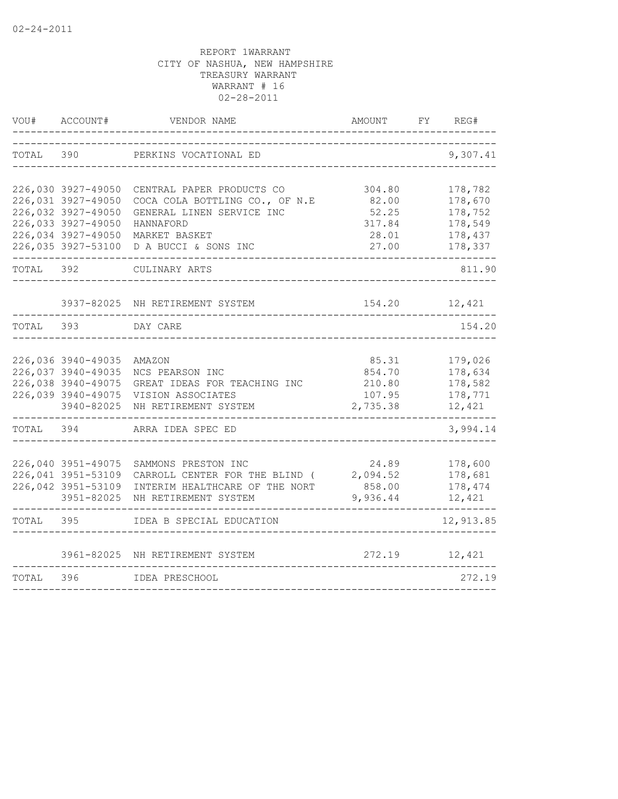| VOU#  | ACCOUNT#                                                                                                   | VENDOR NAME                                                                                                            | AMOUNT                                          | FY | REG#                                                |
|-------|------------------------------------------------------------------------------------------------------------|------------------------------------------------------------------------------------------------------------------------|-------------------------------------------------|----|-----------------------------------------------------|
| TOTAL | 390                                                                                                        | PERKINS VOCATIONAL ED                                                                                                  |                                                 |    | 9,307.41                                            |
|       | 226,030 3927-49050<br>226,031 3927-49050<br>226,032 3927-49050<br>226,033 3927-49050<br>226,034 3927-49050 | CENTRAL PAPER PRODUCTS CO<br>COCA COLA BOTTLING CO., OF N.E<br>GENERAL LINEN SERVICE INC<br>HANNAFORD<br>MARKET BASKET | 304.80<br>82.00<br>52.25<br>317.84<br>28.01     |    | 178,782<br>178,670<br>178,752<br>178,549<br>178,437 |
|       | 226,035 3927-53100                                                                                         | D A BUCCI & SONS INC                                                                                                   | 27.00                                           |    | 178,337                                             |
| TOTAL | 392                                                                                                        | CULINARY ARTS                                                                                                          |                                                 |    | 811.90                                              |
|       | 3937-82025                                                                                                 | NH RETIREMENT SYSTEM                                                                                                   | 154.20                                          |    | 12,421                                              |
| TOTAL | 393                                                                                                        | DAY CARE                                                                                                               |                                                 |    | 154.20                                              |
|       | 226,036 3940-49035<br>226,037 3940-49035<br>226,038 3940-49075<br>226,039 3940-49075<br>3940-82025         | AMAZON<br>NCS PEARSON INC<br>GREAT IDEAS FOR TEACHING INC<br>VISION ASSOCIATES<br>NH RETIREMENT SYSTEM                 | 85.31<br>854.70<br>210.80<br>107.95<br>2,735.38 |    | 179,026<br>178,634<br>178,582<br>178,771<br>12,421  |
| TOTAL | 394                                                                                                        | ARRA IDEA SPEC ED                                                                                                      |                                                 |    | 3,994.14                                            |
|       | 226,040 3951-49075<br>226,041 3951-53109<br>226,042 3951-53109<br>3951-82025                               | SAMMONS PRESTON INC<br>CARROLL CENTER FOR THE BLIND (<br>INTERIM HEALTHCARE OF THE NORT<br>NH RETIREMENT SYSTEM        | 24.89<br>2,094.52<br>858.00<br>9,936.44         |    | 178,600<br>178,681<br>178,474<br>12,421             |
| TOTAL | 395                                                                                                        | IDEA B SPECIAL EDUCATION                                                                                               |                                                 |    | 12,913.85                                           |
|       | 3961-82025                                                                                                 | NH RETIREMENT SYSTEM                                                                                                   | 272.19                                          |    | 12,421                                              |
| TOTAL | 396                                                                                                        | IDEA PRESCHOOL                                                                                                         |                                                 |    | 272.19                                              |
|       |                                                                                                            |                                                                                                                        |                                                 |    |                                                     |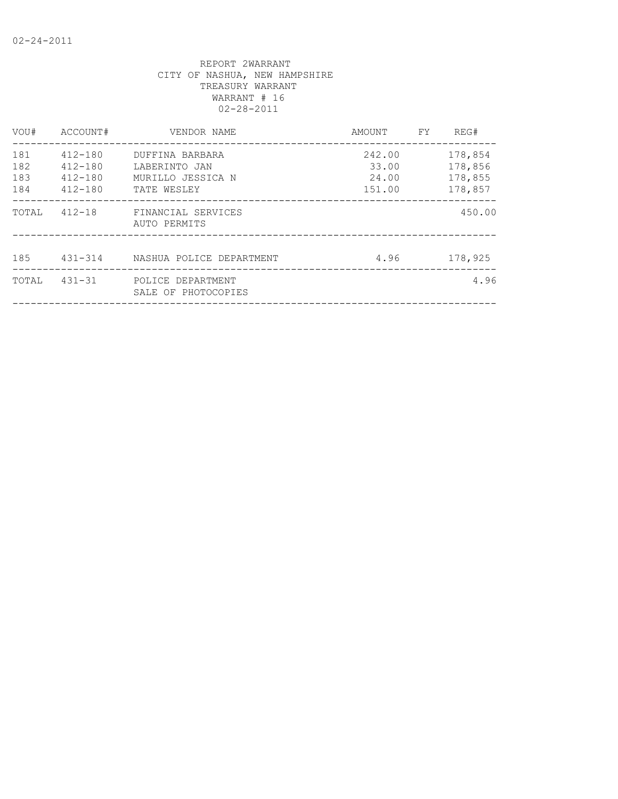| VOU#       | ACCOUNT#                   | VENDOR NAME                               | AMOUNT          | FY | REG#               |
|------------|----------------------------|-------------------------------------------|-----------------|----|--------------------|
| 181<br>182 | 412-180<br>$412 - 180$     | DUFFINA BARBARA<br>LABERINTO JAN          | 242.00<br>33.00 |    | 178,854<br>178,856 |
| 183<br>184 | $412 - 180$<br>$412 - 180$ | MURILLO JESSICA N<br>TATE WESLEY          | 24.00<br>151.00 |    | 178,855<br>178,857 |
| TOTAL      |                            | 412-18 FINANCIAL SERVICES<br>AUTO PERMITS |                 |    | 450.00             |
| 185        |                            | 431-314      NASHUA POLICE DEPARTMENT     | 4.96            |    | 178,925            |
| TOTAL      | $431 - 31$                 | POLICE DEPARTMENT<br>SALE OF PHOTOCOPIES  |                 |    | 4.96               |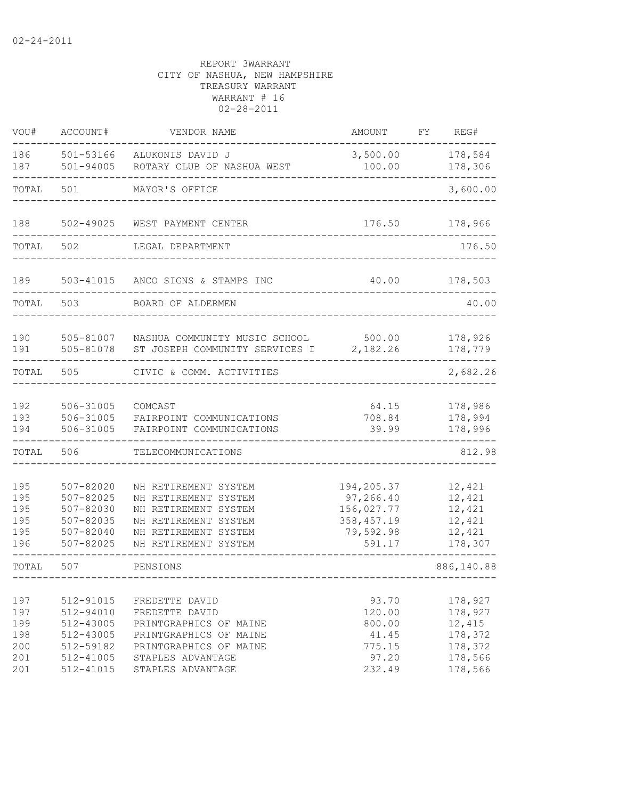| VOU#                                          | ACCOUNT#                                                                                | VENDOR NAME                                                                                                                                              | <b>AMOUNT</b>                                                               | FY | REG#                                                                     |
|-----------------------------------------------|-----------------------------------------------------------------------------------------|----------------------------------------------------------------------------------------------------------------------------------------------------------|-----------------------------------------------------------------------------|----|--------------------------------------------------------------------------|
| 186<br>187                                    | 501-53166<br>$501 - 94005$                                                              | ALUKONIS DAVID J<br>ROTARY CLUB OF NASHUA WEST                                                                                                           | 3,500.00<br>100.00                                                          |    | 178,584<br>178,306                                                       |
| TOTAL                                         | 501                                                                                     | MAYOR'S OFFICE                                                                                                                                           |                                                                             |    | 3,600.00                                                                 |
| 188                                           | 502-49025                                                                               | WEST PAYMENT CENTER                                                                                                                                      | 176.50                                                                      |    | 178,966                                                                  |
| TOTAL                                         | 502                                                                                     | LEGAL DEPARTMENT                                                                                                                                         |                                                                             |    | 176.50                                                                   |
| 189                                           | 503-41015                                                                               | ANCO SIGNS & STAMPS INC                                                                                                                                  | 40.00                                                                       |    | 178,503                                                                  |
| TOTAL                                         | 503                                                                                     | BOARD OF ALDERMEN                                                                                                                                        |                                                                             |    | 40.00                                                                    |
| 190<br>191                                    | 505-81007<br>505-81078                                                                  | NASHUA COMMUNITY MUSIC SCHOOL<br>ST JOSEPH COMMUNITY SERVICES I                                                                                          | 500.00<br>2,182.26                                                          |    | 178,926<br>178,779                                                       |
| TOTAL                                         | 505                                                                                     | CIVIC & COMM. ACTIVITIES                                                                                                                                 |                                                                             |    | 2,682.26                                                                 |
| 192<br>193<br>194                             | 506-31005<br>506-31005<br>506-31005                                                     | COMCAST<br>FAIRPOINT COMMUNICATIONS<br>FAIRPOINT COMMUNICATIONS                                                                                          | 64.15<br>708.84<br>39.99                                                    |    | 178,986<br>178,994<br>178,996                                            |
| TOTAL                                         | 506                                                                                     | TELECOMMUNICATIONS                                                                                                                                       |                                                                             |    | 812.98                                                                   |
| 195<br>195<br>195<br>195<br>195<br>196        | $507 - 82020$<br>$507 - 82025$<br>507-82030<br>507-82035<br>507-82040<br>507-82025      | NH RETIREMENT SYSTEM<br>NH RETIREMENT SYSTEM<br>NH RETIREMENT SYSTEM<br>NH RETIREMENT SYSTEM<br>NH RETIREMENT SYSTEM<br>NH RETIREMENT SYSTEM             | 194,205.37<br>97,266.40<br>156,027.77<br>358, 457.19<br>79,592.98<br>591.17 |    | 12,421<br>12,421<br>12,421<br>12,421<br>12,421<br>178,307                |
| TOTAL                                         | 507                                                                                     | PENSIONS                                                                                                                                                 |                                                                             |    | 886,140.88<br>-----------------                                          |
| 197<br>197<br>199<br>198<br>200<br>201<br>201 | 512-91015<br>512-94010<br>512-43005<br>512-43005<br>512-59182<br>512-41005<br>512-41015 | FREDETTE DAVID<br>FREDETTE DAVID<br>PRINTGRAPHICS OF MAINE<br>PRINTGRAPHICS OF MAINE<br>PRINTGRAPHICS OF MAINE<br>STAPLES ADVANTAGE<br>STAPLES ADVANTAGE | 93.70<br>120.00<br>800.00<br>41.45<br>775.15<br>97.20<br>232.49             |    | 178,927<br>178,927<br>12,415<br>178,372<br>178,372<br>178,566<br>178,566 |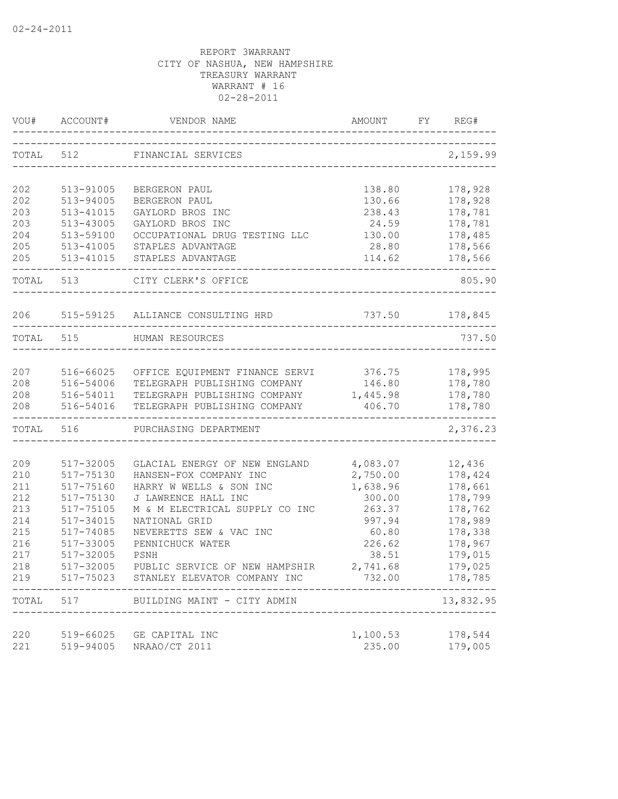| VOU#       | ACCOUNT#               | VENDOR NAME                                                  | AMOUNT             | FY | REG#               |
|------------|------------------------|--------------------------------------------------------------|--------------------|----|--------------------|
| TOTAL      | 512                    | FINANCIAL SERVICES                                           |                    |    | 2,159.99           |
| 202        | 513-91005              | BERGERON PAUL                                                | 138.80             |    | 178,928            |
| 202        | 513-94005              | BERGERON PAUL                                                | 130.66             |    | 178,928            |
| 203        | 513-41015              | GAYLORD BROS INC                                             | 238.43             |    | 178,781            |
| 203        | 513-43005              | GAYLORD BROS INC                                             | 24.59              |    | 178,781            |
| 204        | 513-59100              | OCCUPATIONAL DRUG TESTING LLC                                | 130.00             |    | 178,485            |
| 205        | 513-41005              | STAPLES ADVANTAGE                                            | 28.80              |    | 178,566            |
| 205        | 513-41015              | STAPLES ADVANTAGE                                            | 114.62             |    | 178,566            |
|            | TOTAL 513              | CITY CLERK'S OFFICE                                          |                    |    | 805.90             |
| 206        |                        | 515-59125 ALLIANCE CONSULTING HRD                            | 737.50 178,845     |    |                    |
|            | TOTAL 515              | HUMAN RESOURCES                                              |                    |    | 737.50             |
|            |                        |                                                              |                    |    |                    |
| 207        | 516-66025              | OFFICE EQUIPMENT FINANCE SERVI 376.75                        |                    |    | 178,995            |
| 208<br>208 | 516-54006<br>516-54011 | TELEGRAPH PUBLISHING COMPANY<br>TELEGRAPH PUBLISHING COMPANY | 146.80<br>1,445.98 |    | 178,780<br>178,780 |
| 208        | 516-54016              | TELEGRAPH PUBLISHING COMPANY                                 | 406.70             |    | 178,780            |
| TOTAL 516  | --------------------   | PURCHASING DEPARTMENT                                        | _____________      |    | 2,376.23           |
|            |                        |                                                              |                    |    |                    |
| 209        | 517-32005              | GLACIAL ENERGY OF NEW ENGLAND                                | 4,083.07           |    | 12,436             |
| 210        | 517-75130              | HANSEN-FOX COMPANY INC                                       | 2,750.00           |    | 178,424            |
| 211        | 517-75160              | HARRY W WELLS & SON INC                                      | 1,638.96           |    | 178,661            |
| 212        | 517-75130              | J LAWRENCE HALL INC                                          | 300.00             |    | 178,799            |
| 213        | 517-75105              | M & M ELECTRICAL SUPPLY CO INC                               | 263.37             |    | 178,762            |
| 214        | 517-34015              | NATIONAL GRID                                                | 997.94             |    | 178,989            |
| 215<br>216 | 517-74085<br>517-33005 | NEVERETTS SEW & VAC INC<br>PENNICHUCK WATER                  | 60.80<br>226.62    |    | 178,338<br>178,967 |
| 217        | 517-32005              | PSNH                                                         | 38.51              |    | 179,015            |
| 218        | 517-32005              | PUBLIC SERVICE OF NEW HAMPSHIR                               | 2,741.68           |    | 179,025            |
| 219        | 517-75023              | STANLEY ELEVATOR COMPANY INC                                 | 732.00             |    | 178,785            |
| TOTAL      | 517                    | BUILDING MAINT - CITY ADMIN                                  |                    |    | 13,832.95          |
| 220        | 519-66025              | GE CAPITAL INC                                               | 1,100.53           |    | 178,544            |
| 221        | 519-94005              | NRAAO/CT 2011                                                | 235.00             |    | 179,005            |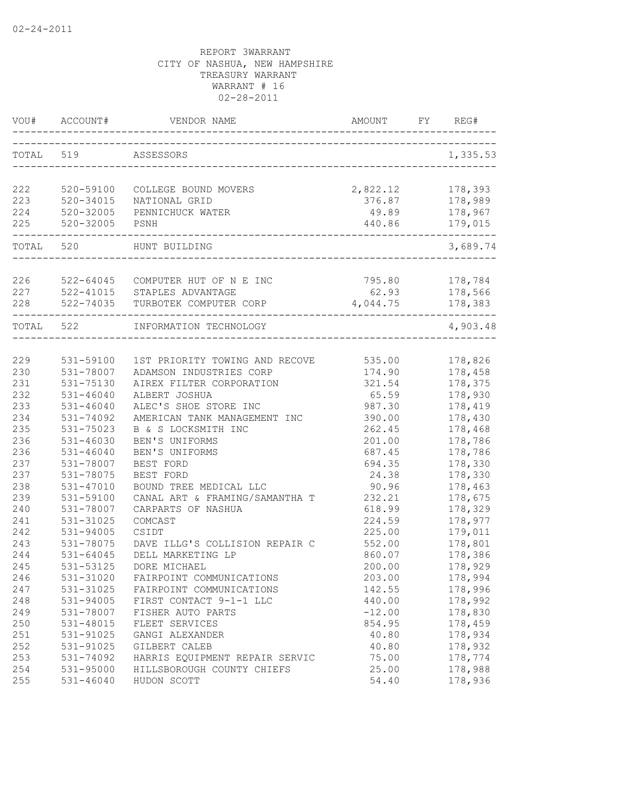| VOU#       | ACCOUNT#                   | VENDOR NAME                               | AMOUNT                    | FY | REG#                |
|------------|----------------------------|-------------------------------------------|---------------------------|----|---------------------|
| TOTAL 519  |                            | ASSESSORS                                 |                           |    | 1,335.53            |
|            |                            |                                           |                           |    |                     |
| 222        | 520-59100                  | COLLEGE BOUND MOVERS                      | 2,822.12                  |    | 178,393             |
| 223        | $520 - 34015$              | NATIONAL GRID                             | 376.87                    |    | 178,989             |
| 224<br>225 | $520 - 32005$<br>520-32005 | PENNICHUCK WATER                          | 49.89<br>440.86           |    | 178,967             |
|            |                            | PSNH                                      | ------------------------- |    | 179,015             |
| TOTAL 520  |                            | HUNT BUILDING                             |                           |    | 3,689.74            |
| 226        |                            | 522-64045 COMPUTER HUT OF N E INC         | 795.80                    |    | 178,784             |
| 227        |                            | 522-41015 STAPLES ADVANTAGE               | 62.93                     |    | 178,566             |
| 228        | 522-74035                  | TURBOTEK COMPUTER CORP                    | 4,044.75                  |    | 178,383             |
| TOTAL 522  |                            | _______________<br>INFORMATION TECHNOLOGY |                           |    | -------<br>4,903.48 |
|            |                            |                                           |                           |    |                     |
| 229        | 531-59100                  | 1ST PRIORITY TOWING AND RECOVE 535.00     |                           |    | 178,826             |
| 230        | 531-78007                  | ADAMSON INDUSTRIES CORP                   | 174.90                    |    | 178,458             |
| 231        | 531-75130                  | AIREX FILTER CORPORATION                  | 321.54                    |    | 178,375             |
| 232        | $531 - 46040$              | ALBERT JOSHUA                             | 65.59                     |    | 178,930             |
| 233        | $531 - 46040$              | ALEC'S SHOE STORE INC                     | 987.30                    |    | 178,419             |
| 234        | 531-74092                  | AMERICAN TANK MANAGEMENT INC              | 390.00                    |    | 178,430             |
| 235        | 531-75023                  | B & S LOCKSMITH INC                       | 262.45                    |    | 178,468             |
| 236        | $531 - 46030$              | BEN'S UNIFORMS                            | 201.00                    |    | 178,786             |
| 236        | $531 - 46040$              | BEN'S UNIFORMS                            | 687.45                    |    | 178,786             |
| 237        | 531-78007                  | BEST FORD                                 | 694.35                    |    | 178,330             |
| 237        | 531-78075                  | BEST FORD                                 | 24.38                     |    | 178,330             |
| 238        | 531-47010                  | BOUND TREE MEDICAL LLC                    | 90.96                     |    | 178,463             |
| 239        | 531-59100                  | CANAL ART & FRAMING/SAMANTHA T            | 232.21                    |    | 178,675             |
| 240        | 531-78007                  | CARPARTS OF NASHUA                        | 618.99                    |    | 178,329             |
| 241        | 531-31025                  | COMCAST                                   | 224.59                    |    | 178,977             |
| 242        | 531-94005                  | CSIDT                                     | 225.00                    |    | 179,011             |
| 243        | 531-78075                  | DAVE ILLG'S COLLISION REPAIR C            | 552.00                    |    | 178,801             |
| 244        | $531 - 64045$              | DELL MARKETING LP                         | 860.07                    |    | 178,386             |
| 245        | 531-53125                  | DORE MICHAEL                              | 200.00                    |    | 178,929             |
| 246        | 531-31020                  | FAIRPOINT COMMUNICATIONS                  | 203.00                    |    | 178,994             |
| 247        | 531-31025                  | FAIRPOINT COMMUNICATIONS                  | 142.55                    |    | 178,996             |
| 248        | 531-94005                  | FIRST CONTACT 9-1-1 LLC                   | 440.00                    |    | 178,992             |
| 249        | 531-78007                  | FISHER AUTO PARTS                         | $-12.00$                  |    | 178,830             |
| 250        | 531-48015                  | FLEET SERVICES                            | 854.95                    |    | 178,459             |
| 251        | 531-91025                  | GANGI ALEXANDER                           | 40.80                     |    | 178,934             |
| 252        | 531-91025                  | GILBERT CALEB                             | 40.80                     |    | 178,932             |
| 253        | 531-74092                  | HARRIS EQUIPMENT REPAIR SERVIC            | 75.00                     |    | 178,774             |
| 254        | 531-95000                  | HILLSBOROUGH COUNTY CHIEFS                | 25.00                     |    | 178,988             |
| 255        | $531 - 46040$              | HUDON SCOTT                               | 54.40                     |    | 178,936             |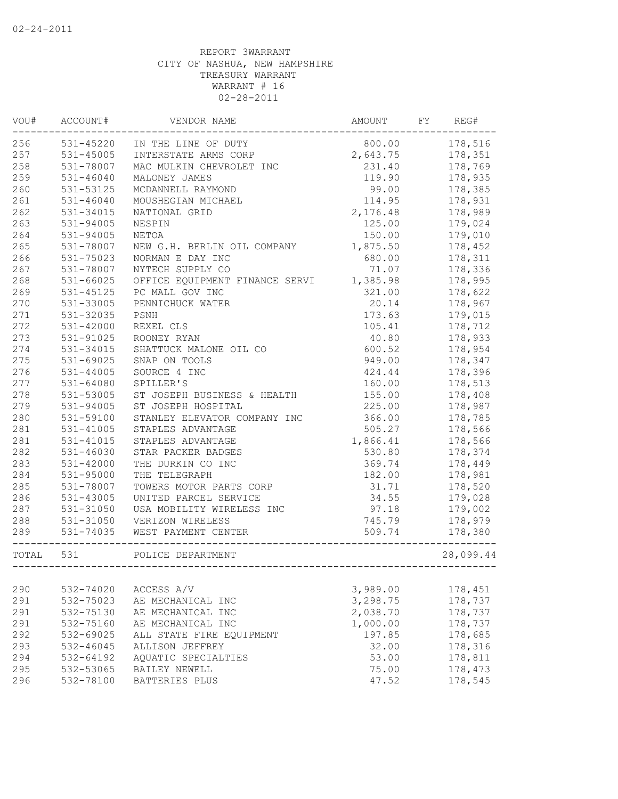| VOU#       | ACCOUNT#               | VENDOR NAME                     | AMOUNT               | FY | REG#               |
|------------|------------------------|---------------------------------|----------------------|----|--------------------|
| 256        | 531-45220              | IN THE LINE OF DUTY             | 800.00               |    | 178,516            |
| 257        | 531-45005              | INTERSTATE ARMS CORP            | 2,643.75             |    | 178,351            |
| 258        | 531-78007              | MAC MULKIN CHEVROLET INC        | 231.40               |    | 178,769            |
| 259        | $531 - 46040$          | MALONEY JAMES                   | 119.90               |    | 178,935            |
| 260        | 531-53125              | MCDANNELL RAYMOND               | 99.00                |    | 178,385            |
| 261        | $531 - 46040$          | MOUSHEGIAN MICHAEL              | 114.95               |    | 178,931            |
| 262        | 531-34015              | NATIONAL GRID                   | 2,176.48             |    | 178,989            |
| 263        | 531-94005              | NESPIN                          | 125.00               |    | 179,024            |
| 264        | $531 - 94005$          | NETOA                           | 150.00               |    | 179,010            |
| 265        | 531-78007              | NEW G.H. BERLIN OIL COMPANY     | 1,875.50             |    | 178,452            |
| 266        | 531-75023              | NORMAN E DAY INC                | 680.00               |    | 178,311            |
| 267        | 531-78007              | NYTECH SUPPLY CO                | 71.07                |    | 178,336            |
| 268        | $531 - 66025$          | OFFICE EQUIPMENT FINANCE SERVI  | 1,385.98             |    | 178,995            |
| 269        | 531-45125              | PC MALL GOV INC                 | 321.00               |    | 178,622            |
| 270        | 531-33005              | PENNICHUCK WATER                | 20.14                |    | 178,967            |
| 271        | 531-32035              | PSNH                            | 173.63               |    | 179,015            |
| 272        | 531-42000              | REXEL CLS                       | 105.41               |    | 178,712            |
| 273        | 531-91025              | ROONEY RYAN                     | 40.80                |    | 178,933            |
| 274        | 531-34015              | SHATTUCK MALONE OIL CO          | 600.52               |    | 178,954            |
| 275        | 531-69025              | SNAP ON TOOLS                   | 949.00               |    | 178,347            |
| 276        | $531 - 44005$          | SOURCE 4 INC                    | 424.44               |    | 178,396            |
| 277        | $531 - 64080$          | SPILLER'S                       | 160.00               |    | 178,513            |
| 278        | 531-53005              | ST JOSEPH BUSINESS & HEALTH     | 155.00               |    | 178,408            |
| 279        | 531-94005              | ST JOSEPH HOSPITAL              | 225.00               |    | 178,987            |
| 280        | 531-59100              | STANLEY ELEVATOR COMPANY INC    | 366.00               |    | 178,785            |
| 281        | $531 - 41005$          | STAPLES ADVANTAGE               | 505.27               |    | 178,566            |
| 281        | $531 - 41015$          | STAPLES ADVANTAGE               | 1,866.41             |    | 178,566            |
| 282        | $531 - 46030$          | STAR PACKER BADGES              | 530.80               |    | 178,374            |
| 283        | 531-42000              | THE DURKIN CO INC               | 369.74               |    | 178,449            |
| 284        | 531-95000              | THE TELEGRAPH                   | 182.00               |    | 178,981            |
| 285        | 531-78007              | TOWERS MOTOR PARTS CORP         | 31.71                |    | 178,520            |
| 286        | $531 - 43005$          | UNITED PARCEL SERVICE           | 34.55                |    | 179,028            |
| 287        | 531-31050              | USA MOBILITY WIRELESS INC       | 97.18                |    | 179,002            |
| 288        | 531-31050              | VERIZON WIRELESS                | 745.79               |    | 178,979            |
| 289        | 531-74035              | WEST PAYMENT CENTER             | 509.74               |    |                    |
|            |                        |                                 |                      |    | 178,380            |
| TOTAL      | 531                    | POLICE DEPARTMENT               |                      |    | 28,099.44          |
|            |                        |                                 |                      |    |                    |
| 290<br>291 | 532-74020<br>532-75023 | ACCESS A/V<br>AE MECHANICAL INC | 3,989.00<br>3,298.75 |    | 178,451<br>178,737 |
|            |                        | AE MECHANICAL INC               | 2,038.70             |    | 178,737            |
| 291        | 532-75130              |                                 |                      |    |                    |
| 291        | 532-75160              | AE MECHANICAL INC               | 1,000.00             |    | 178,737            |
| 292        | 532-69025              | ALL STATE FIRE EQUIPMENT        | 197.85               |    | 178,685            |
| 293        | 532-46045              | ALLISON JEFFREY                 | 32.00                |    | 178,316            |
| 294        | 532-64192              | AQUATIC SPECIALTIES             | 53.00                |    | 178,811            |
| 295        | 532-53065              | BAILEY NEWELL                   | 75.00                |    | 178,473            |
| 296        | 532-78100              | BATTERIES PLUS                  | 47.52                |    | 178,545            |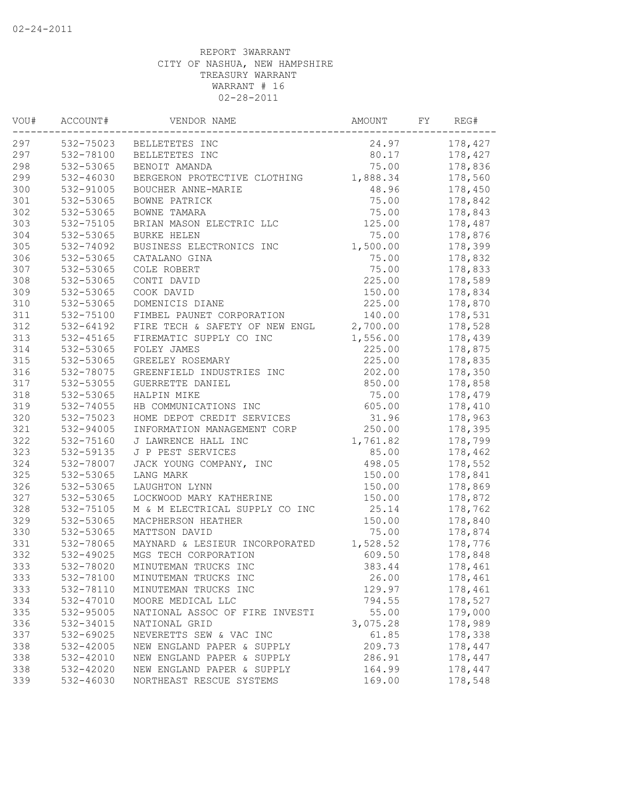| VOU# | ACCOUNT#      | VENDOR NAME                    | AMOUNT   | FY | REG#    |
|------|---------------|--------------------------------|----------|----|---------|
| 297  | 532-75023     | BELLETETES INC                 | 24.97    |    | 178,427 |
| 297  | 532-78100     | BELLETETES INC                 | 80.17    |    | 178,427 |
| 298  | 532-53065     | BENOIT AMANDA                  | 75.00    |    | 178,836 |
| 299  | $532 - 46030$ | BERGERON PROTECTIVE CLOTHING   | 1,888.34 |    | 178,560 |
| 300  | 532-91005     | BOUCHER ANNE-MARIE             | 48.96    |    | 178,450 |
| 301  | 532-53065     | BOWNE PATRICK                  | 75.00    |    | 178,842 |
| 302  | 532-53065     | BOWNE TAMARA                   | 75.00    |    | 178,843 |
| 303  | 532-75105     | BRIAN MASON ELECTRIC LLC       | 125.00   |    | 178,487 |
| 304  | 532-53065     | <b>BURKE HELEN</b>             | 75.00    |    | 178,876 |
| 305  | 532-74092     | BUSINESS ELECTRONICS INC       | 1,500.00 |    | 178,399 |
| 306  | 532-53065     | CATALANO GINA                  | 75.00    |    | 178,832 |
| 307  | 532-53065     | COLE ROBERT                    | 75.00    |    | 178,833 |
| 308  | 532-53065     | CONTI DAVID                    | 225.00   |    | 178,589 |
| 309  | 532-53065     | COOK DAVID                     | 150.00   |    | 178,834 |
| 310  | 532-53065     | DOMENICIS DIANE                | 225.00   |    | 178,870 |
| 311  | 532-75100     | FIMBEL PAUNET CORPORATION      | 140.00   |    | 178,531 |
| 312  | 532-64192     | FIRE TECH & SAFETY OF NEW ENGL | 2,700.00 |    | 178,528 |
| 313  | 532-45165     | FIREMATIC SUPPLY CO INC        | 1,556.00 |    | 178,439 |
| 314  | 532-53065     | FOLEY JAMES                    | 225.00   |    | 178,875 |
| 315  | 532-53065     | GREELEY ROSEMARY               | 225.00   |    | 178,835 |
| 316  | 532-78075     | GREENFIELD INDUSTRIES INC      | 202.00   |    | 178,350 |
| 317  | 532-53055     | GUERRETTE DANIEL               | 850.00   |    | 178,858 |
| 318  | 532-53065     | HALPIN MIKE                    | 75.00    |    | 178,479 |
| 319  | 532-74055     | HB COMMUNICATIONS INC          | 605.00   |    | 178,410 |
| 320  | 532-75023     | HOME DEPOT CREDIT SERVICES     | 31.96    |    | 178,963 |
| 321  | 532-94005     | INFORMATION MANAGEMENT CORP    | 250.00   |    | 178,395 |
| 322  | 532-75160     | J LAWRENCE HALL INC            | 1,761.82 |    | 178,799 |
| 323  | 532-59135     | J P PEST SERVICES              | 85.00    |    | 178,462 |
| 324  | 532-78007     | JACK YOUNG COMPANY, INC        | 498.05   |    | 178,552 |
| 325  | 532-53065     | LANG MARK                      | 150.00   |    | 178,841 |
| 326  | 532-53065     | LAUGHTON LYNN                  | 150.00   |    | 178,869 |
| 327  | 532-53065     | LOCKWOOD MARY KATHERINE        | 150.00   |    | 178,872 |
| 328  | 532-75105     | M & M ELECTRICAL SUPPLY CO INC | 25.14    |    | 178,762 |
| 329  | 532-53065     | MACPHERSON HEATHER             | 150.00   |    | 178,840 |
| 330  | 532-53065     | MATTSON DAVID                  | 75.00    |    | 178,874 |
| 331  | 532-78065     | MAYNARD & LESIEUR INCORPORATED | 1,528.52 |    | 178,776 |
| 332  | 532-49025     | MGS TECH CORPORATION           | 609.50   |    | 178,848 |
| 333  | 532-78020     | MINUTEMAN TRUCKS INC           | 383.44   |    | 178,461 |
| 333  | 532-78100     | MINUTEMAN TRUCKS INC           | 26.00    |    | 178,461 |
| 333  | 532-78110     | MINUTEMAN TRUCKS INC           | 129.97   |    | 178,461 |
| 334  | 532-47010     | MOORE MEDICAL LLC              | 794.55   |    | 178,527 |
| 335  | 532-95005     | NATIONAL ASSOC OF FIRE INVESTI | 55.00    |    | 179,000 |
| 336  | 532-34015     | NATIONAL GRID                  | 3,075.28 |    | 178,989 |
| 337  | 532-69025     | NEVERETTS SEW & VAC INC        | 61.85    |    | 178,338 |
| 338  | 532-42005     | NEW ENGLAND PAPER & SUPPLY     | 209.73   |    | 178,447 |
| 338  | 532-42010     | NEW ENGLAND PAPER & SUPPLY     | 286.91   |    | 178,447 |
| 338  | 532-42020     | NEW ENGLAND PAPER & SUPPLY     | 164.99   |    | 178,447 |
| 339  | 532-46030     | NORTHEAST RESCUE SYSTEMS       | 169.00   |    | 178,548 |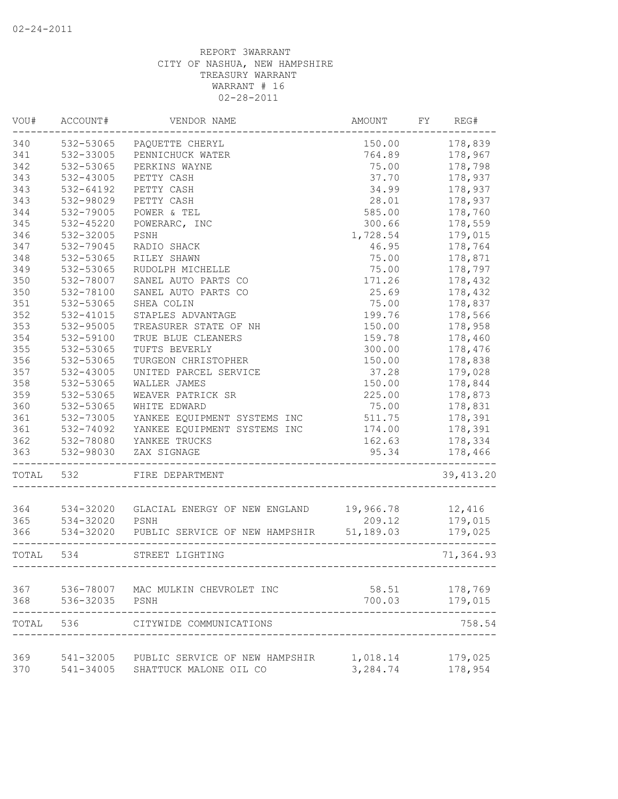| VOU#  | ACCOUNT#      | VENDOR NAME                              | AMOUNT    | FY | REG#       |
|-------|---------------|------------------------------------------|-----------|----|------------|
| 340   | 532-53065     | PAQUETTE CHERYL                          | 150.00    |    | 178,839    |
| 341   | 532-33005     | PENNICHUCK WATER                         | 764.89    |    | 178,967    |
| 342   | 532-53065     | PERKINS WAYNE                            | 75.00     |    | 178,798    |
| 343   | 532-43005     | PETTY CASH                               | 37.70     |    | 178,937    |
| 343   | 532-64192     | PETTY CASH                               | 34.99     |    | 178,937    |
| 343   | 532-98029     | PETTY CASH                               | 28.01     |    | 178,937    |
| 344   | 532-79005     | POWER & TEL                              | 585.00    |    | 178,760    |
| 345   | 532-45220     | POWERARC, INC                            | 300.66    |    | 178,559    |
| 346   | 532-32005     | PSNH                                     | 1,728.54  |    | 179,015    |
| 347   | 532-79045     | RADIO SHACK                              | 46.95     |    | 178,764    |
| 348   | 532-53065     | RILEY SHAWN                              | 75.00     |    | 178,871    |
| 349   | 532-53065     | RUDOLPH MICHELLE                         | 75.00     |    | 178,797    |
| 350   | 532-78007     | SANEL AUTO PARTS CO                      | 171.26    |    | 178,432    |
| 350   | 532-78100     | SANEL AUTO PARTS CO                      | 25.69     |    | 178,432    |
| 351   | 532-53065     | SHEA COLIN                               | 75.00     |    | 178,837    |
| 352   | 532-41015     | STAPLES ADVANTAGE                        | 199.76    |    | 178,566    |
| 353   | $532 - 95005$ | TREASURER STATE OF NH                    | 150.00    |    | 178,958    |
| 354   | 532-59100     | TRUE BLUE CLEANERS                       | 159.78    |    | 178,460    |
| 355   | 532-53065     | TUFTS BEVERLY                            | 300.00    |    | 178,476    |
| 356   | 532-53065     | TURGEON CHRISTOPHER                      | 150.00    |    | 178,838    |
| 357   | 532-43005     | UNITED PARCEL SERVICE                    | 37.28     |    | 179,028    |
| 358   | 532-53065     | WALLER JAMES                             | 150.00    |    | 178,844    |
| 359   | 532-53065     | WEAVER PATRICK SR                        | 225.00    |    | 178,873    |
| 360   | 532-53065     | WHITE EDWARD                             | 75.00     |    | 178,831    |
| 361   | 532-73005     | YANKEE EQUIPMENT SYSTEMS INC             | 511.75    |    | 178,391    |
| 361   | 532-74092     | YANKEE EQUIPMENT SYSTEMS INC             | 174.00    |    | 178,391    |
| 362   |               | 532-78080 YANKEE TRUCKS                  | 162.63    |    | 178,334    |
| 363   | 532-98030     | ZAX SIGNAGE                              | 95.34     |    | 178,466    |
| TOTAL | 532           | FIRE DEPARTMENT                          |           |    | 39, 413.20 |
| 364   | 534-32020     | GLACIAL ENERGY OF NEW ENGLAND            | 19,966.78 |    | 12,416     |
| 365   | 534-32020     | PSNH                                     | 209.12    |    | 179,015    |
| 366   | 534-32020     | PUBLIC SERVICE OF NEW HAMPSHIR           | 51,189.03 |    | 179,025    |
| TOTAL | 534           | STREET LIGHTING                          |           |    | 71,364.93  |
| 367   |               | 536-78007 MAC MULKIN CHEVROLET INC       | 58.51     |    | 178,769    |
| 368   | 536-32035     | PSNH                                     | 700.03    |    | 179,015    |
| TOTAL | 536           | CITYWIDE COMMUNICATIONS                  |           |    | 758.54     |
| 369   |               | 541-32005 PUBLIC SERVICE OF NEW HAMPSHIR | 1,018.14  |    | 179,025    |
| 370   |               | 541-34005 SHATTUCK MALONE OIL CO         | 3,284.74  |    | 178,954    |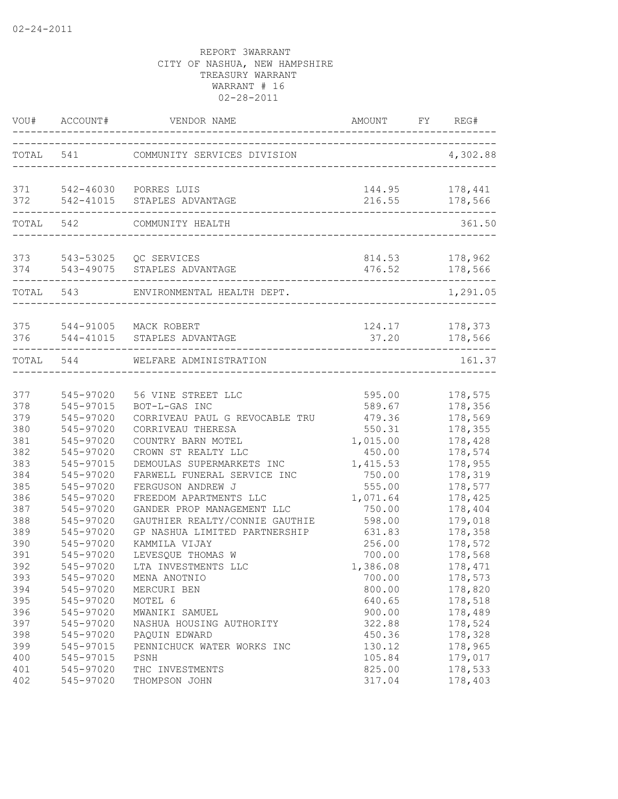|                          | VOU# ACCOUNT#                                    | VENDOR NAME                                                                                      | AMOUNT FY REG#                         |                                          |
|--------------------------|--------------------------------------------------|--------------------------------------------------------------------------------------------------|----------------------------------------|------------------------------------------|
|                          |                                                  | TOTAL 541 COMMUNITY SERVICES DIVISION                                                            |                                        | 4,302.88                                 |
| 372                      |                                                  | 371 542-46030 PORRES LUIS<br>542-41015 STAPLES ADVANTAGE                                         |                                        | 144.95 178,441<br>216.55 178,566         |
|                          | TOTAL 542                                        | COMMUNITY HEALTH                                                                                 |                                        | 361.50                                   |
|                          |                                                  | 373 543-53025 QC SERVICES<br>374 543-49075 STAPLES ADVANTAGE<br>---------                        | 814.53                                 | 178,962<br>476.52 178,566                |
|                          | TOTAL 543                                        | ENVIRONMENTAL HEALTH DEPT.                                                                       |                                        | 1,291.05                                 |
|                          |                                                  | 375 544-91005 MACK ROBERT<br>376 544-41015 STAPLES ADVANTAGE                                     | 37.20                                  | 124.17 178,373<br>178,566                |
|                          | TOTAL 544                                        | WELFARE ADMINISTRATION                                                                           |                                        | 161.37                                   |
| 377<br>378               | 545-97020<br>545-97015                           | 56 VINE STREET LLC<br>BOT-L-GAS INC                                                              | 595.00<br>589.67                       | 178,575<br>178,356                       |
| 379<br>380<br>381<br>382 | 545-97020<br>545-97020<br>545-97020<br>545-97020 | CORRIVEAU PAUL G REVOCABLE TRU<br>CORRIVEAU THERESA<br>COUNTRY BARN MOTEL<br>CROWN ST REALTY LLC | 479.36<br>550.31<br>1,015.00<br>450.00 | 178,569<br>178,355<br>178,428<br>178,574 |
| 383<br>384<br>385        | 545-97015<br>545-97020<br>545-97020              | DEMOULAS SUPERMARKETS INC<br>FARWELL FUNERAL SERVICE INC<br>FERGUSON ANDREW J                    | 1,415.53<br>750.00<br>555.00           | 178,955<br>178,319<br>178,577            |
| 386<br>387<br>388        | 545-97020<br>545-97020<br>545-97020              | FREEDOM APARTMENTS LLC<br>GANDER PROP MANAGEMENT LLC<br>GAUTHIER REALTY/CONNIE GAUTHIE           | 1,071.64<br>750.00<br>598.00           | 178,425<br>178,404<br>179,018            |
| 389<br>390<br>391        | 545-97020<br>545-97020<br>545-97020              | GP NASHUA LIMITED PARTNERSHIP<br>KAMMILA VIJAY<br>LEVESQUE THOMAS W                              | 631.83<br>256.00<br>700.00             | 178,358<br>178,572<br>178,568            |
| 392<br>393<br>394        | 545-97020<br>545-97020<br>545-97020              | LTA INVESTMENTS LLC<br>MENA ANOTNIO<br>MERCURI BEN                                               | 1,386.08<br>700.00<br>800.00           | 178,471<br>178,573<br>178,820            |
| 395<br>396               | 545-97020<br>545-97020<br>545-97020              | MOTEL 6<br>MWANIKI SAMUEL                                                                        | 640.65<br>900.00                       | 178,518<br>178,489                       |
| 397<br>398<br>399        | 545-97020<br>545-97015                           | NASHUA HOUSING AUTHORITY<br>PAQUIN EDWARD<br>PENNICHUCK WATER WORKS INC                          | 322.88<br>450.36<br>130.12             | 178,524<br>178,328<br>178,965            |
| 400<br>401<br>402        | 545-97015<br>545-97020<br>545-97020              | PSNH<br>THC INVESTMENTS<br>THOMPSON JOHN                                                         | 105.84<br>825.00<br>317.04             | 179,017<br>178,533<br>178,403            |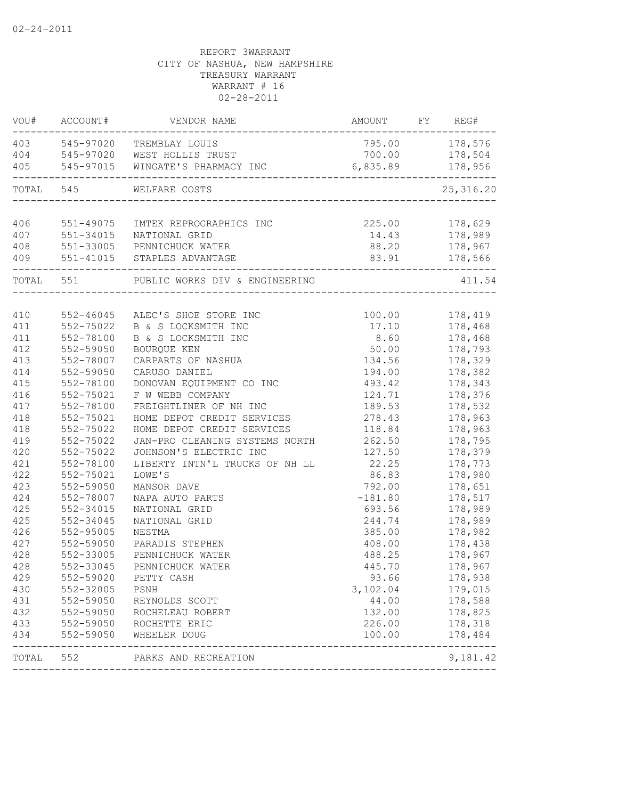|            | VOU# ACCOUNT# | VENDOR NAME                                                                                       | AMOUNT FY REG#              |                |
|------------|---------------|---------------------------------------------------------------------------------------------------|-----------------------------|----------------|
|            |               | 403 545-97020 TREMBLAY LOUIS                                                                      | 795.00 178,576              |                |
|            |               | 404 545-97020 WEST HOLLIS TRUST                                                                   |                             | 700.00 178,504 |
| 405        |               | 545-97015 WINGATE'S PHARMACY INC 6,835.89 178,956                                                 |                             |                |
| TOTAL 545  |               | WELFARE COSTS<br>___________________________________                                              |                             | 25, 316.20     |
|            |               |                                                                                                   |                             |                |
| 406        |               | 551-49075 IMTEK REPROGRAPHICS INC                                                                 | 225.00 178,629              |                |
| 407        |               | 551-34015 NATIONAL GRID                                                                           |                             | 14.43 178,989  |
| 408<br>409 |               | 551-33005 PENNICHUCK WATER<br>551-41015 STAPLES ADVANTAGE                                         | 83.91 178,566               | 88.20 178,967  |
|            |               |                                                                                                   | --------------------------- |                |
|            |               | TOTAL 551 PUBLIC WORKS DIV & ENGINEERING                                                          |                             | 411.54         |
| 410        |               | 552-46045 ALEC'S SHOE STORE INC<br>552-75022 B & S LOCKSMITH INC<br>552-78100 B & S LOCKSMITH INC |                             | 100.00 178,419 |
| 411        |               |                                                                                                   | 17.10                       | 178,468        |
| 411        |               |                                                                                                   | 8.60                        | 178,468        |
| 412        | 552-59050     | BOURQUE KEN                                                                                       | 50.00                       | 178,793        |
| 413        | 552-78007     | CARPARTS OF NASHUA                                                                                | 134.56                      | 178,329        |
| 414        | 552-59050     | CARUSO DANIEL                                                                                     | 194.00                      | 178,382        |
| 415        | 552-78100     | DONOVAN EQUIPMENT CO INC                                                                          | 493.42                      | 178,343        |
| 416        | 552-75021     | F W WEBB COMPANY                                                                                  | 124.71                      | 178,376        |
| 417        | 552-78100     | FREIGHTLINER OF NH INC                                                                            | 189.53                      | 178,532        |
| 418        | 552-75021     | HOME DEPOT CREDIT SERVICES                                                                        | 278.43                      | 178,963        |
| 418        | 552-75022     | HOME DEPOT CREDIT SERVICES                                                                        | 118.84                      | 178,963        |
| 419        | 552-75022     | JAN-PRO CLEANING SYSTEMS NORTH                                                                    | 262.50                      | 178,795        |
| 420        | 552-75022     | JOHNSON'S ELECTRIC INC                                                                            | 127.50                      | 178,379        |
| 421        | 552-78100     | LIBERTY INTN'L TRUCKS OF NH LL                                                                    | 22.25                       | 178,773        |
| 422        | 552-75021     | LOWE'S                                                                                            | 86.83                       | 178,980        |
| 423        | 552-59050     | MANSOR DAVE                                                                                       | 792.00                      | 178,651        |
| 424        | 552-78007     | NAPA AUTO PARTS                                                                                   | $-181.80$                   | 178,517        |
| 425        | 552-34015     | NATIONAL GRID                                                                                     | 693.56                      | 178,989        |
| 425        | 552-34045     | NATIONAL GRID                                                                                     | 244.74                      | 178,989        |
| 426        | 552-95005     | NESTMA                                                                                            | 385.00                      | 178,982        |
| 427        | 552-59050     | PARADIS STEPHEN                                                                                   | 408.00                      | 178,438        |
| 428        | 552-33005     | PENNICHUCK WATER                                                                                  | 488.25                      | 178,967        |
| 428        | 552-33045     | PENNICHUCK WATER                                                                                  | 445.70                      | 178,967        |
| 429        | 552-59020     | PETTY CASH                                                                                        | 93.66                       | 178,938        |
| 430        | 552-32005     | PSNH                                                                                              | 3,102.04                    | 179,015        |
| 431        | 552-59050     | REYNOLDS SCOTT                                                                                    | 44.00                       | 178,588        |
| 432        | 552-59050     | ROCHELEAU ROBERT                                                                                  | 132.00                      | 178,825        |
| 433        | 552-59050     | ROCHETTE ERIC                                                                                     | 226.00                      | 178,318        |
| 434        | 552-59050     | WHEELER DOUG                                                                                      | 100.00                      | 178,484        |
| TOTAL      | 552           | PARKS AND RECREATION                                                                              |                             | 9,181.42       |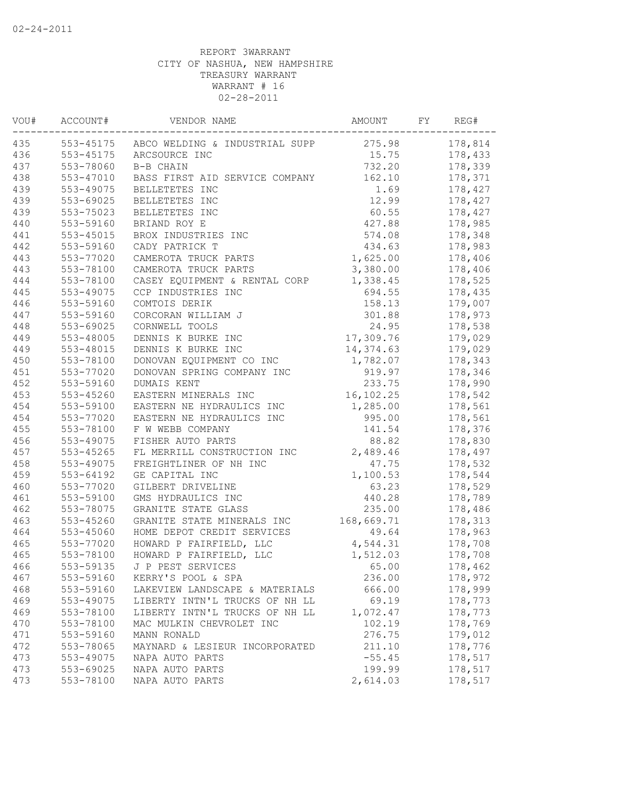| VOU# | ACCOUNT#  | VENDOR NAME                              | AMOUNT      | FY | REG#    |
|------|-----------|------------------------------------------|-------------|----|---------|
| 435  |           | 553-45175 ABCO WELDING & INDUSTRIAL SUPP | 275.98      |    | 178,814 |
| 436  | 553-45175 | ARCSOURCE INC                            | 15.75       |    | 178,433 |
| 437  | 553-78060 | B-B CHAIN                                | 732.20      |    | 178,339 |
| 438  | 553-47010 | BASS FIRST AID SERVICE COMPANY           | 162.10      |    | 178,371 |
| 439  | 553-49075 | BELLETETES INC                           | 1.69        |    | 178,427 |
| 439  | 553-69025 | BELLETETES INC                           | 12.99       |    | 178,427 |
| 439  | 553-75023 | BELLETETES INC                           | 60.55       |    | 178,427 |
| 440  | 553-59160 | BRIAND ROY E                             | 427.88      |    | 178,985 |
| 441  | 553-45015 | BROX INDUSTRIES INC                      | 574.08      |    | 178,348 |
| 442  | 553-59160 | CADY PATRICK T                           | 434.63      |    | 178,983 |
| 443  | 553-77020 | CAMEROTA TRUCK PARTS                     | 1,625.00    |    | 178,406 |
| 443  | 553-78100 | CAMEROTA TRUCK PARTS                     | 3,380.00    |    | 178,406 |
| 444  | 553-78100 | CASEY EQUIPMENT & RENTAL CORP            | 1,338.45    |    | 178,525 |
| 445  | 553-49075 | CCP INDUSTRIES INC                       | 694.55      |    | 178,435 |
| 446  | 553-59160 | COMTOIS DERIK                            | 158.13      |    | 179,007 |
| 447  | 553-59160 | CORCORAN WILLIAM J                       | 301.88      |    | 178,973 |
| 448  | 553-69025 | CORNWELL TOOLS                           | 24.95       |    | 178,538 |
| 449  | 553-48005 | DENNIS K BURKE INC                       | 17,309.76   |    | 179,029 |
| 449  | 553-48015 | DENNIS K BURKE INC                       | 14,374.63   |    | 179,029 |
| 450  | 553-78100 | DONOVAN EQUIPMENT CO INC                 | 1,782.07    |    | 178,343 |
| 451  | 553-77020 | DONOVAN SPRING COMPANY INC               | 919.97      |    | 178,346 |
| 452  | 553-59160 | DUMAIS KENT                              | 233.75      |    | 178,990 |
| 453  | 553-45260 | EASTERN MINERALS INC                     | 16, 102. 25 |    | 178,542 |
| 454  | 553-59100 | EASTERN NE HYDRAULICS INC                | 1,285.00    |    | 178,561 |
| 454  | 553-77020 | EASTERN NE HYDRAULICS INC                | 995.00      |    | 178,561 |
| 455  | 553-78100 | F W WEBB COMPANY                         | 141.54      |    | 178,376 |
| 456  | 553-49075 | FISHER AUTO PARTS                        | 88.82       |    | 178,830 |
| 457  | 553-45265 | FL MERRILL CONSTRUCTION INC              | 2,489.46    |    | 178,497 |
| 458  | 553-49075 |                                          | 47.75       |    |         |
| 459  | 553-64192 | FREIGHTLINER OF NH INC                   | 1,100.53    |    | 178,532 |
|      |           | GE CAPITAL INC                           |             |    | 178,544 |
| 460  | 553-77020 | GILBERT DRIVELINE                        | 63.23       |    | 178,529 |
| 461  | 553-59100 | GMS HYDRAULICS INC                       | 440.28      |    | 178,789 |
| 462  | 553-78075 | GRANITE STATE GLASS                      | 235.00      |    | 178,486 |
| 463  | 553-45260 | GRANITE STATE MINERALS INC               | 168,669.71  |    | 178,313 |
| 464  | 553-45060 | HOME DEPOT CREDIT SERVICES               | 49.64       |    | 178,963 |
| 465  | 553-77020 | HOWARD P FAIRFIELD, LLC                  | 4,544.31    |    | 178,708 |
| 465  | 553-78100 | HOWARD P FAIRFIELD, LLC                  | 1,512.03    |    | 178,708 |
| 466  | 553-59135 | J P PEST SERVICES                        | 65.00       |    | 178,462 |
| 467  | 553-59160 | KERRY'S POOL & SPA                       | 236.00      |    | 178,972 |
| 468  | 553-59160 | LAKEVIEW LANDSCAPE & MATERIALS           | 666.00      |    | 178,999 |
| 469  | 553-49075 | LIBERTY INTN'L TRUCKS OF NH LL           | 69.19       |    | 178,773 |
| 469  | 553-78100 | LIBERTY INTN'L TRUCKS OF NH LL           | 1,072.47    |    | 178,773 |
| 470  | 553-78100 | MAC MULKIN CHEVROLET INC                 | 102.19      |    | 178,769 |
| 471  | 553-59160 | MANN RONALD                              | 276.75      |    | 179,012 |
| 472  | 553-78065 | MAYNARD & LESIEUR INCORPORATED           | 211.10      |    | 178,776 |
| 473  | 553-49075 | NAPA AUTO PARTS                          | $-55.45$    |    | 178,517 |
| 473  | 553-69025 | NAPA AUTO PARTS                          | 199.99      |    | 178,517 |
| 473  | 553-78100 | NAPA AUTO PARTS                          | 2,614.03    |    | 178,517 |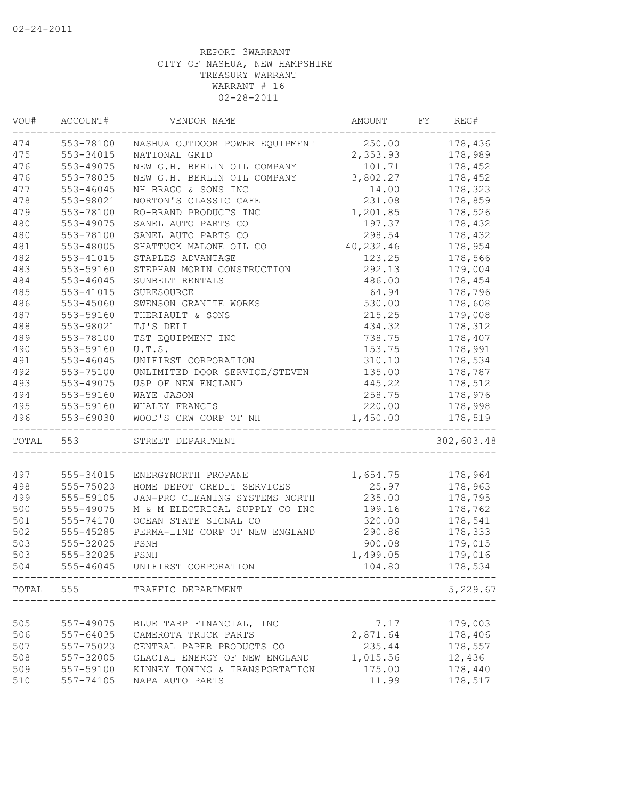| VOU# | ACCOUNT#      | VENDOR NAME                           | AMOUNT    | FY REG#    |
|------|---------------|---------------------------------------|-----------|------------|
| 474  | 553-78100     | NASHUA OUTDOOR POWER EQUIPMENT 250.00 |           | 178,436    |
| 475  | 553-34015     | NATIONAL GRID                         | 2,353.93  | 178,989    |
| 476  | 553-49075     | NEW G.H. BERLIN OIL COMPANY           | 101.71    | 178,452    |
| 476  | 553-78035     | NEW G.H. BERLIN OIL COMPANY 3,802.27  |           | 178,452    |
| 477  | 553-46045     | NH BRAGG & SONS INC                   | 14.00     | 178,323    |
| 478  | 553-98021     | NORTON'S CLASSIC CAFE                 | 231.08    | 178,859    |
| 479  | 553-78100     | RO-BRAND PRODUCTS INC                 | 1,201.85  | 178,526    |
| 480  | 553-49075     | SANEL AUTO PARTS CO                   | 197.37    | 178,432    |
| 480  | 553-78100     | SANEL AUTO PARTS CO                   | 298.54    | 178,432    |
| 481  | 553-48005     | SHATTUCK MALONE OIL CO                | 40,232.46 | 178,954    |
| 482  | 553-41015     | STAPLES ADVANTAGE                     | 123.25    | 178,566    |
| 483  | 553-59160     | STEPHAN MORIN CONSTRUCTION            | 292.13    | 179,004    |
| 484  | 553-46045     | SUNBELT RENTALS                       | 486.00    | 178,454    |
| 485  | 553-41015     | SURESOURCE                            | 64.94     | 178,796    |
| 486  | 553-45060     | SWENSON GRANITE WORKS                 | 530.00    | 178,608    |
| 487  | 553-59160     | THERIAULT & SONS                      | 215.25    | 179,008    |
| 488  | 553-98021     | TJ'S DELI                             | 434.32    | 178,312    |
| 489  | 553-78100     | TST EQUIPMENT INC                     | 738.75    | 178,407    |
| 490  | 553-59160     | U.T.S.                                | 153.75    | 178,991    |
| 491  | $553 - 46045$ | UNIFIRST CORPORATION                  | 310.10    | 178,534    |
| 492  | 553-75100     | UNLIMITED DOOR SERVICE/STEVEN         | 135.00    | 178,787    |
| 493  | 553-49075     | USP OF NEW ENGLAND                    | 445.22    | 178,512    |
| 494  | 553-59160     | WAYE JASON                            | 258.75    | 178,976    |
| 495  | 553-59160     | WHALEY FRANCIS                        | 220.00    | 178,998    |
| 496  | 553-69030     | WOOD'S CRW CORP OF NH                 | 1,450.00  | 178,519    |
|      | TOTAL 553     | STREET DEPARTMENT                     |           | 302,603.48 |
|      |               |                                       |           |            |
| 497  | 555-34015     | ENERGYNORTH PROPANE                   | 1,654.75  | 178,964    |
| 498  | 555-75023     | HOME DEPOT CREDIT SERVICES            | 25.97     | 178,963    |
| 499  | 555-59105     | JAN-PRO CLEANING SYSTEMS NORTH        | 235.00    | 178,795    |
| 500  | 555-49075     | M & M ELECTRICAL SUPPLY CO INC        | 199.16    | 178,762    |
| 501  | 555-74170     | OCEAN STATE SIGNAL CO                 | 320.00    | 178,541    |
| 502  | 555-45285     | PERMA-LINE CORP OF NEW ENGLAND        | 290.86    | 178,333    |
| 503  | 555-32025     | PSNH                                  | 900.08    | 179,015    |
| 503  | 555-32025     | PSNH                                  | 1,499.05  | 179,016    |
| 504  | $555 - 46045$ | UNIFIRST CORPORATION                  | 104.80    | 178,534    |
|      |               | TOTAL 555 TRAFFIC DEPARTMENT          |           | 5,229.67   |
|      |               |                                       |           |            |
| 505  | 557-49075     | BLUE TARP FINANCIAL, INC              | 7.17      | 179,003    |
| 506  | 557-64035     | CAMEROTA TRUCK PARTS                  | 2,871.64  | 178,406    |
| 507  | 557-75023     | CENTRAL PAPER PRODUCTS CO             | 235.44    | 178,557    |
| 508  | 557-32005     | GLACIAL ENERGY OF NEW ENGLAND         | 1,015.56  | 12,436     |
| 509  | 557-59100     | KINNEY TOWING & TRANSPORTATION        | 175.00    | 178,440    |
| 510  | 557-74105     | NAPA AUTO PARTS                       | 11.99     | 178,517    |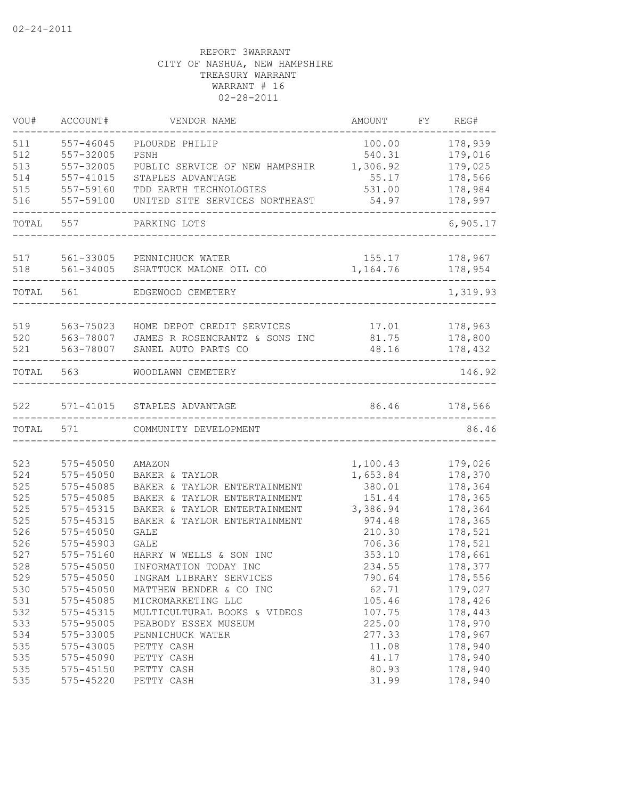| VOU#       | ACCOUNT#               | VENDOR NAME                    | AMOUNT           | FY | REG#               |
|------------|------------------------|--------------------------------|------------------|----|--------------------|
| 511<br>512 | 557-46045<br>557-32005 | PLOURDE PHILIP<br>PSNH         | 100.00<br>540.31 |    | 178,939<br>179,016 |
| 513        | 557-32005              | PUBLIC SERVICE OF NEW HAMPSHIR | 1,306.92         |    | 179,025            |
| 514        | 557-41015              | STAPLES ADVANTAGE              | 55.17            |    | 178,566            |
| 515        | 557-59160              | TDD EARTH TECHNOLOGIES         | 531.00           |    | 178,984            |
| 516        | 557-59100              | UNITED SITE SERVICES NORTHEAST | 54.97            |    | 178,997            |
| TOTAL      | 557                    | PARKING LOTS                   |                  |    | 6,905.17           |
| 517        | 561-33005              | PENNICHUCK WATER               | 155.17           |    | 178,967            |
| 518        | 561-34005              | SHATTUCK MALONE OIL CO         | 1,164.76         |    | 178,954            |
| TOTAL      | 561                    | EDGEWOOD CEMETERY              |                  |    | 1,319.93           |
| 519        | 563-75023              | HOME DEPOT CREDIT SERVICES     | 17.01            |    | 178,963            |
| 520        | 563-78007              | JAMES R ROSENCRANTZ & SONS INC | 81.75            |    | 178,800            |
| 521        | 563-78007              | SANEL AUTO PARTS CO            | 48.16            |    | 178,432            |
| TOTAL      | 563                    | WOODLAWN CEMETERY              |                  |    | 146.92             |
| 522        | 571-41015              | STAPLES ADVANTAGE              | 86.46            |    | 178,566            |
| TOTAL      | 571                    | COMMUNITY DEVELOPMENT          |                  |    | 86.46              |
|            |                        |                                |                  |    |                    |
| 523        | 575-45050              | AMAZON                         | 1,100.43         |    | 179,026            |
| 524        | $575 - 45050$          | BAKER & TAYLOR                 | 1,653.84         |    | 178,370            |
| 525        | 575-45085              | BAKER & TAYLOR ENTERTAINMENT   | 380.01           |    | 178,364            |
| 525        | 575-45085              | BAKER & TAYLOR ENTERTAINMENT   | 151.44           |    | 178,365            |
| 525        | 575-45315              | BAKER & TAYLOR ENTERTAINMENT   | 3,386.94         |    | 178,364            |
| 525        | 575-45315              | BAKER & TAYLOR ENTERTAINMENT   | 974.48           |    | 178,365            |
| 526        | 575-45050              | GALE                           | 210.30           |    | 178,521            |
| 526        | 575-45903              | <b>GALE</b>                    | 706.36           |    | 178,521            |
| 527        | 575-75160              | HARRY W WELLS & SON INC        | 353.10           |    | 178,661            |
| 528        | 575-45050              | INFORMATION TODAY INC          | 234.55           |    | 178,377            |
| 529        | 575-45050              | INGRAM LIBRARY SERVICES        | 790.64           |    | 178,556            |
| 530        | 575-45050              | MATTHEW BENDER & CO INC        | 62.71            |    | 179,027            |
| 531        | 575-45085              | MICROMARKETING LLC             | 105.46           |    | 178,426            |
| 532        | 575-45315              | MULTICULTURAL BOOKS & VIDEOS   | 107.75           |    | 178,443            |
| 533        | 575-95005              | PEABODY ESSEX MUSEUM           | 225.00           |    | 178,970            |
| 534        | 575-33005              | PENNICHUCK WATER               | 277.33           |    | 178,967            |
| 535        | 575-43005              | PETTY CASH                     | 11.08            |    | 178,940            |
| 535        | 575-45090              | PETTY CASH                     | 41.17            |    | 178,940            |
| 535        | 575-45150              | PETTY CASH                     | 80.93            |    | 178,940            |
| 535        | $575 - 45220$          | PETTY CASH                     | 31.99            |    | 178,940            |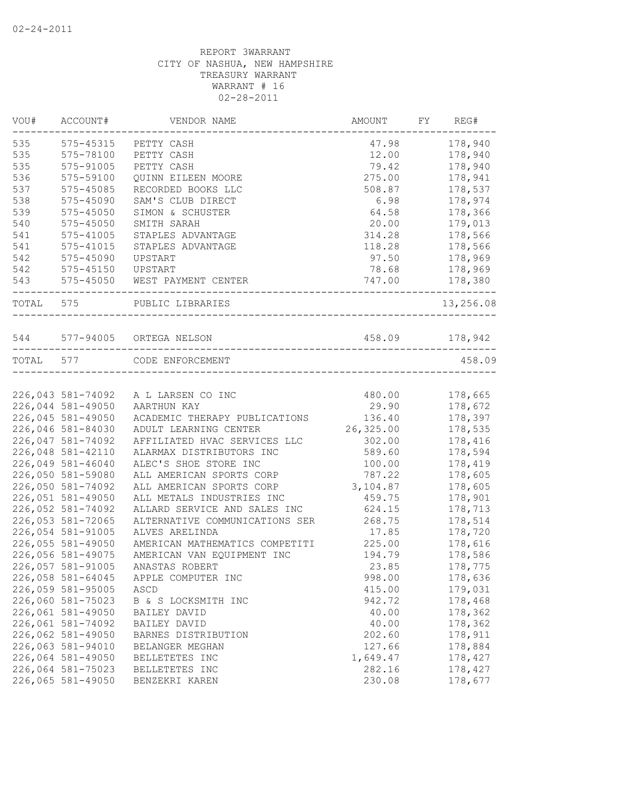| 178,940<br>575-45315<br>47.98<br>PETTY CASH<br>575-78100<br>12.00<br>178,940<br>PETTY CASH<br>575-91005<br>PETTY CASH<br>79.42<br>178,940<br>275.00<br>178,941<br>575-59100<br>QUINN EILEEN MOORE<br>575-45085<br>178,537<br>RECORDED BOOKS LLC<br>508.87<br>575-45090<br>SAM'S CLUB DIRECT<br>6.98<br>178,974<br>575-45050<br>SIMON & SCHUSTER<br>64.58<br>178,366<br>20.00<br>179,013<br>$575 - 45050$<br>SMITH SARAH<br>$575 - 41005$<br>STAPLES ADVANTAGE<br>314.28<br>178,566<br>$575 - 41015$<br>178,566<br>STAPLES ADVANTAGE<br>118.28<br>575-45090<br>97.50<br>178,969<br>UPSTART<br>$575 - 45150$<br>178,969<br>UPSTART<br>78.68<br>747.00<br>575-45050<br>WEST PAYMENT CENTER<br>178,380<br>TOTAL 575<br>PUBLIC LIBRARIES<br>458.09<br>178,942<br>544 577-94005 ORTEGA NELSON<br>TOTAL 577<br>458.09<br>CODE ENFORCEMENT<br>226,043 581-74092<br>480.00<br>178,665<br>A L LARSEN CO INC<br>226,044 581-49050<br>29.90<br>178,672<br>AARTHUN KAY<br>226,045 581-49050<br>136.40<br>178,397<br>ACADEMIC THERAPY PUBLICATIONS<br>226,046 581-84030<br>26,325.00<br>178,535<br>ADULT LEARNING CENTER<br>226,047 581-74092<br>AFFILIATED HVAC SERVICES LLC<br>302.00<br>178,416<br>226,048 581-42110<br>178,594<br>ALARMAX DISTRIBUTORS INC<br>589.60<br>226,049 581-46040<br>ALEC'S SHOE STORE INC<br>178,419<br>100.00<br>226,050 581-59080<br>ALL AMERICAN SPORTS CORP<br>787.22<br>178,605<br>226,050 581-74092<br>3,104.87<br>178,605<br>ALL AMERICAN SPORTS CORP<br>226,051 581-49050<br>178,901<br>ALL METALS INDUSTRIES INC<br>459.75<br>226,052 581-74092<br>ALLARD SERVICE AND SALES INC<br>178,713<br>624.15<br>226,053 581-72065<br>ALTERNATIVE COMMUNICATIONS SER<br>268.75<br>178,514<br>226,054 581-91005<br>17.85<br>178,720<br>ALVES ARELINDA<br>226,055 581-49050<br>225.00<br>178,616<br>AMERICAN MATHEMATICS COMPETITI<br>226,056 581-49075<br>AMERICAN VAN EQUIPMENT INC<br>194.79<br>178,586<br>226,057 581-91005<br>ANASTAS ROBERT<br>23.85<br>178,775<br>226,058 581-64045<br>998.00<br>178,636<br>APPLE COMPUTER INC<br>226,059 581-95005<br>415.00<br>179,031<br>ASCD<br>226,060 581-75023<br>942.72<br>178,468<br>B & S LOCKSMITH INC<br>226,061 581-49050<br>178,362<br>40.00<br>BAILEY DAVID<br>226,061 581-74092<br>178,362<br>40.00<br>BAILEY DAVID<br>226,062 581-49050<br>202.60<br>178,911<br>BARNES DISTRIBUTION<br>226,063 581-94010<br>127.66<br>178,884<br>BELANGER MEGHAN<br>226,064 581-49050<br>1,649.47<br>178,427<br>BELLETETES INC<br>226,064 581-75023<br>282.16<br>178,427<br>BELLETETES INC<br>226,065 581-49050<br>230.08<br>178,677<br>BENZEKRI KAREN | VOU# | ACCOUNT# | VENDOR NAME | AMOUNT | FY | REG#      |
|-------------------------------------------------------------------------------------------------------------------------------------------------------------------------------------------------------------------------------------------------------------------------------------------------------------------------------------------------------------------------------------------------------------------------------------------------------------------------------------------------------------------------------------------------------------------------------------------------------------------------------------------------------------------------------------------------------------------------------------------------------------------------------------------------------------------------------------------------------------------------------------------------------------------------------------------------------------------------------------------------------------------------------------------------------------------------------------------------------------------------------------------------------------------------------------------------------------------------------------------------------------------------------------------------------------------------------------------------------------------------------------------------------------------------------------------------------------------------------------------------------------------------------------------------------------------------------------------------------------------------------------------------------------------------------------------------------------------------------------------------------------------------------------------------------------------------------------------------------------------------------------------------------------------------------------------------------------------------------------------------------------------------------------------------------------------------------------------------------------------------------------------------------------------------------------------------------------------------------------------------------------------------------------------------------------------------------------------------------------------------------------------------------------------------------------------------------------------------------------------------------------------------------------------------------------------------------------------------------------|------|----------|-------------|--------|----|-----------|
|                                                                                                                                                                                                                                                                                                                                                                                                                                                                                                                                                                                                                                                                                                                                                                                                                                                                                                                                                                                                                                                                                                                                                                                                                                                                                                                                                                                                                                                                                                                                                                                                                                                                                                                                                                                                                                                                                                                                                                                                                                                                                                                                                                                                                                                                                                                                                                                                                                                                                                                                                                                                             | 535  |          |             |        |    |           |
|                                                                                                                                                                                                                                                                                                                                                                                                                                                                                                                                                                                                                                                                                                                                                                                                                                                                                                                                                                                                                                                                                                                                                                                                                                                                                                                                                                                                                                                                                                                                                                                                                                                                                                                                                                                                                                                                                                                                                                                                                                                                                                                                                                                                                                                                                                                                                                                                                                                                                                                                                                                                             | 535  |          |             |        |    |           |
|                                                                                                                                                                                                                                                                                                                                                                                                                                                                                                                                                                                                                                                                                                                                                                                                                                                                                                                                                                                                                                                                                                                                                                                                                                                                                                                                                                                                                                                                                                                                                                                                                                                                                                                                                                                                                                                                                                                                                                                                                                                                                                                                                                                                                                                                                                                                                                                                                                                                                                                                                                                                             | 535  |          |             |        |    |           |
|                                                                                                                                                                                                                                                                                                                                                                                                                                                                                                                                                                                                                                                                                                                                                                                                                                                                                                                                                                                                                                                                                                                                                                                                                                                                                                                                                                                                                                                                                                                                                                                                                                                                                                                                                                                                                                                                                                                                                                                                                                                                                                                                                                                                                                                                                                                                                                                                                                                                                                                                                                                                             | 536  |          |             |        |    |           |
|                                                                                                                                                                                                                                                                                                                                                                                                                                                                                                                                                                                                                                                                                                                                                                                                                                                                                                                                                                                                                                                                                                                                                                                                                                                                                                                                                                                                                                                                                                                                                                                                                                                                                                                                                                                                                                                                                                                                                                                                                                                                                                                                                                                                                                                                                                                                                                                                                                                                                                                                                                                                             | 537  |          |             |        |    |           |
|                                                                                                                                                                                                                                                                                                                                                                                                                                                                                                                                                                                                                                                                                                                                                                                                                                                                                                                                                                                                                                                                                                                                                                                                                                                                                                                                                                                                                                                                                                                                                                                                                                                                                                                                                                                                                                                                                                                                                                                                                                                                                                                                                                                                                                                                                                                                                                                                                                                                                                                                                                                                             | 538  |          |             |        |    |           |
|                                                                                                                                                                                                                                                                                                                                                                                                                                                                                                                                                                                                                                                                                                                                                                                                                                                                                                                                                                                                                                                                                                                                                                                                                                                                                                                                                                                                                                                                                                                                                                                                                                                                                                                                                                                                                                                                                                                                                                                                                                                                                                                                                                                                                                                                                                                                                                                                                                                                                                                                                                                                             | 539  |          |             |        |    |           |
|                                                                                                                                                                                                                                                                                                                                                                                                                                                                                                                                                                                                                                                                                                                                                                                                                                                                                                                                                                                                                                                                                                                                                                                                                                                                                                                                                                                                                                                                                                                                                                                                                                                                                                                                                                                                                                                                                                                                                                                                                                                                                                                                                                                                                                                                                                                                                                                                                                                                                                                                                                                                             | 540  |          |             |        |    |           |
|                                                                                                                                                                                                                                                                                                                                                                                                                                                                                                                                                                                                                                                                                                                                                                                                                                                                                                                                                                                                                                                                                                                                                                                                                                                                                                                                                                                                                                                                                                                                                                                                                                                                                                                                                                                                                                                                                                                                                                                                                                                                                                                                                                                                                                                                                                                                                                                                                                                                                                                                                                                                             | 541  |          |             |        |    |           |
|                                                                                                                                                                                                                                                                                                                                                                                                                                                                                                                                                                                                                                                                                                                                                                                                                                                                                                                                                                                                                                                                                                                                                                                                                                                                                                                                                                                                                                                                                                                                                                                                                                                                                                                                                                                                                                                                                                                                                                                                                                                                                                                                                                                                                                                                                                                                                                                                                                                                                                                                                                                                             | 541  |          |             |        |    |           |
|                                                                                                                                                                                                                                                                                                                                                                                                                                                                                                                                                                                                                                                                                                                                                                                                                                                                                                                                                                                                                                                                                                                                                                                                                                                                                                                                                                                                                                                                                                                                                                                                                                                                                                                                                                                                                                                                                                                                                                                                                                                                                                                                                                                                                                                                                                                                                                                                                                                                                                                                                                                                             | 542  |          |             |        |    |           |
|                                                                                                                                                                                                                                                                                                                                                                                                                                                                                                                                                                                                                                                                                                                                                                                                                                                                                                                                                                                                                                                                                                                                                                                                                                                                                                                                                                                                                                                                                                                                                                                                                                                                                                                                                                                                                                                                                                                                                                                                                                                                                                                                                                                                                                                                                                                                                                                                                                                                                                                                                                                                             | 542  |          |             |        |    |           |
|                                                                                                                                                                                                                                                                                                                                                                                                                                                                                                                                                                                                                                                                                                                                                                                                                                                                                                                                                                                                                                                                                                                                                                                                                                                                                                                                                                                                                                                                                                                                                                                                                                                                                                                                                                                                                                                                                                                                                                                                                                                                                                                                                                                                                                                                                                                                                                                                                                                                                                                                                                                                             | 543  |          |             |        |    |           |
|                                                                                                                                                                                                                                                                                                                                                                                                                                                                                                                                                                                                                                                                                                                                                                                                                                                                                                                                                                                                                                                                                                                                                                                                                                                                                                                                                                                                                                                                                                                                                                                                                                                                                                                                                                                                                                                                                                                                                                                                                                                                                                                                                                                                                                                                                                                                                                                                                                                                                                                                                                                                             |      |          |             |        |    | 13,256.08 |
|                                                                                                                                                                                                                                                                                                                                                                                                                                                                                                                                                                                                                                                                                                                                                                                                                                                                                                                                                                                                                                                                                                                                                                                                                                                                                                                                                                                                                                                                                                                                                                                                                                                                                                                                                                                                                                                                                                                                                                                                                                                                                                                                                                                                                                                                                                                                                                                                                                                                                                                                                                                                             |      |          |             |        |    |           |
|                                                                                                                                                                                                                                                                                                                                                                                                                                                                                                                                                                                                                                                                                                                                                                                                                                                                                                                                                                                                                                                                                                                                                                                                                                                                                                                                                                                                                                                                                                                                                                                                                                                                                                                                                                                                                                                                                                                                                                                                                                                                                                                                                                                                                                                                                                                                                                                                                                                                                                                                                                                                             |      |          |             |        |    |           |
|                                                                                                                                                                                                                                                                                                                                                                                                                                                                                                                                                                                                                                                                                                                                                                                                                                                                                                                                                                                                                                                                                                                                                                                                                                                                                                                                                                                                                                                                                                                                                                                                                                                                                                                                                                                                                                                                                                                                                                                                                                                                                                                                                                                                                                                                                                                                                                                                                                                                                                                                                                                                             |      |          |             |        |    |           |
|                                                                                                                                                                                                                                                                                                                                                                                                                                                                                                                                                                                                                                                                                                                                                                                                                                                                                                                                                                                                                                                                                                                                                                                                                                                                                                                                                                                                                                                                                                                                                                                                                                                                                                                                                                                                                                                                                                                                                                                                                                                                                                                                                                                                                                                                                                                                                                                                                                                                                                                                                                                                             |      |          |             |        |    |           |
|                                                                                                                                                                                                                                                                                                                                                                                                                                                                                                                                                                                                                                                                                                                                                                                                                                                                                                                                                                                                                                                                                                                                                                                                                                                                                                                                                                                                                                                                                                                                                                                                                                                                                                                                                                                                                                                                                                                                                                                                                                                                                                                                                                                                                                                                                                                                                                                                                                                                                                                                                                                                             |      |          |             |        |    |           |
|                                                                                                                                                                                                                                                                                                                                                                                                                                                                                                                                                                                                                                                                                                                                                                                                                                                                                                                                                                                                                                                                                                                                                                                                                                                                                                                                                                                                                                                                                                                                                                                                                                                                                                                                                                                                                                                                                                                                                                                                                                                                                                                                                                                                                                                                                                                                                                                                                                                                                                                                                                                                             |      |          |             |        |    |           |
|                                                                                                                                                                                                                                                                                                                                                                                                                                                                                                                                                                                                                                                                                                                                                                                                                                                                                                                                                                                                                                                                                                                                                                                                                                                                                                                                                                                                                                                                                                                                                                                                                                                                                                                                                                                                                                                                                                                                                                                                                                                                                                                                                                                                                                                                                                                                                                                                                                                                                                                                                                                                             |      |          |             |        |    |           |
|                                                                                                                                                                                                                                                                                                                                                                                                                                                                                                                                                                                                                                                                                                                                                                                                                                                                                                                                                                                                                                                                                                                                                                                                                                                                                                                                                                                                                                                                                                                                                                                                                                                                                                                                                                                                                                                                                                                                                                                                                                                                                                                                                                                                                                                                                                                                                                                                                                                                                                                                                                                                             |      |          |             |        |    |           |
|                                                                                                                                                                                                                                                                                                                                                                                                                                                                                                                                                                                                                                                                                                                                                                                                                                                                                                                                                                                                                                                                                                                                                                                                                                                                                                                                                                                                                                                                                                                                                                                                                                                                                                                                                                                                                                                                                                                                                                                                                                                                                                                                                                                                                                                                                                                                                                                                                                                                                                                                                                                                             |      |          |             |        |    |           |
|                                                                                                                                                                                                                                                                                                                                                                                                                                                                                                                                                                                                                                                                                                                                                                                                                                                                                                                                                                                                                                                                                                                                                                                                                                                                                                                                                                                                                                                                                                                                                                                                                                                                                                                                                                                                                                                                                                                                                                                                                                                                                                                                                                                                                                                                                                                                                                                                                                                                                                                                                                                                             |      |          |             |        |    |           |
|                                                                                                                                                                                                                                                                                                                                                                                                                                                                                                                                                                                                                                                                                                                                                                                                                                                                                                                                                                                                                                                                                                                                                                                                                                                                                                                                                                                                                                                                                                                                                                                                                                                                                                                                                                                                                                                                                                                                                                                                                                                                                                                                                                                                                                                                                                                                                                                                                                                                                                                                                                                                             |      |          |             |        |    |           |
|                                                                                                                                                                                                                                                                                                                                                                                                                                                                                                                                                                                                                                                                                                                                                                                                                                                                                                                                                                                                                                                                                                                                                                                                                                                                                                                                                                                                                                                                                                                                                                                                                                                                                                                                                                                                                                                                                                                                                                                                                                                                                                                                                                                                                                                                                                                                                                                                                                                                                                                                                                                                             |      |          |             |        |    |           |
|                                                                                                                                                                                                                                                                                                                                                                                                                                                                                                                                                                                                                                                                                                                                                                                                                                                                                                                                                                                                                                                                                                                                                                                                                                                                                                                                                                                                                                                                                                                                                                                                                                                                                                                                                                                                                                                                                                                                                                                                                                                                                                                                                                                                                                                                                                                                                                                                                                                                                                                                                                                                             |      |          |             |        |    |           |
|                                                                                                                                                                                                                                                                                                                                                                                                                                                                                                                                                                                                                                                                                                                                                                                                                                                                                                                                                                                                                                                                                                                                                                                                                                                                                                                                                                                                                                                                                                                                                                                                                                                                                                                                                                                                                                                                                                                                                                                                                                                                                                                                                                                                                                                                                                                                                                                                                                                                                                                                                                                                             |      |          |             |        |    |           |
|                                                                                                                                                                                                                                                                                                                                                                                                                                                                                                                                                                                                                                                                                                                                                                                                                                                                                                                                                                                                                                                                                                                                                                                                                                                                                                                                                                                                                                                                                                                                                                                                                                                                                                                                                                                                                                                                                                                                                                                                                                                                                                                                                                                                                                                                                                                                                                                                                                                                                                                                                                                                             |      |          |             |        |    |           |
|                                                                                                                                                                                                                                                                                                                                                                                                                                                                                                                                                                                                                                                                                                                                                                                                                                                                                                                                                                                                                                                                                                                                                                                                                                                                                                                                                                                                                                                                                                                                                                                                                                                                                                                                                                                                                                                                                                                                                                                                                                                                                                                                                                                                                                                                                                                                                                                                                                                                                                                                                                                                             |      |          |             |        |    |           |
|                                                                                                                                                                                                                                                                                                                                                                                                                                                                                                                                                                                                                                                                                                                                                                                                                                                                                                                                                                                                                                                                                                                                                                                                                                                                                                                                                                                                                                                                                                                                                                                                                                                                                                                                                                                                                                                                                                                                                                                                                                                                                                                                                                                                                                                                                                                                                                                                                                                                                                                                                                                                             |      |          |             |        |    |           |
|                                                                                                                                                                                                                                                                                                                                                                                                                                                                                                                                                                                                                                                                                                                                                                                                                                                                                                                                                                                                                                                                                                                                                                                                                                                                                                                                                                                                                                                                                                                                                                                                                                                                                                                                                                                                                                                                                                                                                                                                                                                                                                                                                                                                                                                                                                                                                                                                                                                                                                                                                                                                             |      |          |             |        |    |           |
|                                                                                                                                                                                                                                                                                                                                                                                                                                                                                                                                                                                                                                                                                                                                                                                                                                                                                                                                                                                                                                                                                                                                                                                                                                                                                                                                                                                                                                                                                                                                                                                                                                                                                                                                                                                                                                                                                                                                                                                                                                                                                                                                                                                                                                                                                                                                                                                                                                                                                                                                                                                                             |      |          |             |        |    |           |
|                                                                                                                                                                                                                                                                                                                                                                                                                                                                                                                                                                                                                                                                                                                                                                                                                                                                                                                                                                                                                                                                                                                                                                                                                                                                                                                                                                                                                                                                                                                                                                                                                                                                                                                                                                                                                                                                                                                                                                                                                                                                                                                                                                                                                                                                                                                                                                                                                                                                                                                                                                                                             |      |          |             |        |    |           |
|                                                                                                                                                                                                                                                                                                                                                                                                                                                                                                                                                                                                                                                                                                                                                                                                                                                                                                                                                                                                                                                                                                                                                                                                                                                                                                                                                                                                                                                                                                                                                                                                                                                                                                                                                                                                                                                                                                                                                                                                                                                                                                                                                                                                                                                                                                                                                                                                                                                                                                                                                                                                             |      |          |             |        |    |           |
|                                                                                                                                                                                                                                                                                                                                                                                                                                                                                                                                                                                                                                                                                                                                                                                                                                                                                                                                                                                                                                                                                                                                                                                                                                                                                                                                                                                                                                                                                                                                                                                                                                                                                                                                                                                                                                                                                                                                                                                                                                                                                                                                                                                                                                                                                                                                                                                                                                                                                                                                                                                                             |      |          |             |        |    |           |
|                                                                                                                                                                                                                                                                                                                                                                                                                                                                                                                                                                                                                                                                                                                                                                                                                                                                                                                                                                                                                                                                                                                                                                                                                                                                                                                                                                                                                                                                                                                                                                                                                                                                                                                                                                                                                                                                                                                                                                                                                                                                                                                                                                                                                                                                                                                                                                                                                                                                                                                                                                                                             |      |          |             |        |    |           |
|                                                                                                                                                                                                                                                                                                                                                                                                                                                                                                                                                                                                                                                                                                                                                                                                                                                                                                                                                                                                                                                                                                                                                                                                                                                                                                                                                                                                                                                                                                                                                                                                                                                                                                                                                                                                                                                                                                                                                                                                                                                                                                                                                                                                                                                                                                                                                                                                                                                                                                                                                                                                             |      |          |             |        |    |           |
|                                                                                                                                                                                                                                                                                                                                                                                                                                                                                                                                                                                                                                                                                                                                                                                                                                                                                                                                                                                                                                                                                                                                                                                                                                                                                                                                                                                                                                                                                                                                                                                                                                                                                                                                                                                                                                                                                                                                                                                                                                                                                                                                                                                                                                                                                                                                                                                                                                                                                                                                                                                                             |      |          |             |        |    |           |
|                                                                                                                                                                                                                                                                                                                                                                                                                                                                                                                                                                                                                                                                                                                                                                                                                                                                                                                                                                                                                                                                                                                                                                                                                                                                                                                                                                                                                                                                                                                                                                                                                                                                                                                                                                                                                                                                                                                                                                                                                                                                                                                                                                                                                                                                                                                                                                                                                                                                                                                                                                                                             |      |          |             |        |    |           |
|                                                                                                                                                                                                                                                                                                                                                                                                                                                                                                                                                                                                                                                                                                                                                                                                                                                                                                                                                                                                                                                                                                                                                                                                                                                                                                                                                                                                                                                                                                                                                                                                                                                                                                                                                                                                                                                                                                                                                                                                                                                                                                                                                                                                                                                                                                                                                                                                                                                                                                                                                                                                             |      |          |             |        |    |           |
|                                                                                                                                                                                                                                                                                                                                                                                                                                                                                                                                                                                                                                                                                                                                                                                                                                                                                                                                                                                                                                                                                                                                                                                                                                                                                                                                                                                                                                                                                                                                                                                                                                                                                                                                                                                                                                                                                                                                                                                                                                                                                                                                                                                                                                                                                                                                                                                                                                                                                                                                                                                                             |      |          |             |        |    |           |
|                                                                                                                                                                                                                                                                                                                                                                                                                                                                                                                                                                                                                                                                                                                                                                                                                                                                                                                                                                                                                                                                                                                                                                                                                                                                                                                                                                                                                                                                                                                                                                                                                                                                                                                                                                                                                                                                                                                                                                                                                                                                                                                                                                                                                                                                                                                                                                                                                                                                                                                                                                                                             |      |          |             |        |    |           |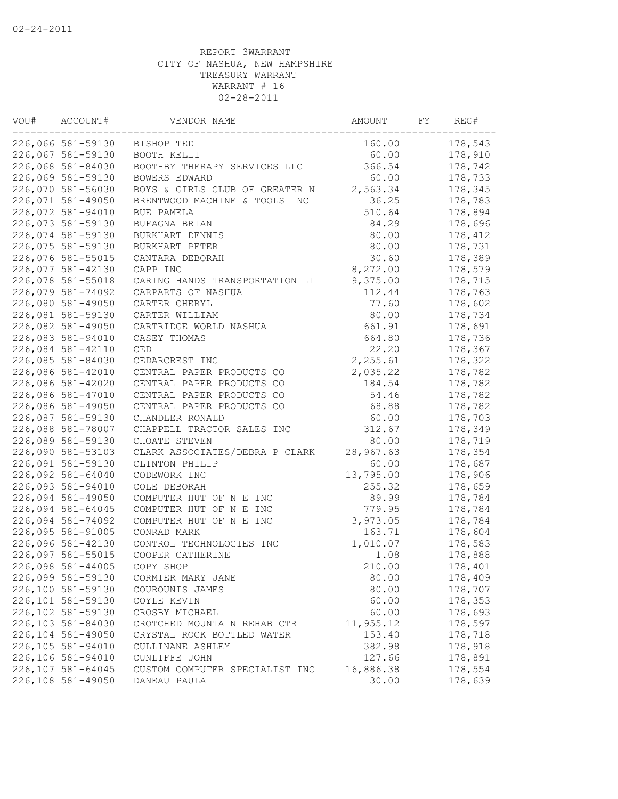| VOU# | ACCOUNT#          | VENDOR NAME<br>AMOUNT          |           |  | REG#    |
|------|-------------------|--------------------------------|-----------|--|---------|
|      | 226,066 581-59130 | BISHOP TED                     | 160.00    |  | 178,543 |
|      | 226,067 581-59130 | BOOTH KELLI                    | 60.00     |  | 178,910 |
|      | 226,068 581-84030 | BOOTHBY THERAPY SERVICES LLC   | 366.54    |  | 178,742 |
|      | 226,069 581-59130 | BOWERS EDWARD                  | 60.00     |  | 178,733 |
|      | 226,070 581-56030 | BOYS & GIRLS CLUB OF GREATER N | 2,563.34  |  | 178,345 |
|      | 226,071 581-49050 | BRENTWOOD MACHINE & TOOLS INC  | 36.25     |  | 178,783 |
|      | 226,072 581-94010 | BUE PAMELA                     | 510.64    |  | 178,894 |
|      | 226,073 581-59130 | BUFAGNA BRIAN                  | 84.29     |  | 178,696 |
|      | 226,074 581-59130 | BURKHART DENNIS                | 80.00     |  | 178,412 |
|      | 226,075 581-59130 | BURKHART PETER                 | 80.00     |  | 178,731 |
|      | 226,076 581-55015 | CANTARA DEBORAH                | 30.60     |  | 178,389 |
|      | 226,077 581-42130 | CAPP INC                       | 8,272.00  |  | 178,579 |
|      | 226,078 581-55018 | CARING HANDS TRANSPORTATION LL | 9,375.00  |  | 178,715 |
|      | 226,079 581-74092 | CARPARTS OF NASHUA             | 112.44    |  | 178,763 |
|      | 226,080 581-49050 | CARTER CHERYL                  | 77.60     |  | 178,602 |
|      | 226,081 581-59130 | CARTER WILLIAM                 | 80.00     |  | 178,734 |
|      | 226,082 581-49050 | CARTRIDGE WORLD NASHUA         | 661.91    |  | 178,691 |
|      | 226,083 581-94010 | CASEY THOMAS                   | 664.80    |  | 178,736 |
|      | 226,084 581-42110 | CED                            | 22.20     |  | 178,367 |
|      | 226,085 581-84030 | CEDARCREST INC                 | 2,255.61  |  | 178,322 |
|      | 226,086 581-42010 | CENTRAL PAPER PRODUCTS CO      | 2,035.22  |  | 178,782 |
|      | 226,086 581-42020 | CENTRAL PAPER PRODUCTS CO      | 184.54    |  | 178,782 |
|      | 226,086 581-47010 | CENTRAL PAPER PRODUCTS CO      | 54.46     |  | 178,782 |
|      | 226,086 581-49050 | CENTRAL PAPER PRODUCTS CO      | 68.88     |  | 178,782 |
|      | 226,087 581-59130 | CHANDLER RONALD                | 60.00     |  | 178,703 |
|      | 226,088 581-78007 | CHAPPELL TRACTOR SALES INC     | 312.67    |  | 178,349 |
|      | 226,089 581-59130 | CHOATE STEVEN                  | 80.00     |  | 178,719 |
|      | 226,090 581-53103 | CLARK ASSOCIATES/DEBRA P CLARK | 28,967.63 |  | 178,354 |
|      | 226,091 581-59130 | CLINTON PHILIP                 | 60.00     |  | 178,687 |
|      | 226,092 581-64040 | CODEWORK INC                   | 13,795.00 |  | 178,906 |
|      | 226,093 581-94010 | COLE DEBORAH                   | 255.32    |  | 178,659 |
|      | 226,094 581-49050 | COMPUTER HUT OF N E INC        | 89.99     |  | 178,784 |
|      | 226,094 581-64045 | COMPUTER HUT OF N E INC        | 779.95    |  | 178,784 |
|      | 226,094 581-74092 | COMPUTER HUT OF N E INC        | 3,973.05  |  | 178,784 |
|      | 226,095 581-91005 | CONRAD MARK                    | 163.71    |  | 178,604 |
|      | 226,096 581-42130 | CONTROL TECHNOLOGIES INC       | 1,010.07  |  | 178,583 |
|      | 226,097 581-55015 | COOPER CATHERINE               | 1.08      |  | 178,888 |
|      | 226,098 581-44005 | COPY SHOP                      | 210.00    |  | 178,401 |
|      | 226,099 581-59130 | CORMIER MARY JANE              | 80.00     |  | 178,409 |
|      | 226,100 581-59130 | COUROUNIS JAMES                | 80.00     |  | 178,707 |
|      | 226,101 581-59130 | COYLE KEVIN                    | 60.00     |  | 178,353 |
|      | 226,102 581-59130 | CROSBY MICHAEL                 | 60.00     |  | 178,693 |
|      | 226,103 581-84030 | CROTCHED MOUNTAIN REHAB CTR    | 11,955.12 |  | 178,597 |
|      | 226,104 581-49050 | CRYSTAL ROCK BOTTLED WATER     | 153.40    |  | 178,718 |
|      | 226,105 581-94010 | CULLINANE ASHLEY               | 382.98    |  | 178,918 |
|      | 226,106 581-94010 | CUNLIFFE JOHN                  | 127.66    |  | 178,891 |
|      | 226,107 581-64045 | CUSTOM COMPUTER SPECIALIST INC | 16,886.38 |  | 178,554 |
|      | 226,108 581-49050 | DANEAU PAULA                   | 30.00     |  | 178,639 |
|      |                   |                                |           |  |         |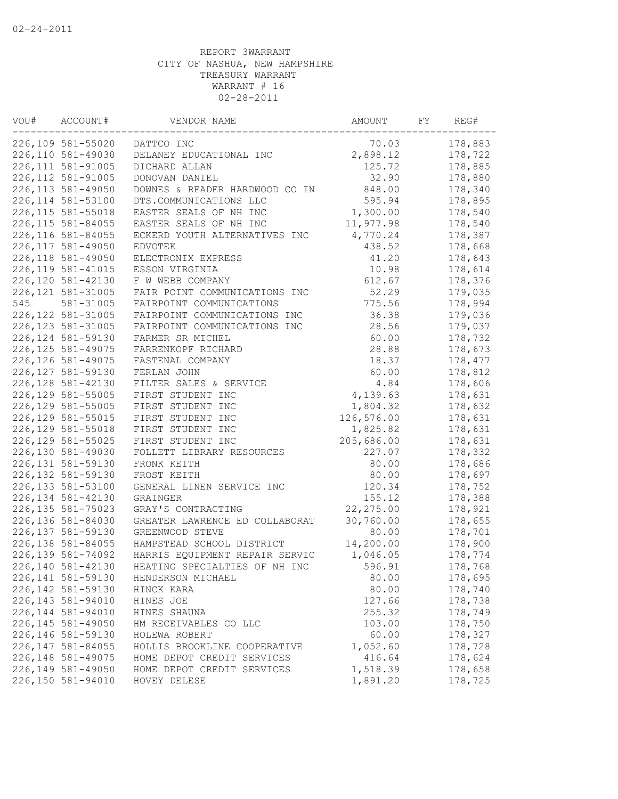| VOU# | ACCOUNT#           | VENDOR NAME                    | AMOUNT     | FY | REG#    |  |
|------|--------------------|--------------------------------|------------|----|---------|--|
|      | 226,109 581-55020  | DATTCO INC                     | 70.03      |    | 178,883 |  |
|      | 226,110 581-49030  | DELANEY EDUCATIONAL INC        | 2,898.12   |    | 178,722 |  |
|      | 226, 111 581-91005 | DICHARD ALLAN                  | 125.72     |    |         |  |
|      | 226, 112 581-91005 | DONOVAN DANIEL                 | 32.90      |    | 178,880 |  |
|      | 226, 113 581-49050 | DOWNES & READER HARDWOOD CO IN | 848.00     |    | 178,340 |  |
|      | 226, 114 581-53100 | DTS.COMMUNICATIONS LLC         | 595.94     |    | 178,895 |  |
|      | 226, 115 581-55018 | EASTER SEALS OF NH INC         | 1,300.00   |    | 178,540 |  |
|      | 226, 115 581-84055 | EASTER SEALS OF NH INC         | 11,977.98  |    | 178,540 |  |
|      | 226,116 581-84055  | ECKERD YOUTH ALTERNATIVES INC  | 4,770.24   |    | 178,387 |  |
|      | 226, 117 581-49050 | <b>EDVOTEK</b>                 | 438.52     |    | 178,668 |  |
|      | 226, 118 581-49050 | ELECTRONIX EXPRESS             | 41.20      |    | 178,643 |  |
|      | 226, 119 581-41015 | ESSON VIRGINIA                 | 10.98      |    | 178,614 |  |
|      | 226,120 581-42130  | F W WEBB COMPANY               | 612.67     |    | 178,376 |  |
|      | 226, 121 581-31005 | FAIR POINT COMMUNICATIONS INC  | 52.29      |    | 179,035 |  |
| 545  | 581-31005          | FAIRPOINT COMMUNICATIONS       | 775.56     |    | 178,994 |  |
|      | 226, 122 581-31005 | FAIRPOINT COMMUNICATIONS INC   | 36.38      |    | 179,036 |  |
|      | 226, 123 581-31005 | FAIRPOINT COMMUNICATIONS INC   | 28.56      |    | 179,037 |  |
|      | 226, 124 581-59130 | FARMER SR MICHEL               | 60.00      |    | 178,732 |  |
|      | 226, 125 581-49075 | FARRENKOPF RICHARD             | 28.88      |    | 178,673 |  |
|      | 226, 126 581-49075 | FASTENAL COMPANY               | 18.37      |    | 178,477 |  |
|      | 226, 127 581-59130 | FERLAN JOHN                    | 60.00      |    | 178,812 |  |
|      | 226, 128 581-42130 | FILTER SALES & SERVICE         | 4.84       |    | 178,606 |  |
|      | 226, 129 581-55005 | FIRST STUDENT INC              | 4,139.63   |    | 178,631 |  |
|      | 226, 129 581-55005 | FIRST STUDENT INC              | 1,804.32   |    | 178,632 |  |
|      | 226, 129 581-55015 | FIRST STUDENT INC              | 126,576.00 |    | 178,631 |  |
|      | 226, 129 581-55018 | FIRST STUDENT INC              | 1,825.82   |    | 178,631 |  |
|      | 226, 129 581-55025 | FIRST STUDENT INC              | 205,686.00 |    | 178,631 |  |
|      | 226,130 581-49030  | FOLLETT LIBRARY RESOURCES      | 227.07     |    | 178,332 |  |
|      | 226, 131 581-59130 | FRONK KEITH                    | 80.00      |    | 178,686 |  |
|      | 226, 132 581-59130 | FROST KEITH                    | 80.00      |    | 178,697 |  |
|      | 226, 133 581-53100 | GENERAL LINEN SERVICE INC      | 120.34     |    | 178,752 |  |
|      | 226, 134 581-42130 | GRAINGER                       | 155.12     |    | 178,388 |  |
|      | 226, 135 581-75023 | GRAY'S CONTRACTING             | 22, 275.00 |    | 178,921 |  |
|      | 226,136 581-84030  | GREATER LAWRENCE ED COLLABORAT | 30,760.00  |    | 178,655 |  |
|      | 226, 137 581-59130 | GREENWOOD STEVE                | 80.00      |    | 178,701 |  |
|      | 226,138 581-84055  | HAMPSTEAD SCHOOL DISTRICT      | 14,200.00  |    | 178,900 |  |
|      | 226, 139 581-74092 | HARRIS EQUIPMENT REPAIR SERVIC | 1,046.05   |    | 178,774 |  |
|      | 226,140 581-42130  | HEATING SPECIALTIES OF NH INC  | 596.91     |    | 178,768 |  |
|      | 226, 141 581-59130 | HENDERSON MICHAEL              | 80.00      |    | 178,695 |  |
|      | 226, 142 581-59130 | HINCK KARA                     | 80.00      |    | 178,740 |  |
|      | 226, 143 581-94010 | HINES JOE                      | 127.66     |    | 178,738 |  |
|      | 226,144 581-94010  | HINES SHAUNA                   | 255.32     |    | 178,749 |  |
|      | 226, 145 581-49050 | HM RECEIVABLES CO LLC          | 103.00     |    | 178,750 |  |
|      | 226,146 581-59130  | HOLEWA ROBERT                  | 60.00      |    | 178,327 |  |
|      | 226,147 581-84055  | HOLLIS BROOKLINE COOPERATIVE   | 1,052.60   |    | 178,728 |  |
|      | 226, 148 581-49075 | HOME DEPOT CREDIT SERVICES     | 416.64     |    | 178,624 |  |
|      | 226,149 581-49050  | HOME DEPOT CREDIT SERVICES     | 1,518.39   |    | 178,658 |  |
|      | 226,150 581-94010  | HOVEY DELESE                   | 1,891.20   |    | 178,725 |  |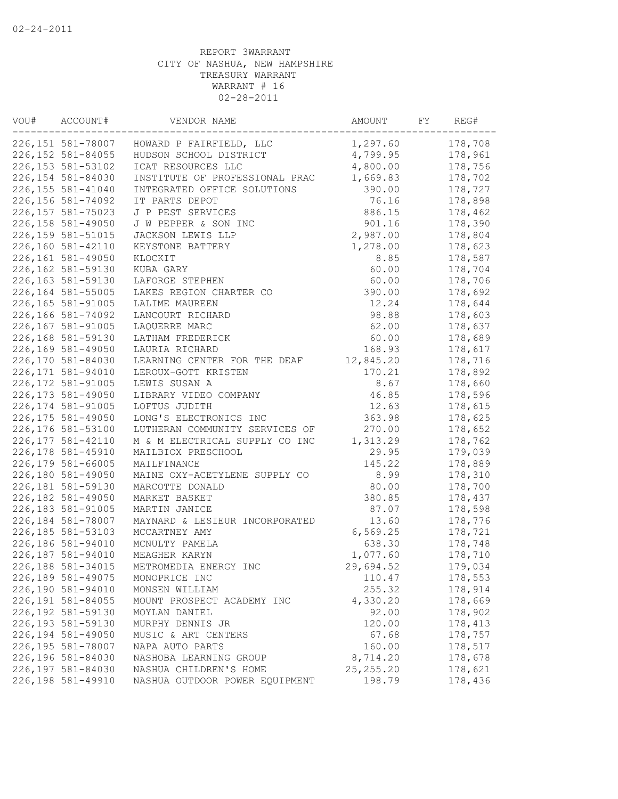| VOU# | ACCOUNT#<br>VENDOR NAME |                                | AMOUNT      | FY | REG#    |
|------|-------------------------|--------------------------------|-------------|----|---------|
|      | 226,151 581-78007       | HOWARD P FAIRFIELD, LLC        | 1,297.60    |    | 178,708 |
|      | 226, 152 581-84055      | HUDSON SCHOOL DISTRICT         | 4,799.95    |    | 178,961 |
|      | 226, 153 581-53102      | ICAT RESOURCES LLC             | 4,800.00    |    | 178,756 |
|      | 226,154 581-84030       | INSTITUTE OF PROFESSIONAL PRAC | 1,669.83    |    | 178,702 |
|      | 226, 155 581-41040      | INTEGRATED OFFICE SOLUTIONS    | 390.00      |    | 178,727 |
|      | 226,156 581-74092       | IT PARTS DEPOT                 | 76.16       |    | 178,898 |
|      | 226, 157 581-75023      | J P PEST SERVICES              | 886.15      |    | 178,462 |
|      | 226,158 581-49050       | J W PEPPER & SON INC           | 901.16      |    | 178,390 |
|      | 226,159 581-51015       | JACKSON LEWIS LLP              | 2,987.00    |    | 178,804 |
|      | 226,160 581-42110       | KEYSTONE BATTERY               | 1,278.00    |    | 178,623 |
|      | 226,161 581-49050       | KLOCKIT                        | 8.85        |    | 178,587 |
|      | 226,162 581-59130       | KUBA GARY                      | 60.00       |    | 178,704 |
|      | 226,163 581-59130       | LAFORGE STEPHEN                | 60.00       |    | 178,706 |
|      | 226,164 581-55005       | LAKES REGION CHARTER CO        | 390.00      |    | 178,692 |
|      | 226,165 581-91005       | LALIME MAUREEN                 | 12.24       |    | 178,644 |
|      | 226,166 581-74092       | LANCOURT RICHARD               | 98.88       |    | 178,603 |
|      | 226,167 581-91005       | LAQUERRE MARC                  | 62.00       |    | 178,637 |
|      | 226,168 581-59130       | LATHAM FREDERICK               | 60.00       |    | 178,689 |
|      | 226,169 581-49050       | LAURIA RICHARD                 | 168.93      |    | 178,617 |
|      | 226,170 581-84030       | LEARNING CENTER FOR THE DEAF   | 12,845.20   |    | 178,716 |
|      | 226, 171 581-94010      | LEROUX-GOTT KRISTEN            | 170.21      |    | 178,892 |
|      | 226, 172 581-91005      | LEWIS SUSAN A                  | 8.67        |    | 178,660 |
|      | 226, 173 581-49050      | LIBRARY VIDEO COMPANY          | 46.85       |    | 178,596 |
|      | 226, 174 581-91005      | LOFTUS JUDITH                  | 12.63       |    | 178,615 |
|      | 226, 175 581-49050      | LONG'S ELECTRONICS INC         | 363.98      |    | 178,625 |
|      | 226,176 581-53100       |                                | 270.00      |    |         |
|      | 226, 177 581-42110      | LUTHERAN COMMUNITY SERVICES OF |             |    | 178,652 |
|      |                         | M & M ELECTRICAL SUPPLY CO INC | 1,313.29    |    | 178,762 |
|      | 226, 178 581-45910      | MAILBIOX PRESCHOOL             | 29.95       |    | 179,039 |
|      | 226,179 581-66005       | MAILFINANCE                    | 145.22      |    | 178,889 |
|      | 226,180 581-49050       | MAINE OXY-ACETYLENE SUPPLY CO  | 8.99        |    | 178,310 |
|      | 226,181 581-59130       | MARCOTTE DONALD                | 80.00       |    | 178,700 |
|      | 226,182 581-49050       | MARKET BASKET                  | 380.85      |    | 178,437 |
|      | 226,183 581-91005       | MARTIN JANICE                  | 87.07       |    | 178,598 |
|      | 226,184 581-78007       | MAYNARD & LESIEUR INCORPORATED | 13.60       |    | 178,776 |
|      | 226, 185 581-53103      | MCCARTNEY AMY                  | 6,569.25    |    | 178,721 |
|      | 226,186 581-94010       | MCNULTY PAMELA                 | 638.30      |    | 178,748 |
|      | 226,187 581-94010       | MEAGHER KARYN                  | 1,077.60    |    | 178,710 |
|      | 226,188 581-34015       | METROMEDIA ENERGY INC          | 29,694.52   |    | 179,034 |
|      | 226,189 581-49075       | MONOPRICE INC                  | 110.47      |    | 178,553 |
|      | 226,190 581-94010       | MONSEN WILLIAM                 | 255.32      |    | 178,914 |
|      | 226,191 581-84055       | MOUNT PROSPECT ACADEMY INC     | 4,330.20    |    | 178,669 |
|      | 226,192 581-59130       | MOYLAN DANIEL                  | 92.00       |    | 178,902 |
|      | 226, 193 581-59130      | MURPHY DENNIS JR               | 120.00      |    | 178,413 |
|      | 226,194 581-49050       | MUSIC & ART CENTERS            | 67.68       |    | 178,757 |
|      | 226,195 581-78007       | NAPA AUTO PARTS                | 160.00      |    | 178,517 |
|      | 226,196 581-84030       | NASHOBA LEARNING GROUP         | 8,714.20    |    | 178,678 |
|      | 226,197 581-84030       | NASHUA CHILDREN'S HOME         | 25, 255. 20 |    | 178,621 |
|      | 226,198 581-49910       | NASHUA OUTDOOR POWER EQUIPMENT | 198.79      |    | 178,436 |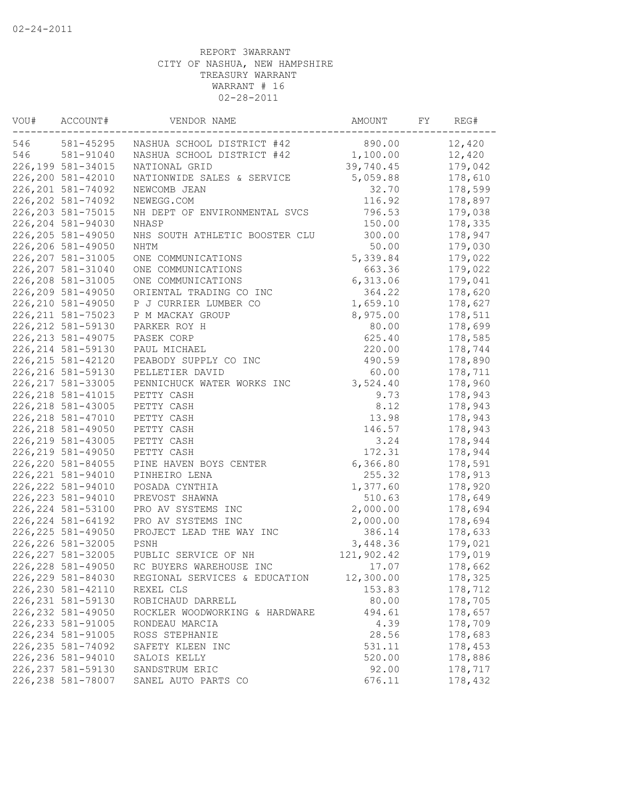| VOU# | ACCOUNT#<br>VENDOR NAME |                                |            | AMOUNT<br>FY |         |  |
|------|-------------------------|--------------------------------|------------|--------------|---------|--|
| 546  | 581-45295               | NASHUA SCHOOL DISTRICT #42     | 890.00     |              | 12,420  |  |
| 546  | 581-91040               | NASHUA SCHOOL DISTRICT #42     | 1,100.00   |              | 12,420  |  |
|      | 226,199 581-34015       | NATIONAL GRID                  | 39,740.45  |              | 179,042 |  |
|      | 226,200 581-42010       | NATIONWIDE SALES & SERVICE     | 5,059.88   |              | 178,610 |  |
|      | 226, 201 581-74092      | NEWCOMB JEAN                   | 32.70      |              | 178,599 |  |
|      | 226, 202 581-74092      | NEWEGG.COM                     | 116.92     |              | 178,897 |  |
|      | 226, 203 581-75015      | NH DEPT OF ENVIRONMENTAL SVCS  | 796.53     |              | 179,038 |  |
|      | 226, 204 581-94030      | NHASP                          | 150.00     |              | 178,335 |  |
|      | 226,205 581-49050       | NHS SOUTH ATHLETIC BOOSTER CLU | 300.00     |              | 178,947 |  |
|      | 226,206 581-49050       | NHTM                           | 50.00      |              | 179,030 |  |
|      | 226, 207 581-31005      | ONE COMMUNICATIONS             | 5,339.84   |              | 179,022 |  |
|      | 226, 207 581-31040      | ONE COMMUNICATIONS             | 663.36     |              | 179,022 |  |
|      | 226, 208 581-31005      | ONE COMMUNICATIONS             | 6,313.06   |              | 179,041 |  |
|      | 226,209 581-49050       | ORIENTAL TRADING CO INC        | 364.22     |              | 178,620 |  |
|      | 226, 210 581-49050      | P J CURRIER LUMBER CO          | 1,659.10   |              | 178,627 |  |
|      | 226, 211 581-75023      | P M MACKAY GROUP               | 8,975.00   |              | 178,511 |  |
|      | 226, 212 581-59130      | PARKER ROY H                   | 80.00      |              | 178,699 |  |
|      | 226, 213 581-49075      | PASEK CORP                     | 625.40     |              | 178,585 |  |
|      | 226, 214 581-59130      | PAUL MICHAEL                   | 220.00     |              | 178,744 |  |
|      | 226, 215 581-42120      | PEABODY SUPPLY CO INC          | 490.59     |              | 178,890 |  |
|      | 226, 216 581-59130      | PELLETIER DAVID                | 60.00      |              | 178,711 |  |
|      | 226, 217 581-33005      | PENNICHUCK WATER WORKS INC     | 3,524.40   |              | 178,960 |  |
|      | 226, 218 581-41015      | PETTY CASH                     | 9.73       |              | 178,943 |  |
|      | 226, 218 581-43005      | PETTY CASH                     | 8.12       |              | 178,943 |  |
|      | 226, 218 581-47010      | PETTY CASH                     | 13.98      |              | 178,943 |  |
|      | 226, 218 581-49050      |                                | 146.57     |              | 178,943 |  |
|      | 226, 219 581-43005      | PETTY CASH                     |            |              |         |  |
|      |                         | PETTY CASH                     | 3.24       |              | 178,944 |  |
|      | 226, 219 581-49050      | PETTY CASH                     | 172.31     |              | 178,944 |  |
|      | 226, 220 581-84055      | PINE HAVEN BOYS CENTER         | 6, 366.80  |              | 178,591 |  |
|      | 226, 221 581-94010      | PINHEIRO LENA                  | 255.32     |              | 178,913 |  |
|      | 226, 222 581-94010      | POSADA CYNTHIA                 | 1,377.60   |              | 178,920 |  |
|      | 226, 223 581-94010      | PREVOST SHAWNA                 | 510.63     |              | 178,649 |  |
|      | 226, 224 581-53100      | PRO AV SYSTEMS INC             | 2,000.00   |              | 178,694 |  |
|      | 226, 224 581-64192      | PRO AV SYSTEMS INC             | 2,000.00   |              | 178,694 |  |
|      | 226, 225 581-49050      | PROJECT LEAD THE WAY INC       | 386.14     |              | 178,633 |  |
|      | 226, 226 581-32005      | PSNH                           | 3,448.36   |              | 179,021 |  |
|      | 226, 227 581-32005      | PUBLIC SERVICE OF NH           | 121,902.42 |              | 179,019 |  |
|      | 226, 228 581-49050      | RC BUYERS WAREHOUSE INC        | 17.07      |              | 178,662 |  |
|      | 226, 229 581-84030      | REGIONAL SERVICES & EDUCATION  | 12,300.00  |              | 178,325 |  |
|      | 226, 230 581-42110      | REXEL CLS                      | 153.83     |              | 178,712 |  |
|      | 226, 231 581-59130      | ROBICHAUD DARRELL              | 80.00      |              | 178,705 |  |
|      | 226, 232 581-49050      | ROCKLER WOODWORKING & HARDWARE | 494.61     |              | 178,657 |  |
|      | 226, 233 581-91005      | RONDEAU MARCIA                 | 4.39       |              | 178,709 |  |
|      | 226, 234 581-91005      | ROSS STEPHANIE                 | 28.56      |              | 178,683 |  |
|      | 226, 235 581-74092      | SAFETY KLEEN INC               | 531.11     |              | 178,453 |  |
|      | 226, 236 581-94010      | SALOIS KELLY                   | 520.00     |              | 178,886 |  |
|      | 226, 237 581-59130      | SANDSTRUM ERIC                 | 92.00      |              | 178,717 |  |
|      | 226, 238 581-78007      | SANEL AUTO PARTS CO            | 676.11     |              | 178,432 |  |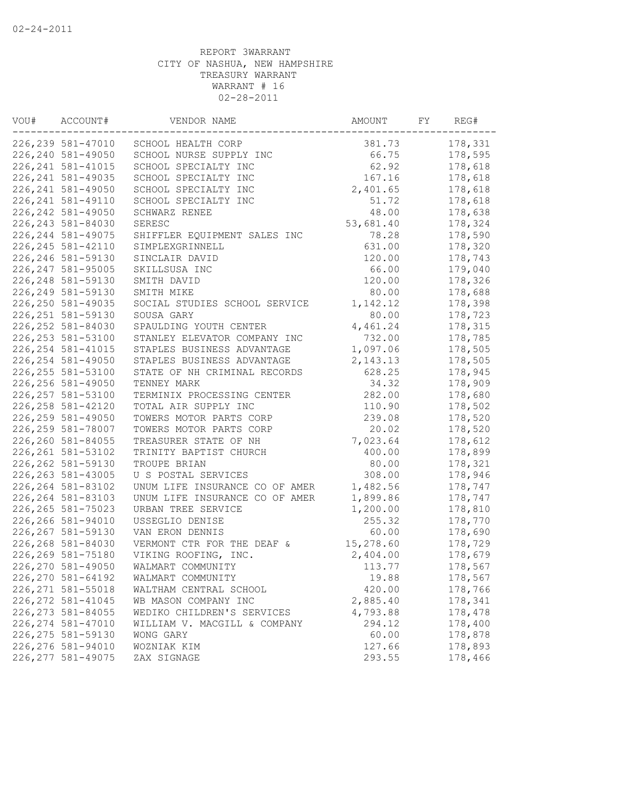| VOU# | ACCOUNT#           | VENDOR NAME                    | AMOUNT<br>FY |  |         |
|------|--------------------|--------------------------------|--------------|--|---------|
|      | 226, 239 581-47010 | SCHOOL HEALTH CORP             | 381.73       |  | 178,331 |
|      | 226,240 581-49050  | SCHOOL NURSE SUPPLY INC        | 66.75        |  | 178,595 |
|      | 226, 241 581-41015 | SCHOOL SPECIALTY INC           | 62.92        |  | 178,618 |
|      | 226, 241 581-49035 | SCHOOL SPECIALTY INC           | 167.16       |  | 178,618 |
|      | 226, 241 581-49050 | SCHOOL SPECIALTY INC           | 2,401.65     |  | 178,618 |
|      | 226, 241 581-49110 | SCHOOL SPECIALTY INC           | 51.72        |  | 178,618 |
|      | 226, 242 581-49050 | SCHWARZ RENEE                  | 48.00        |  | 178,638 |
|      | 226, 243 581-84030 | SERESC                         | 53,681.40    |  | 178,324 |
|      | 226, 244 581-49075 | SHIFFLER EQUIPMENT SALES INC   | 78.28        |  | 178,590 |
|      | 226, 245 581-42110 | SIMPLEXGRINNELL                | 631.00       |  | 178,320 |
|      | 226, 246 581-59130 | SINCLAIR DAVID                 | 120.00       |  | 178,743 |
|      | 226, 247 581-95005 | SKILLSUSA INC                  | 66.00        |  | 179,040 |
|      | 226, 248 581-59130 | SMITH DAVID                    | 120.00       |  | 178,326 |
|      | 226, 249 581-59130 | SMITH MIKE                     | 80.00        |  | 178,688 |
|      | 226, 250 581-49035 | SOCIAL STUDIES SCHOOL SERVICE  | 1,142.12     |  | 178,398 |
|      | 226, 251 581-59130 | SOUSA GARY                     | 80.00        |  | 178,723 |
|      | 226, 252 581-84030 | SPAULDING YOUTH CENTER         | 4,461.24     |  | 178,315 |
|      | 226, 253 581-53100 | STANLEY ELEVATOR COMPANY INC   | 732.00       |  | 178,785 |
|      | 226, 254 581-41015 | STAPLES BUSINESS ADVANTAGE     | 1,097.06     |  | 178,505 |
|      | 226, 254 581-49050 | STAPLES BUSINESS ADVANTAGE     | 2, 143. 13   |  | 178,505 |
|      | 226, 255 581-53100 | STATE OF NH CRIMINAL RECORDS   | 628.25       |  | 178,945 |
|      | 226, 256 581-49050 | TENNEY MARK                    | 34.32        |  | 178,909 |
|      | 226, 257 581-53100 | TERMINIX PROCESSING CENTER     | 282.00       |  | 178,680 |
|      | 226, 258 581-42120 | TOTAL AIR SUPPLY INC           | 110.90       |  | 178,502 |
|      | 226, 259 581-49050 | TOWERS MOTOR PARTS CORP        | 239.08       |  | 178,520 |
|      | 226, 259 581-78007 | TOWERS MOTOR PARTS CORP        | 20.02        |  | 178,520 |
|      | 226,260 581-84055  | TREASURER STATE OF NH          | 7,023.64     |  | 178,612 |
|      | 226, 261 581-53102 | TRINITY BAPTIST CHURCH         | 400.00       |  | 178,899 |
|      | 226, 262 581-59130 | TROUPE BRIAN                   | 80.00        |  | 178,321 |
|      | 226, 263 581-43005 | U S POSTAL SERVICES            | 308.00       |  | 178,946 |
|      | 226, 264 581-83102 | UNUM LIFE INSURANCE CO OF AMER | 1,482.56     |  | 178,747 |
|      | 226, 264 581-83103 | UNUM LIFE INSURANCE CO OF AMER | 1,899.86     |  | 178,747 |
|      | 226, 265 581-75023 | URBAN TREE SERVICE             | 1,200.00     |  | 178,810 |
|      | 226,266 581-94010  | USSEGLIO DENISE                | 255.32       |  | 178,770 |
|      | 226, 267 581-59130 | VAN ERON DENNIS                | 60.00        |  | 178,690 |
|      | 226,268 581-84030  | VERMONT CTR FOR THE DEAF &     | 15,278.60    |  | 178,729 |
|      | 226, 269 581-75180 | VIKING ROOFING, INC.           | 2,404.00     |  | 178,679 |
|      | 226,270 581-49050  | WALMART COMMUNITY              | 113.77       |  | 178,567 |
|      | 226,270 581-64192  | WALMART COMMUNITY              | 19.88        |  | 178,567 |
|      | 226, 271 581-55018 | WALTHAM CENTRAL SCHOOL         | 420.00       |  | 178,766 |
|      | 226, 272 581-41045 | WB MASON COMPANY INC           | 2,885.40     |  | 178,341 |
|      | 226, 273 581-84055 | WEDIKO CHILDREN'S SERVICES     | 4,793.88     |  | 178,478 |
|      | 226, 274 581-47010 | WILLIAM V. MACGILL & COMPANY   | 294.12       |  | 178,400 |
|      | 226, 275 581-59130 | WONG GARY                      | 60.00        |  | 178,878 |
|      | 226, 276 581-94010 | WOZNIAK KIM                    | 127.66       |  | 178,893 |
|      | 226, 277 581-49075 | ZAX SIGNAGE                    | 293.55       |  | 178,466 |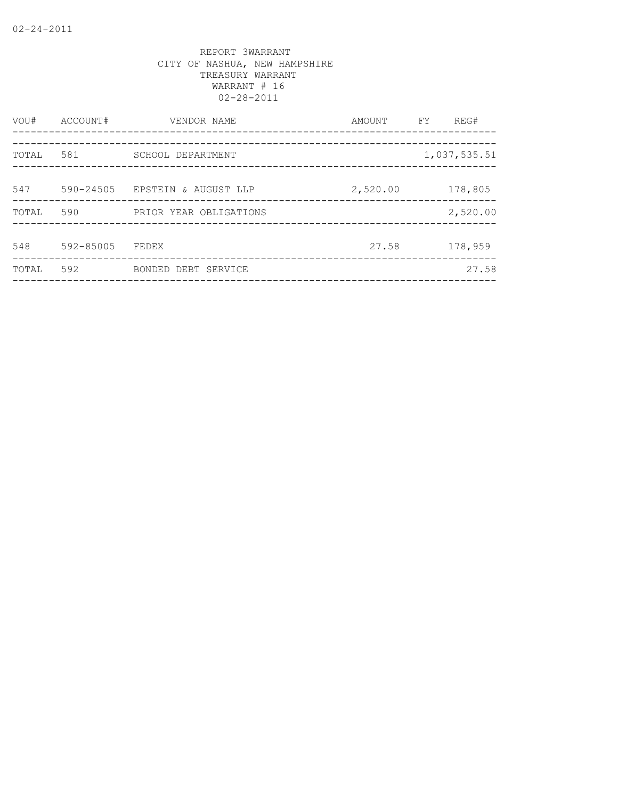| VOU#  | ACCOUNT#      | VENDOR NAME                                              | AMOUNT   | FY. | REG#         |
|-------|---------------|----------------------------------------------------------|----------|-----|--------------|
| TOTAL | 581           | SCHOOL DEPARTMENT<br>___________________________________ |          |     | 1,037,535.51 |
| 547   | $590 - 24505$ | EPSTEIN & AUGUST LLP                                     | 2,520.00 |     | 178,805      |
| TOTAL | 590           | PRIOR YEAR OBLIGATIONS                                   |          |     | 2,520.00     |
| 548   | 592-85005     | FEDEX                                                    | 27.58    |     | 178,959      |
| TOTAL | 592           | BONDED DEBT SERVICE                                      |          |     | 27.58        |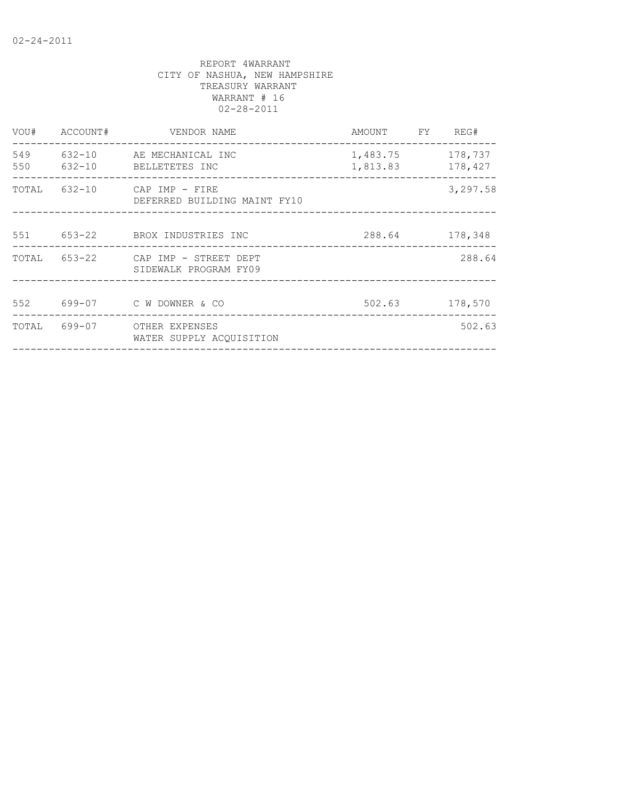| VOU#       | ACCOUNT#     | VENDOR NAME                                                 | AMOUNT FY                            | REG#           |
|------------|--------------|-------------------------------------------------------------|--------------------------------------|----------------|
| 549<br>550 |              | 632-10 AE MECHANICAL INC<br>632-10 BELLETETES INC           | 1,483.75 178,737<br>1,813.83 178,427 |                |
|            | TOTAL 632-10 | CAP IMP - FIRE<br>DEFERRED BUILDING MAINT FY10              |                                      | 3,297.58       |
|            |              | 551 653-22 BROX INDUSTRIES INC                              |                                      | 288.64 178,348 |
|            |              | TOTAL 653-22 CAP IMP - STREET DEPT<br>SIDEWALK PROGRAM FY09 |                                      | 288.64         |
|            |              | 552 699-07 C W DOWNER & CO                                  |                                      | 502.63 178,570 |
|            |              | TOTAL 699-07 OTHER EXPENSES<br>WATER SUPPLY ACOUISITION     |                                      | 502.63         |
|            |              |                                                             |                                      |                |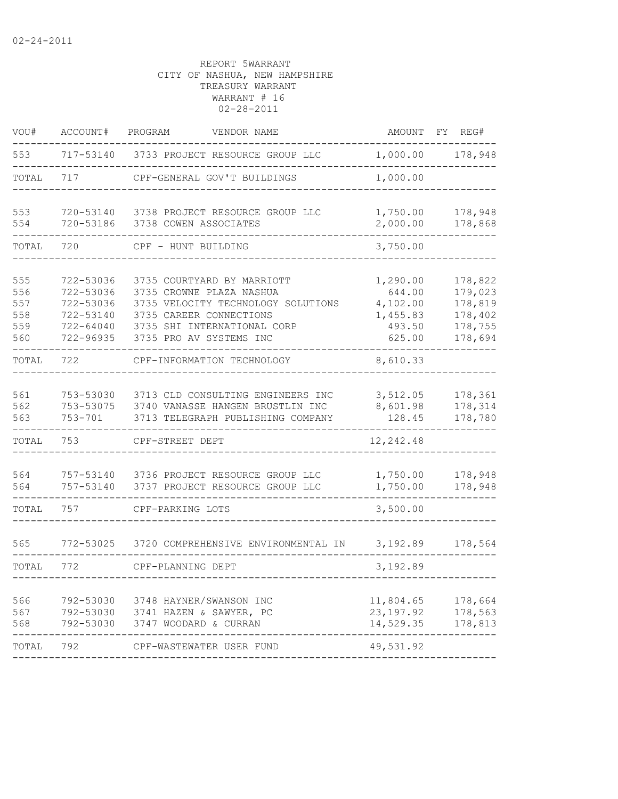| VOU#                                   | ACCOUNT#                                                                   | PROGRAM<br>VENDOR NAME                                                                                                                                                            | AMOUNT                                                         | FY<br>REG#                                                     |
|----------------------------------------|----------------------------------------------------------------------------|-----------------------------------------------------------------------------------------------------------------------------------------------------------------------------------|----------------------------------------------------------------|----------------------------------------------------------------|
| 553                                    |                                                                            | 717-53140 3733 PROJECT RESOURCE GROUP LLC                                                                                                                                         | 1,000.00                                                       | 178,948                                                        |
| TOTAL                                  | 717                                                                        | CPF-GENERAL GOV'T BUILDINGS                                                                                                                                                       | 1,000.00                                                       |                                                                |
| 553<br>554                             | 720-53140<br>720-53186                                                     | 3738 PROJECT RESOURCE GROUP LLC<br>3738 COWEN ASSOCIATES                                                                                                                          | 1,750.00<br>2,000.00                                           | 178,948<br>178,868                                             |
| TOTAL                                  | 720                                                                        | CPF - HUNT BUILDING                                                                                                                                                               | 3,750.00                                                       |                                                                |
| 555<br>556<br>557<br>558<br>559<br>560 | 722-53036<br>722-53036<br>722-53036<br>722-53140<br>722-64040<br>722-96935 | 3735 COURTYARD BY MARRIOTT<br>3735 CROWNE PLAZA NASHUA<br>3735 VELOCITY TECHNOLOGY SOLUTIONS<br>3735 CAREER CONNECTIONS<br>3735 SHI INTERNATIONAL CORP<br>3735 PRO AV SYSTEMS INC | 1,290.00<br>644.00<br>4,102.00<br>1,455.83<br>493.50<br>625.00 | 178,822<br>179,023<br>178,819<br>178,402<br>178,755<br>178,694 |
| TOTAL                                  | 722                                                                        | CPF-INFORMATION TECHNOLOGY                                                                                                                                                        | 8,610.33                                                       |                                                                |
| 561<br>562<br>563<br>TOTAL             | 753-53030<br>753-53075<br>753-701<br>753                                   | 3713 CLD CONSULTING ENGINEERS INC<br>3740 VANASSE HANGEN BRUSTLIN INC<br>3713 TELEGRAPH PUBLISHING COMPANY<br>CPF-STREET DEPT                                                     | 3,512.05<br>8,601.98<br>128.45<br>12,242.48                    | 178,361<br>178,314<br>178,780                                  |
| 564<br>564<br>TOTAL                    | 757-53140<br>757-53140<br>757                                              | 3736 PROJECT RESOURCE GROUP LLC<br>3737 PROJECT RESOURCE GROUP LLC<br>CPF-PARKING LOTS                                                                                            | 1,750.00<br>1,750.00<br>3,500.00                               | 178,948<br>178,948                                             |
| 565<br>TOTAL                           | 772-53025<br>772                                                           | 3720 COMPREHENSIVE ENVIRONMENTAL IN<br>CPF-PLANNING DEPT                                                                                                                          | 3,192.89<br>3,192.89                                           | 178,564                                                        |
| 566<br>568                             |                                                                            | 792-53030 3748 HAYNER/SWANSON INC<br>567 792-53030 3741 HAZEN & SAWYER, PC<br>792-53030 3747 WOODARD & CURRAN                                                                     | 11,804.65<br>23, 197.92<br>14,529.35                           | 178,664<br>178,563<br>178,813                                  |
| TOTAL                                  | 792                                                                        | CPF-WASTEWATER USER FUND                                                                                                                                                          | 49,531.92                                                      |                                                                |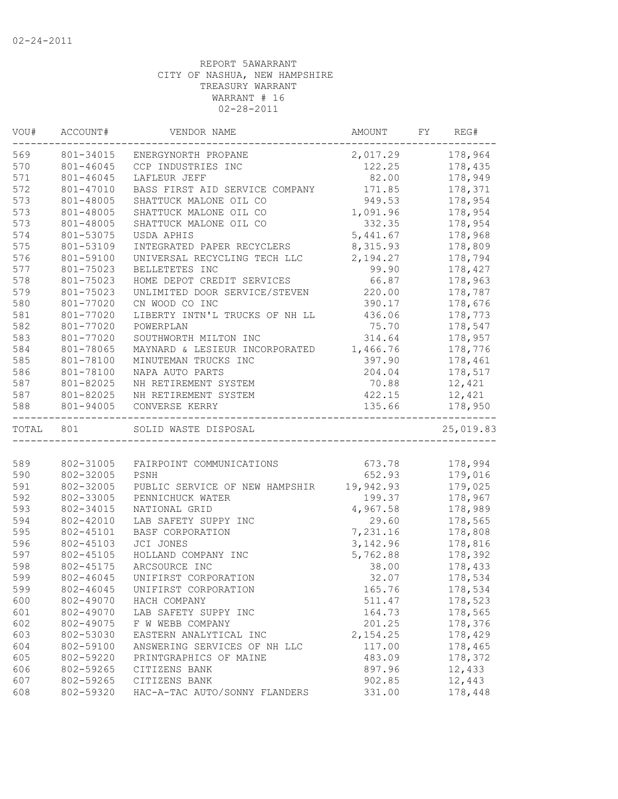| 178,964<br>801-34015<br>2,017.29<br>ENERGYNORTH PROPANE<br>801-46045<br>178,435<br>CCP INDUSTRIES INC<br>122.25<br>801-46045<br>82.00<br>178,949<br>LAFLEUR JEFF<br>171.85<br>178,371<br>801-47010<br>BASS FIRST AID SERVICE COMPANY<br>178,954<br>801-48005<br>SHATTUCK MALONE OIL CO<br>949.53<br>1,091.96<br>178,954<br>801-48005<br>SHATTUCK MALONE OIL CO<br>332.35<br>178,954<br>801-48005<br>SHATTUCK MALONE OIL CO<br>5,441.67<br>178,968<br>801-53075<br>USDA APHIS<br>801-53109<br>8,315.93<br>178,809<br>INTEGRATED PAPER RECYCLERS<br>801-59100<br>2,194.27<br>178,794<br>UNIVERSAL RECYCLING TECH LLC<br>BELLETETES INC<br>178,427<br>801-75023<br>99.90<br>66.87<br>178,963<br>801-75023<br>HOME DEPOT CREDIT SERVICES<br>220.00<br>801-75023<br>UNLIMITED DOOR SERVICE/STEVEN<br>178,787<br>580<br>801-77020<br>CN WOOD CO INC<br>390.17<br>178,676<br>581<br>801-77020<br>LIBERTY INTN'L TRUCKS OF NH LL<br>436.06<br>178,773<br>582<br>75.70<br>178,547<br>801-77020<br>POWERPLAN<br>583<br>314.64<br>178,957<br>801-77020<br>SOUTHWORTH MILTON INC<br>584<br>801-78065<br>1,466.76<br>178,776<br>MAYNARD & LESIEUR INCORPORATED<br>585<br>801-78100<br>397.90<br>178,461<br>MINUTEMAN TRUCKS INC<br>586<br>801-78100<br>178,517<br>NAPA AUTO PARTS<br>204.04<br>587<br>801-82025<br>12,421<br>NH RETIREMENT SYSTEM<br>70.88<br>587<br>422.15<br>12,421<br>801-82025<br>NH RETIREMENT SYSTEM<br>801-94005<br>135.66<br>178,950<br>CONVERSE KERRY<br>TOTAL 801<br>25,019.83<br>SOLID WASTE DISPOSAL<br>673.78<br>178,994<br>802-31005<br>FAIRPOINT COMMUNICATIONS<br>802-32005<br>652.93<br>179,016<br>PSNH<br>802-32005<br>19,942.93<br>179,025<br>PUBLIC SERVICE OF NEW HAMPSHIR<br>178,967<br>802-33005<br>PENNICHUCK WATER<br>199.37<br>802-34015<br>4,967.58<br>178,989<br>NATIONAL GRID<br>802-42010<br>LAB SAFETY SUPPY INC<br>29.60<br>178,565<br>7,231.16<br>802-45101<br>178,808<br><b>BASF CORPORATION</b><br>3, 142.96<br>178,816<br>802-45103<br>JCI JONES<br>802-45105<br>178,392<br>HOLLAND COMPANY INC<br>5,762.88<br>802-45175<br>ARCSOURCE INC<br>38.00<br>178,433<br>802-46045<br>UNIFIRST CORPORATION<br>32.07<br>178,534<br>802-46045<br>UNIFIRST CORPORATION<br>165.76<br>178,534<br>600<br>178,523<br>802-49070<br>HACH COMPANY<br>511.47<br>601<br>802-49070<br>LAB SAFETY SUPPY INC<br>164.73<br>178,565<br>802-49075<br>201.25<br>178,376<br>F W WEBB COMPANY<br>603<br>802-53030<br>EASTERN ANALYTICAL INC<br>2, 154.25<br>178,429<br>604<br>178,465<br>802-59100<br>ANSWERING SERVICES OF NH LLC<br>117.00 | VOU# | ACCOUNT# | VENDOR NAME | AMOUNT | FY | REG# |
|--------------------------------------------------------------------------------------------------------------------------------------------------------------------------------------------------------------------------------------------------------------------------------------------------------------------------------------------------------------------------------------------------------------------------------------------------------------------------------------------------------------------------------------------------------------------------------------------------------------------------------------------------------------------------------------------------------------------------------------------------------------------------------------------------------------------------------------------------------------------------------------------------------------------------------------------------------------------------------------------------------------------------------------------------------------------------------------------------------------------------------------------------------------------------------------------------------------------------------------------------------------------------------------------------------------------------------------------------------------------------------------------------------------------------------------------------------------------------------------------------------------------------------------------------------------------------------------------------------------------------------------------------------------------------------------------------------------------------------------------------------------------------------------------------------------------------------------------------------------------------------------------------------------------------------------------------------------------------------------------------------------------------------------------------------------------------------------------------------------------------------------------------------------------------------------------------------------------------------------------------------------------------------------------------------------------------------------------------------------------------------------------------------------------------------------------------------------------------------------------------------------------------------------------------------|------|----------|-------------|--------|----|------|
|                                                                                                                                                                                                                                                                                                                                                                                                                                                                                                                                                                                                                                                                                                                                                                                                                                                                                                                                                                                                                                                                                                                                                                                                                                                                                                                                                                                                                                                                                                                                                                                                                                                                                                                                                                                                                                                                                                                                                                                                                                                                                                                                                                                                                                                                                                                                                                                                                                                                                                                                                        | 569  |          |             |        |    |      |
|                                                                                                                                                                                                                                                                                                                                                                                                                                                                                                                                                                                                                                                                                                                                                                                                                                                                                                                                                                                                                                                                                                                                                                                                                                                                                                                                                                                                                                                                                                                                                                                                                                                                                                                                                                                                                                                                                                                                                                                                                                                                                                                                                                                                                                                                                                                                                                                                                                                                                                                                                        | 570  |          |             |        |    |      |
|                                                                                                                                                                                                                                                                                                                                                                                                                                                                                                                                                                                                                                                                                                                                                                                                                                                                                                                                                                                                                                                                                                                                                                                                                                                                                                                                                                                                                                                                                                                                                                                                                                                                                                                                                                                                                                                                                                                                                                                                                                                                                                                                                                                                                                                                                                                                                                                                                                                                                                                                                        | 571  |          |             |        |    |      |
|                                                                                                                                                                                                                                                                                                                                                                                                                                                                                                                                                                                                                                                                                                                                                                                                                                                                                                                                                                                                                                                                                                                                                                                                                                                                                                                                                                                                                                                                                                                                                                                                                                                                                                                                                                                                                                                                                                                                                                                                                                                                                                                                                                                                                                                                                                                                                                                                                                                                                                                                                        | 572  |          |             |        |    |      |
|                                                                                                                                                                                                                                                                                                                                                                                                                                                                                                                                                                                                                                                                                                                                                                                                                                                                                                                                                                                                                                                                                                                                                                                                                                                                                                                                                                                                                                                                                                                                                                                                                                                                                                                                                                                                                                                                                                                                                                                                                                                                                                                                                                                                                                                                                                                                                                                                                                                                                                                                                        | 573  |          |             |        |    |      |
|                                                                                                                                                                                                                                                                                                                                                                                                                                                                                                                                                                                                                                                                                                                                                                                                                                                                                                                                                                                                                                                                                                                                                                                                                                                                                                                                                                                                                                                                                                                                                                                                                                                                                                                                                                                                                                                                                                                                                                                                                                                                                                                                                                                                                                                                                                                                                                                                                                                                                                                                                        | 573  |          |             |        |    |      |
|                                                                                                                                                                                                                                                                                                                                                                                                                                                                                                                                                                                                                                                                                                                                                                                                                                                                                                                                                                                                                                                                                                                                                                                                                                                                                                                                                                                                                                                                                                                                                                                                                                                                                                                                                                                                                                                                                                                                                                                                                                                                                                                                                                                                                                                                                                                                                                                                                                                                                                                                                        | 573  |          |             |        |    |      |
|                                                                                                                                                                                                                                                                                                                                                                                                                                                                                                                                                                                                                                                                                                                                                                                                                                                                                                                                                                                                                                                                                                                                                                                                                                                                                                                                                                                                                                                                                                                                                                                                                                                                                                                                                                                                                                                                                                                                                                                                                                                                                                                                                                                                                                                                                                                                                                                                                                                                                                                                                        | 574  |          |             |        |    |      |
|                                                                                                                                                                                                                                                                                                                                                                                                                                                                                                                                                                                                                                                                                                                                                                                                                                                                                                                                                                                                                                                                                                                                                                                                                                                                                                                                                                                                                                                                                                                                                                                                                                                                                                                                                                                                                                                                                                                                                                                                                                                                                                                                                                                                                                                                                                                                                                                                                                                                                                                                                        | 575  |          |             |        |    |      |
|                                                                                                                                                                                                                                                                                                                                                                                                                                                                                                                                                                                                                                                                                                                                                                                                                                                                                                                                                                                                                                                                                                                                                                                                                                                                                                                                                                                                                                                                                                                                                                                                                                                                                                                                                                                                                                                                                                                                                                                                                                                                                                                                                                                                                                                                                                                                                                                                                                                                                                                                                        | 576  |          |             |        |    |      |
|                                                                                                                                                                                                                                                                                                                                                                                                                                                                                                                                                                                                                                                                                                                                                                                                                                                                                                                                                                                                                                                                                                                                                                                                                                                                                                                                                                                                                                                                                                                                                                                                                                                                                                                                                                                                                                                                                                                                                                                                                                                                                                                                                                                                                                                                                                                                                                                                                                                                                                                                                        | 577  |          |             |        |    |      |
|                                                                                                                                                                                                                                                                                                                                                                                                                                                                                                                                                                                                                                                                                                                                                                                                                                                                                                                                                                                                                                                                                                                                                                                                                                                                                                                                                                                                                                                                                                                                                                                                                                                                                                                                                                                                                                                                                                                                                                                                                                                                                                                                                                                                                                                                                                                                                                                                                                                                                                                                                        | 578  |          |             |        |    |      |
|                                                                                                                                                                                                                                                                                                                                                                                                                                                                                                                                                                                                                                                                                                                                                                                                                                                                                                                                                                                                                                                                                                                                                                                                                                                                                                                                                                                                                                                                                                                                                                                                                                                                                                                                                                                                                                                                                                                                                                                                                                                                                                                                                                                                                                                                                                                                                                                                                                                                                                                                                        | 579  |          |             |        |    |      |
|                                                                                                                                                                                                                                                                                                                                                                                                                                                                                                                                                                                                                                                                                                                                                                                                                                                                                                                                                                                                                                                                                                                                                                                                                                                                                                                                                                                                                                                                                                                                                                                                                                                                                                                                                                                                                                                                                                                                                                                                                                                                                                                                                                                                                                                                                                                                                                                                                                                                                                                                                        |      |          |             |        |    |      |
|                                                                                                                                                                                                                                                                                                                                                                                                                                                                                                                                                                                                                                                                                                                                                                                                                                                                                                                                                                                                                                                                                                                                                                                                                                                                                                                                                                                                                                                                                                                                                                                                                                                                                                                                                                                                                                                                                                                                                                                                                                                                                                                                                                                                                                                                                                                                                                                                                                                                                                                                                        |      |          |             |        |    |      |
|                                                                                                                                                                                                                                                                                                                                                                                                                                                                                                                                                                                                                                                                                                                                                                                                                                                                                                                                                                                                                                                                                                                                                                                                                                                                                                                                                                                                                                                                                                                                                                                                                                                                                                                                                                                                                                                                                                                                                                                                                                                                                                                                                                                                                                                                                                                                                                                                                                                                                                                                                        |      |          |             |        |    |      |
|                                                                                                                                                                                                                                                                                                                                                                                                                                                                                                                                                                                                                                                                                                                                                                                                                                                                                                                                                                                                                                                                                                                                                                                                                                                                                                                                                                                                                                                                                                                                                                                                                                                                                                                                                                                                                                                                                                                                                                                                                                                                                                                                                                                                                                                                                                                                                                                                                                                                                                                                                        |      |          |             |        |    |      |
|                                                                                                                                                                                                                                                                                                                                                                                                                                                                                                                                                                                                                                                                                                                                                                                                                                                                                                                                                                                                                                                                                                                                                                                                                                                                                                                                                                                                                                                                                                                                                                                                                                                                                                                                                                                                                                                                                                                                                                                                                                                                                                                                                                                                                                                                                                                                                                                                                                                                                                                                                        |      |          |             |        |    |      |
|                                                                                                                                                                                                                                                                                                                                                                                                                                                                                                                                                                                                                                                                                                                                                                                                                                                                                                                                                                                                                                                                                                                                                                                                                                                                                                                                                                                                                                                                                                                                                                                                                                                                                                                                                                                                                                                                                                                                                                                                                                                                                                                                                                                                                                                                                                                                                                                                                                                                                                                                                        |      |          |             |        |    |      |
|                                                                                                                                                                                                                                                                                                                                                                                                                                                                                                                                                                                                                                                                                                                                                                                                                                                                                                                                                                                                                                                                                                                                                                                                                                                                                                                                                                                                                                                                                                                                                                                                                                                                                                                                                                                                                                                                                                                                                                                                                                                                                                                                                                                                                                                                                                                                                                                                                                                                                                                                                        |      |          |             |        |    |      |
|                                                                                                                                                                                                                                                                                                                                                                                                                                                                                                                                                                                                                                                                                                                                                                                                                                                                                                                                                                                                                                                                                                                                                                                                                                                                                                                                                                                                                                                                                                                                                                                                                                                                                                                                                                                                                                                                                                                                                                                                                                                                                                                                                                                                                                                                                                                                                                                                                                                                                                                                                        |      |          |             |        |    |      |
|                                                                                                                                                                                                                                                                                                                                                                                                                                                                                                                                                                                                                                                                                                                                                                                                                                                                                                                                                                                                                                                                                                                                                                                                                                                                                                                                                                                                                                                                                                                                                                                                                                                                                                                                                                                                                                                                                                                                                                                                                                                                                                                                                                                                                                                                                                                                                                                                                                                                                                                                                        |      |          |             |        |    |      |
|                                                                                                                                                                                                                                                                                                                                                                                                                                                                                                                                                                                                                                                                                                                                                                                                                                                                                                                                                                                                                                                                                                                                                                                                                                                                                                                                                                                                                                                                                                                                                                                                                                                                                                                                                                                                                                                                                                                                                                                                                                                                                                                                                                                                                                                                                                                                                                                                                                                                                                                                                        | 588  |          |             |        |    |      |
|                                                                                                                                                                                                                                                                                                                                                                                                                                                                                                                                                                                                                                                                                                                                                                                                                                                                                                                                                                                                                                                                                                                                                                                                                                                                                                                                                                                                                                                                                                                                                                                                                                                                                                                                                                                                                                                                                                                                                                                                                                                                                                                                                                                                                                                                                                                                                                                                                                                                                                                                                        |      |          |             |        |    |      |
|                                                                                                                                                                                                                                                                                                                                                                                                                                                                                                                                                                                                                                                                                                                                                                                                                                                                                                                                                                                                                                                                                                                                                                                                                                                                                                                                                                                                                                                                                                                                                                                                                                                                                                                                                                                                                                                                                                                                                                                                                                                                                                                                                                                                                                                                                                                                                                                                                                                                                                                                                        |      |          |             |        |    |      |
|                                                                                                                                                                                                                                                                                                                                                                                                                                                                                                                                                                                                                                                                                                                                                                                                                                                                                                                                                                                                                                                                                                                                                                                                                                                                                                                                                                                                                                                                                                                                                                                                                                                                                                                                                                                                                                                                                                                                                                                                                                                                                                                                                                                                                                                                                                                                                                                                                                                                                                                                                        | 589  |          |             |        |    |      |
|                                                                                                                                                                                                                                                                                                                                                                                                                                                                                                                                                                                                                                                                                                                                                                                                                                                                                                                                                                                                                                                                                                                                                                                                                                                                                                                                                                                                                                                                                                                                                                                                                                                                                                                                                                                                                                                                                                                                                                                                                                                                                                                                                                                                                                                                                                                                                                                                                                                                                                                                                        | 590  |          |             |        |    |      |
|                                                                                                                                                                                                                                                                                                                                                                                                                                                                                                                                                                                                                                                                                                                                                                                                                                                                                                                                                                                                                                                                                                                                                                                                                                                                                                                                                                                                                                                                                                                                                                                                                                                                                                                                                                                                                                                                                                                                                                                                                                                                                                                                                                                                                                                                                                                                                                                                                                                                                                                                                        | 591  |          |             |        |    |      |
|                                                                                                                                                                                                                                                                                                                                                                                                                                                                                                                                                                                                                                                                                                                                                                                                                                                                                                                                                                                                                                                                                                                                                                                                                                                                                                                                                                                                                                                                                                                                                                                                                                                                                                                                                                                                                                                                                                                                                                                                                                                                                                                                                                                                                                                                                                                                                                                                                                                                                                                                                        | 592  |          |             |        |    |      |
|                                                                                                                                                                                                                                                                                                                                                                                                                                                                                                                                                                                                                                                                                                                                                                                                                                                                                                                                                                                                                                                                                                                                                                                                                                                                                                                                                                                                                                                                                                                                                                                                                                                                                                                                                                                                                                                                                                                                                                                                                                                                                                                                                                                                                                                                                                                                                                                                                                                                                                                                                        | 593  |          |             |        |    |      |
|                                                                                                                                                                                                                                                                                                                                                                                                                                                                                                                                                                                                                                                                                                                                                                                                                                                                                                                                                                                                                                                                                                                                                                                                                                                                                                                                                                                                                                                                                                                                                                                                                                                                                                                                                                                                                                                                                                                                                                                                                                                                                                                                                                                                                                                                                                                                                                                                                                                                                                                                                        | 594  |          |             |        |    |      |
|                                                                                                                                                                                                                                                                                                                                                                                                                                                                                                                                                                                                                                                                                                                                                                                                                                                                                                                                                                                                                                                                                                                                                                                                                                                                                                                                                                                                                                                                                                                                                                                                                                                                                                                                                                                                                                                                                                                                                                                                                                                                                                                                                                                                                                                                                                                                                                                                                                                                                                                                                        | 595  |          |             |        |    |      |
|                                                                                                                                                                                                                                                                                                                                                                                                                                                                                                                                                                                                                                                                                                                                                                                                                                                                                                                                                                                                                                                                                                                                                                                                                                                                                                                                                                                                                                                                                                                                                                                                                                                                                                                                                                                                                                                                                                                                                                                                                                                                                                                                                                                                                                                                                                                                                                                                                                                                                                                                                        | 596  |          |             |        |    |      |
|                                                                                                                                                                                                                                                                                                                                                                                                                                                                                                                                                                                                                                                                                                                                                                                                                                                                                                                                                                                                                                                                                                                                                                                                                                                                                                                                                                                                                                                                                                                                                                                                                                                                                                                                                                                                                                                                                                                                                                                                                                                                                                                                                                                                                                                                                                                                                                                                                                                                                                                                                        | 597  |          |             |        |    |      |
|                                                                                                                                                                                                                                                                                                                                                                                                                                                                                                                                                                                                                                                                                                                                                                                                                                                                                                                                                                                                                                                                                                                                                                                                                                                                                                                                                                                                                                                                                                                                                                                                                                                                                                                                                                                                                                                                                                                                                                                                                                                                                                                                                                                                                                                                                                                                                                                                                                                                                                                                                        | 598  |          |             |        |    |      |
|                                                                                                                                                                                                                                                                                                                                                                                                                                                                                                                                                                                                                                                                                                                                                                                                                                                                                                                                                                                                                                                                                                                                                                                                                                                                                                                                                                                                                                                                                                                                                                                                                                                                                                                                                                                                                                                                                                                                                                                                                                                                                                                                                                                                                                                                                                                                                                                                                                                                                                                                                        | 599  |          |             |        |    |      |
|                                                                                                                                                                                                                                                                                                                                                                                                                                                                                                                                                                                                                                                                                                                                                                                                                                                                                                                                                                                                                                                                                                                                                                                                                                                                                                                                                                                                                                                                                                                                                                                                                                                                                                                                                                                                                                                                                                                                                                                                                                                                                                                                                                                                                                                                                                                                                                                                                                                                                                                                                        | 599  |          |             |        |    |      |
|                                                                                                                                                                                                                                                                                                                                                                                                                                                                                                                                                                                                                                                                                                                                                                                                                                                                                                                                                                                                                                                                                                                                                                                                                                                                                                                                                                                                                                                                                                                                                                                                                                                                                                                                                                                                                                                                                                                                                                                                                                                                                                                                                                                                                                                                                                                                                                                                                                                                                                                                                        |      |          |             |        |    |      |
|                                                                                                                                                                                                                                                                                                                                                                                                                                                                                                                                                                                                                                                                                                                                                                                                                                                                                                                                                                                                                                                                                                                                                                                                                                                                                                                                                                                                                                                                                                                                                                                                                                                                                                                                                                                                                                                                                                                                                                                                                                                                                                                                                                                                                                                                                                                                                                                                                                                                                                                                                        |      |          |             |        |    |      |
|                                                                                                                                                                                                                                                                                                                                                                                                                                                                                                                                                                                                                                                                                                                                                                                                                                                                                                                                                                                                                                                                                                                                                                                                                                                                                                                                                                                                                                                                                                                                                                                                                                                                                                                                                                                                                                                                                                                                                                                                                                                                                                                                                                                                                                                                                                                                                                                                                                                                                                                                                        | 602  |          |             |        |    |      |
|                                                                                                                                                                                                                                                                                                                                                                                                                                                                                                                                                                                                                                                                                                                                                                                                                                                                                                                                                                                                                                                                                                                                                                                                                                                                                                                                                                                                                                                                                                                                                                                                                                                                                                                                                                                                                                                                                                                                                                                                                                                                                                                                                                                                                                                                                                                                                                                                                                                                                                                                                        |      |          |             |        |    |      |
|                                                                                                                                                                                                                                                                                                                                                                                                                                                                                                                                                                                                                                                                                                                                                                                                                                                                                                                                                                                                                                                                                                                                                                                                                                                                                                                                                                                                                                                                                                                                                                                                                                                                                                                                                                                                                                                                                                                                                                                                                                                                                                                                                                                                                                                                                                                                                                                                                                                                                                                                                        |      |          |             |        |    |      |
| 178,372<br>802-59220<br>PRINTGRAPHICS OF MAINE<br>483.09                                                                                                                                                                                                                                                                                                                                                                                                                                                                                                                                                                                                                                                                                                                                                                                                                                                                                                                                                                                                                                                                                                                                                                                                                                                                                                                                                                                                                                                                                                                                                                                                                                                                                                                                                                                                                                                                                                                                                                                                                                                                                                                                                                                                                                                                                                                                                                                                                                                                                               | 605  |          |             |        |    |      |
| 802-59265<br>CITIZENS BANK<br>897.96<br>12,433                                                                                                                                                                                                                                                                                                                                                                                                                                                                                                                                                                                                                                                                                                                                                                                                                                                                                                                                                                                                                                                                                                                                                                                                                                                                                                                                                                                                                                                                                                                                                                                                                                                                                                                                                                                                                                                                                                                                                                                                                                                                                                                                                                                                                                                                                                                                                                                                                                                                                                         | 606  |          |             |        |    |      |
| 12,443<br>802-59265<br>902.85<br>CITIZENS BANK                                                                                                                                                                                                                                                                                                                                                                                                                                                                                                                                                                                                                                                                                                                                                                                                                                                                                                                                                                                                                                                                                                                                                                                                                                                                                                                                                                                                                                                                                                                                                                                                                                                                                                                                                                                                                                                                                                                                                                                                                                                                                                                                                                                                                                                                                                                                                                                                                                                                                                         | 607  |          |             |        |    |      |
| 802-59320<br>HAC-A-TAC AUTO/SONNY FLANDERS<br>331.00<br>178,448                                                                                                                                                                                                                                                                                                                                                                                                                                                                                                                                                                                                                                                                                                                                                                                                                                                                                                                                                                                                                                                                                                                                                                                                                                                                                                                                                                                                                                                                                                                                                                                                                                                                                                                                                                                                                                                                                                                                                                                                                                                                                                                                                                                                                                                                                                                                                                                                                                                                                        | 608  |          |             |        |    |      |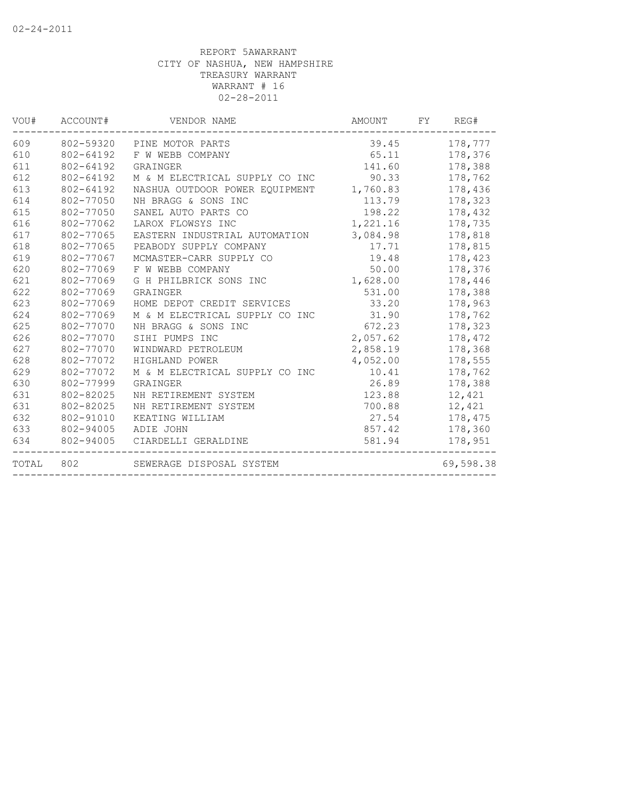| VOU#  | ACCOUNT#  | VENDOR NAME                    | AMOUNT   | FY      | REG#      |
|-------|-----------|--------------------------------|----------|---------|-----------|
| 609   |           | 802-59320 PINE MOTOR PARTS     | 39.45    | 178,777 |           |
| 610   | 802-64192 | F W WEBB COMPANY               | 65.11    | 178,376 |           |
| 611   | 802-64192 | GRAINGER                       | 141.60   |         | 178,388   |
| 612   | 802-64192 | M & M ELECTRICAL SUPPLY CO INC | 90.33    |         | 178,762   |
| 613   | 802-64192 | NASHUA OUTDOOR POWER EOUIPMENT | 1,760.83 |         | 178,436   |
| 614   | 802-77050 | NH BRAGG & SONS INC            | 113.79   |         | 178,323   |
| 615   | 802-77050 | SANEL AUTO PARTS CO            | 198.22   |         | 178,432   |
| 616   | 802-77062 | LAROX FLOWSYS INC              | 1,221.16 |         | 178,735   |
| 617   | 802-77065 | EASTERN INDUSTRIAL AUTOMATION  | 3,084.98 |         | 178,818   |
| 618   | 802-77065 | PEABODY SUPPLY COMPANY         | 17.71    |         | 178,815   |
| 619   | 802-77067 | MCMASTER-CARR SUPPLY CO        | 19.48    |         | 178,423   |
| 620   | 802-77069 | F W WEBB COMPANY               | 50.00    |         | 178,376   |
| 621   | 802-77069 | G H PHILBRICK SONS INC         | 1,628.00 |         | 178,446   |
| 622   | 802-77069 | GRAINGER                       | 531.00   |         | 178,388   |
| 623   | 802-77069 | HOME DEPOT CREDIT SERVICES     | 33.20    |         | 178,963   |
| 624   | 802-77069 | M & M ELECTRICAL SUPPLY CO INC | 31.90    |         | 178,762   |
| 625   | 802-77070 | NH BRAGG & SONS INC            | 672.23   |         | 178,323   |
| 626   | 802-77070 | SIHI PUMPS INC                 | 2,057.62 |         | 178,472   |
| 627   | 802-77070 | WINDWARD PETROLEUM             | 2,858.19 |         | 178,368   |
| 628   | 802-77072 | HIGHLAND POWER                 | 4,052.00 |         | 178,555   |
| 629   | 802-77072 | M & M ELECTRICAL SUPPLY CO INC | 10.41    |         | 178,762   |
| 630   | 802-77999 | GRAINGER                       | 26.89    |         | 178,388   |
| 631   | 802-82025 | NH RETIREMENT SYSTEM           | 123.88   |         | 12,421    |
| 631   | 802-82025 | NH RETIREMENT SYSTEM           | 700.88   |         | 12,421    |
| 632   | 802-91010 | KEATING WILLIAM                | 27.54    |         | 178,475   |
| 633   | 802-94005 | ADIE JOHN                      | 857.42   |         | 178,360   |
| 634   | 802-94005 | CIARDELLI GERALDINE            | 581.94   |         | 178,951   |
| TOTAL | 802       | SEWERAGE DISPOSAL SYSTEM       |          |         | 69,598.38 |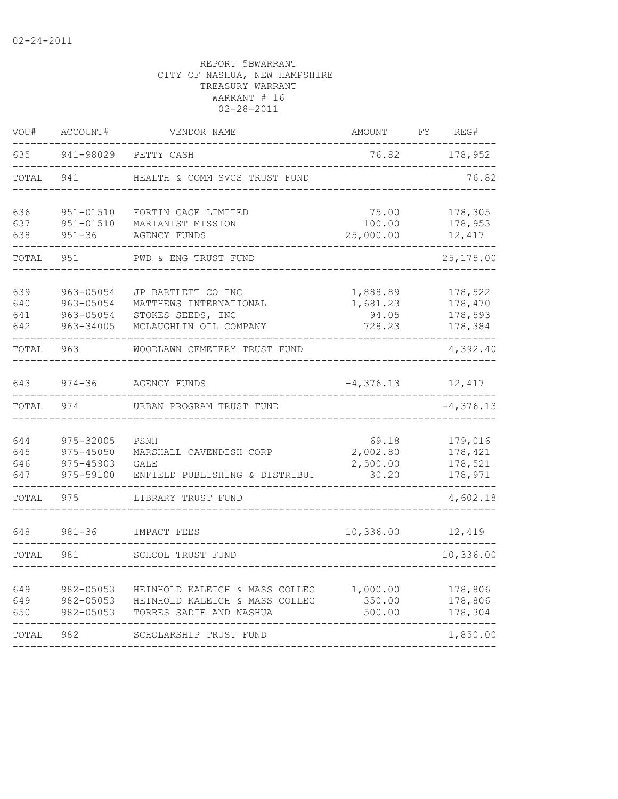| VOU#                     | ACCOUNT#<br>VENDOR NAME                          |                                                                                             | <b>AMOUNT</b>                           | FΥ       | REG#                                     |  |
|--------------------------|--------------------------------------------------|---------------------------------------------------------------------------------------------|-----------------------------------------|----------|------------------------------------------|--|
| 635                      | 941-98029                                        | PETTY CASH                                                                                  | 76.82                                   |          |                                          |  |
| TOTAL                    | 941                                              | HEALTH & COMM SVCS TRUST FUND                                                               |                                         |          | 76.82                                    |  |
| 636<br>637<br>638        | 951-01510<br>951-01510<br>$951 - 36$             | FORTIN GAGE LIMITED<br>MARIANIST MISSION<br><b>AGENCY FUNDS</b>                             | 75.00<br>100.00<br>25,000.00            |          | 178,305<br>178,953<br>12,417             |  |
| TOTAL                    | 951                                              | PWD & ENG TRUST FUND                                                                        |                                         |          | 25, 175.00                               |  |
| 639<br>640<br>641<br>642 | 963-05054<br>963-05054<br>963-05054<br>963-34005 | JP BARTLETT CO INC<br>MATTHEWS INTERNATIONAL<br>STOKES SEEDS, INC<br>MCLAUGHLIN OIL COMPANY | 1,888.89<br>1,681.23<br>94.05<br>728.23 |          | 178,522<br>178,470<br>178,593<br>178,384 |  |
| TOTAL                    | 963                                              | WOODLAWN CEMETERY TRUST FUND                                                                |                                         | 4,392.40 |                                          |  |
| 643                      | $974 - 36$                                       | <b>AGENCY FUNDS</b>                                                                         |                                         | 12,417   |                                          |  |
| TOTAL                    | 974                                              | URBAN PROGRAM TRUST FUND                                                                    |                                         |          | $-4,376.13$                              |  |
| 644<br>645<br>646<br>647 | 975-32005<br>975-45050<br>975-45903<br>975-59100 | PSNH<br>MARSHALL CAVENDISH CORP<br>GALE<br>ENFIELD PUBLISHING & DISTRIBUT                   | 69.18<br>2,002.80<br>2,500.00<br>30.20  |          | 179,016<br>178,421<br>178,521<br>178,971 |  |
| TOTAL                    | 975                                              | LIBRARY TRUST FUND                                                                          |                                         |          | 4,602.18                                 |  |
| 648                      | $981 - 36$                                       | IMPACT FEES                                                                                 | 10,336.00                               |          | 12,419                                   |  |
| TOTAL                    | 981                                              | SCHOOL TRUST FUND                                                                           |                                         |          | 10,336.00                                |  |
| 649<br>649<br>650        | 982-05053<br>982-05053<br>982-05053              | HEINHOLD KALEIGH & MASS COLLEG<br>HEINHOLD KALEIGH & MASS COLLEG<br>TORRES SADIE AND NASHUA | 1,000.00<br>350.00<br>500.00            |          | 178,806<br>178,806<br>178,304            |  |
| TOTAL                    | 982                                              | SCHOLARSHIP TRUST FUND                                                                      |                                         |          | 1,850.00                                 |  |
|                          |                                                  |                                                                                             |                                         |          |                                          |  |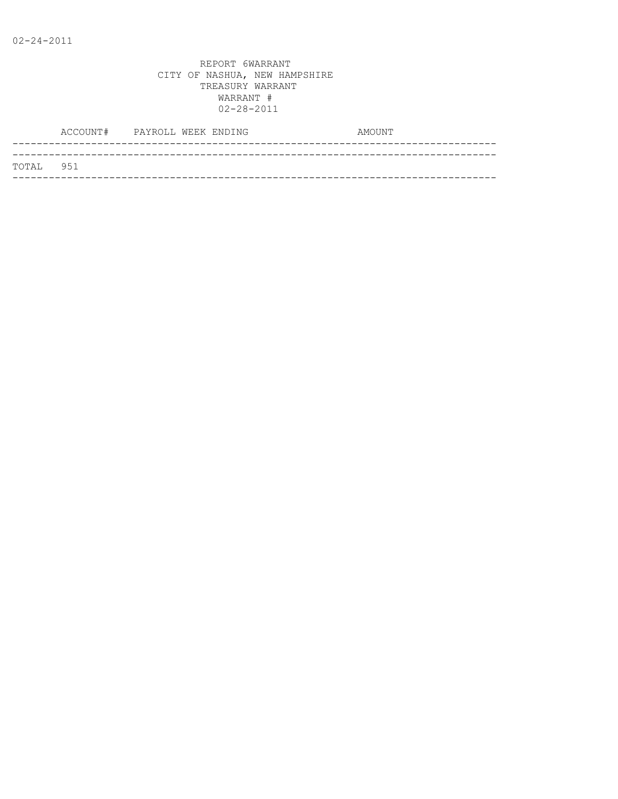|           | ACCOUNT# PAYROLL WEEK ENDING |  |  | AMOUNT |
|-----------|------------------------------|--|--|--------|
|           |                              |  |  |        |
| TOTAL 951 |                              |  |  |        |
|           |                              |  |  |        |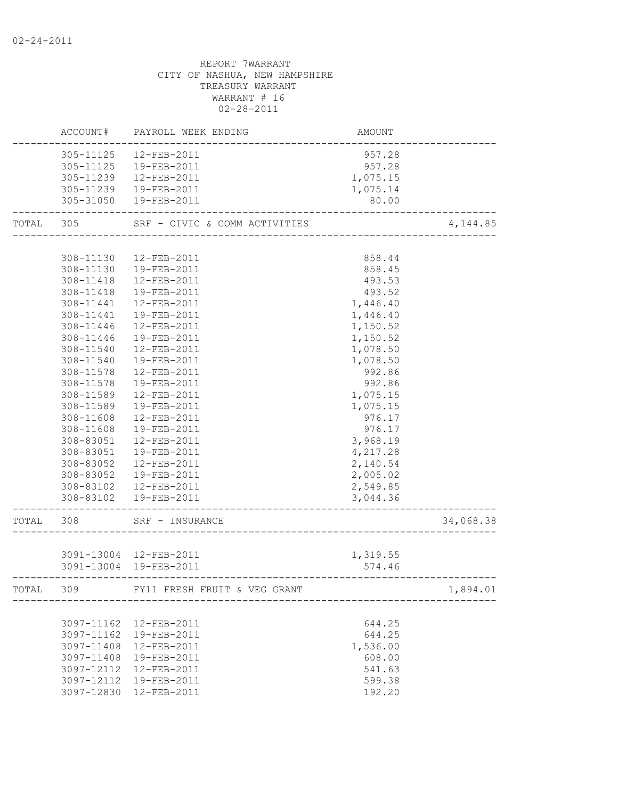|           | ACCOUNT#   | PAYROLL WEEK ENDING                    | AMOUNT   |           |
|-----------|------------|----------------------------------------|----------|-----------|
|           | 305-11125  | 12-FEB-2011                            | 957.28   |           |
|           | 305-11125  | 19-FEB-2011                            | 957.28   |           |
|           | 305-11239  | 12-FEB-2011                            | 1,075.15 |           |
|           |            | 305-11239  19-FEB-2011                 | 1,075.14 |           |
|           |            | 305-31050  19-FEB-2011                 | 80.00    |           |
| TOTAL 305 |            | SRF - CIVIC & COMM ACTIVITIES          |          | 4, 144.85 |
|           |            |                                        |          |           |
|           | 308-11130  | 12-FEB-2011                            | 858.44   |           |
|           | 308-11130  | 19-FEB-2011                            | 858.45   |           |
|           | 308-11418  | 12-FEB-2011                            | 493.53   |           |
|           | 308-11418  | 19-FEB-2011                            | 493.52   |           |
|           | 308-11441  | 12-FEB-2011                            | 1,446.40 |           |
|           | 308-11441  | 19-FEB-2011                            | 1,446.40 |           |
|           | 308-11446  | 12-FEB-2011                            | 1,150.52 |           |
|           | 308-11446  | 19-FEB-2011                            | 1,150.52 |           |
|           | 308-11540  | 12-FEB-2011                            | 1,078.50 |           |
|           | 308-11540  | 19-FEB-2011                            | 1,078.50 |           |
|           | 308-11578  | 12-FEB-2011                            | 992.86   |           |
|           | 308-11578  | 19-FEB-2011                            | 992.86   |           |
|           | 308-11589  | 12-FEB-2011                            | 1,075.15 |           |
|           | 308-11589  | 19-FEB-2011                            | 1,075.15 |           |
|           | 308-11608  | 12-FEB-2011                            | 976.17   |           |
|           | 308-11608  | 19-FEB-2011                            | 976.17   |           |
|           | 308-83051  | 12-FEB-2011                            | 3,968.19 |           |
|           | 308-83051  | 19-FEB-2011                            | 4,217.28 |           |
|           | 308-83052  | 12-FEB-2011                            | 2,140.54 |           |
|           | 308-83052  | 19-FEB-2011                            | 2,005.02 |           |
|           | 308-83102  | 12-FEB-2011                            | 2,549.85 |           |
|           |            | 308-83102  19-FEB-2011                 | 3,044.36 |           |
| TOTAL 308 |            | SRF - INSURANCE                        |          | 34,068.38 |
|           |            |                                        |          |           |
|           |            | 3091-13004 12-FEB-2011                 | 1,319.55 |           |
|           |            | 3091-13004 19-FEB-2011                 | 574.46   |           |
|           |            | TOTAL 309 FY11 FRESH FRUIT & VEG GRANT |          | 1,894.01  |
|           |            |                                        |          |           |
|           |            | 3097-11162 12-FEB-2011                 | 644.25   |           |
|           |            | 3097-11162 19-FEB-2011                 | 644.25   |           |
|           | 3097-11408 | 12-FEB-2011                            | 1,536.00 |           |
|           | 3097-11408 | 19-FEB-2011                            | 608.00   |           |
|           | 3097-12112 | 12-FEB-2011                            | 541.63   |           |
|           | 3097-12112 | 19-FEB-2011                            | 599.38   |           |
|           |            | 3097-12830 12-FEB-2011                 | 192.20   |           |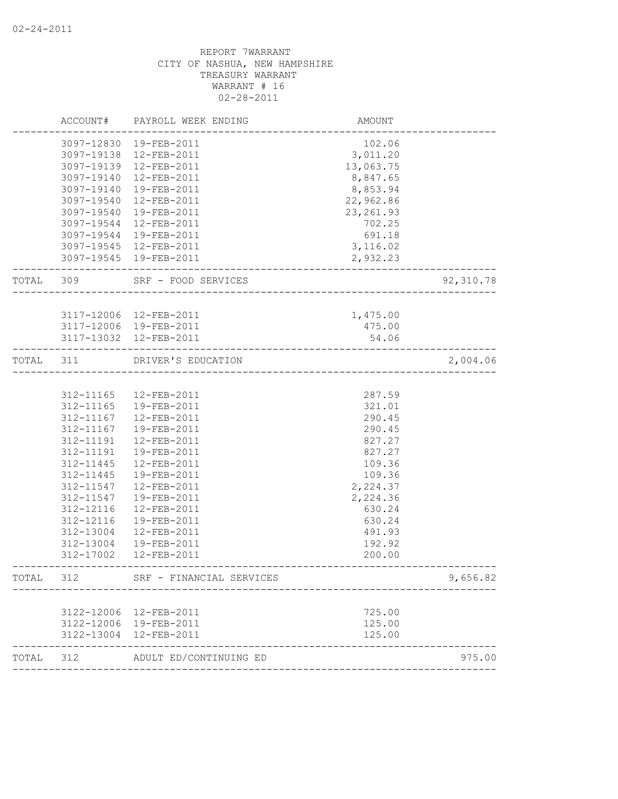|           | ACCOUNT#   | PAYROLL WEEK ENDING      | AMOUNT                       |           |
|-----------|------------|--------------------------|------------------------------|-----------|
|           |            | 3097-12830 19-FEB-2011   | 102.06                       |           |
|           |            | 3097-19138 12-FEB-2011   | 3,011.20                     |           |
|           |            | 3097-19139 12-FEB-2011   | 13,063.75                    |           |
|           | 3097-19140 | 12-FEB-2011              | 8,847.65                     |           |
|           | 3097-19140 | 19-FEB-2011              | 8,853.94                     |           |
|           | 3097-19540 | 12-FEB-2011              | 22,962.86                    |           |
|           | 3097-19540 | 19-FEB-2011              | 23, 261.93                   |           |
|           | 3097-19544 | 12-FEB-2011              | 702.25                       |           |
|           | 3097-19544 | 19-FEB-2011              | 691.18                       |           |
|           |            | 3097-19545 12-FEB-2011   | 3,116.02                     |           |
|           |            | 3097-19545 19-FEB-2011   | 2,932.23                     |           |
| TOTAL 309 |            | SRF - FOOD SERVICES      |                              | 92,310.78 |
|           |            |                          |                              |           |
|           |            | 3117-12006 12-FEB-2011   | 1,475.00                     |           |
|           |            | 3117-12006 19-FEB-2011   | 475.00                       |           |
|           |            | 3117-13032 12-FEB-2011   | 54.06                        |           |
| TOTAL 311 |            | DRIVER'S EDUCATION       | ____________________________ | 2,004.06  |
|           |            |                          |                              |           |
|           | 312-11165  | 12-FEB-2011              | 287.59                       |           |
|           | 312-11165  | 19-FEB-2011              | 321.01                       |           |
|           | 312-11167  | 12-FEB-2011              | 290.45                       |           |
|           | 312-11167  | 19-FEB-2011              | 290.45                       |           |
|           | 312-11191  | 12-FEB-2011              | 827.27                       |           |
|           | 312-11191  | 19-FEB-2011              | 827.27                       |           |
|           | 312-11445  | 12-FEB-2011              | 109.36                       |           |
|           | 312-11445  | 19-FEB-2011              | 109.36                       |           |
|           | 312-11547  | 12-FEB-2011              | 2,224.37                     |           |
|           | 312-11547  | 19-FEB-2011              | 2,224.36                     |           |
|           | 312-12116  | 12-FEB-2011              | 630.24                       |           |
|           | 312-12116  | 19-FEB-2011              | 630.24                       |           |
|           | 312-13004  | $12 - FEB - 2011$        | 491.93                       |           |
|           | 312-13004  | 19-FEB-2011              | 192.92                       |           |
|           | 312-17002  | 12-FEB-2011              | 200.00                       |           |
| TOTAL     | 312        | SRF - FINANCIAL SERVICES |                              | 9,656.82  |
|           |            |                          |                              |           |
|           | 3122-12006 | 12-FEB-2011              | 725.00                       |           |
|           | 3122-12006 | 19-FEB-2011              | 125.00                       |           |
|           | 3122-13004 | 12-FEB-2011              | 125.00                       |           |
| TOTAL     | 312        | ADULT ED/CONTINUING ED   |                              | 975.00    |
|           |            |                          |                              |           |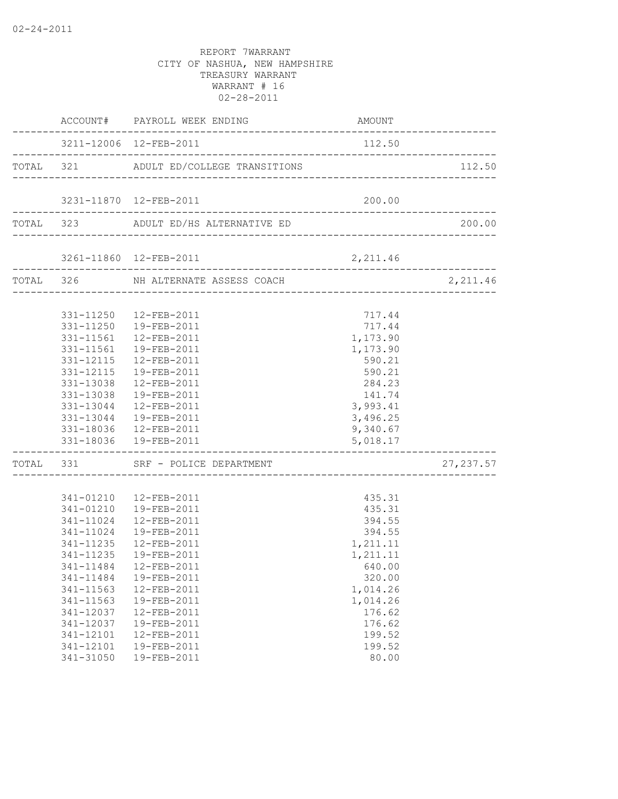|  |                          | ACCOUNT# PAYROLL WEEK ENDING           | AMOUNT                            |            |
|--|--------------------------|----------------------------------------|-----------------------------------|------------|
|  |                          | 3211-12006 12-FEB-2011                 | 112.50                            |            |
|  |                          | TOTAL 321 ADULT ED/COLLEGE TRANSITIONS |                                   | 112.50     |
|  |                          | 3231-11870  12-FEB-2011                | 200.00                            |            |
|  |                          |                                        |                                   |            |
|  |                          | TOTAL 323 ADULT ED/HS ALTERNATIVE ED   |                                   | 200.00     |
|  |                          |                                        |                                   |            |
|  | ------------------------ | TOTAL 326 NH ALTERNATE ASSESS COACH    |                                   | 2, 211.46  |
|  |                          |                                        |                                   |            |
|  |                          | 331-11250  12-FEB-2011                 | 717.44                            |            |
|  |                          | 331-11250  19-FEB-2011                 | 717.44                            |            |
|  |                          | 331-11561  12-FEB-2011                 | 1,173.90                          |            |
|  |                          | 331-11561  19-FEB-2011                 | 1,173.90                          |            |
|  |                          | 331-12115  12-FEB-2011                 | 590.21                            |            |
|  |                          | 331-12115  19-FEB-2011                 | 590.21                            |            |
|  |                          | 331-13038 12-FEB-2011                  | 284.23                            |            |
|  |                          | 331-13038  19-FEB-2011                 | 141.74                            |            |
|  |                          | 331-13044 12-FEB-2011                  | 3,993.41                          |            |
|  |                          | 331-13044  19-FEB-2011                 | 3,496.25                          |            |
|  |                          | 331-18036  12-FEB-2011                 | 9,340.67                          |            |
|  |                          | 331-18036 19-FEB-2011                  | 5,018.17<br>--------------------- |            |
|  |                          | TOTAL 331 SRF - POLICE DEPARTMENT      |                                   | 27, 237.57 |
|  |                          |                                        |                                   |            |
|  |                          | 341-01210  12-FEB-2011                 | 435.31                            |            |
|  |                          | 341-01210  19-FEB-2011                 | 435.31                            |            |
|  |                          | 341-11024  12-FEB-2011                 | 394.55                            |            |
|  |                          | 341-11024  19-FEB-2011                 | 394.55                            |            |
|  |                          | 341-11235  12-FEB-2011                 | 1,211.11                          |            |
|  |                          | 341-11235  19-FEB-2011                 | 1,211.11                          |            |
|  |                          |                                        | 640.00                            |            |
|  | 341-11484                | 19-FEB-2011                            | 320.00                            |            |
|  | 341-11563                | 12-FEB-2011                            | 1,014.26                          |            |
|  | 341-11563                | 19-FEB-2011                            | 1,014.26                          |            |
|  | 341-12037                | 12-FEB-2011                            | 176.62                            |            |
|  | 341-12037                | 19-FEB-2011                            | 176.62                            |            |
|  | 341-12101                | 12-FEB-2011                            | 199.52                            |            |
|  | 341-12101                | 19-FEB-2011                            | 199.52                            |            |
|  | 341-31050                | 19-FEB-2011                            | 80.00                             |            |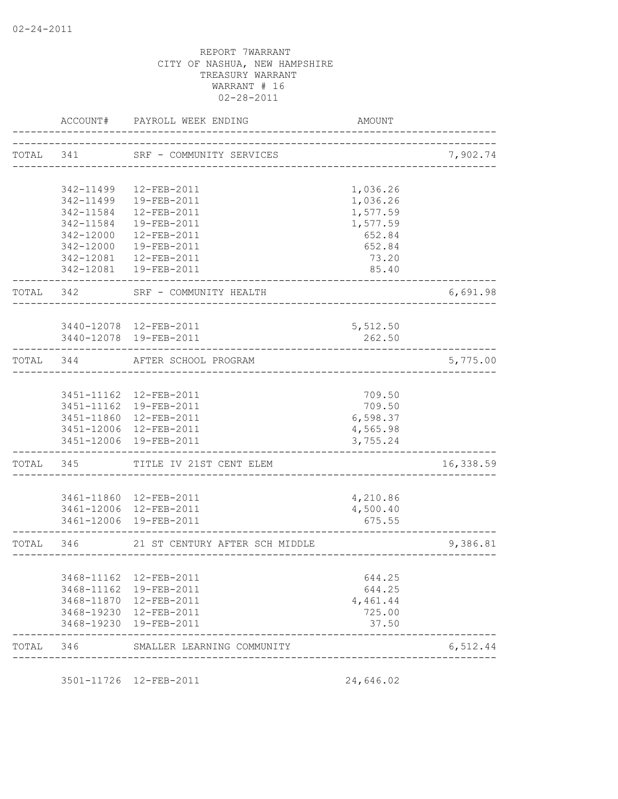|           | ACCOUNT#   | PAYROLL WEEK ENDING                              | AMOUNT                       |           |
|-----------|------------|--------------------------------------------------|------------------------------|-----------|
|           | TOTAL 341  | SRF - COMMUNITY SERVICES                         | ________ <i>________</i> ___ | 7,902.74  |
|           |            |                                                  |                              |           |
|           | 342-11499  | 12-FEB-2011                                      | 1,036.26                     |           |
|           | 342-11499  | 19-FEB-2011                                      | 1,036.26                     |           |
|           | 342-11584  | $12 - FEB - 2011$                                | 1,577.59                     |           |
|           | 342-11584  | 19-FEB-2011                                      | 1,577.59                     |           |
|           | 342-12000  | 12-FEB-2011                                      | 652.84                       |           |
|           | 342-12000  | 19-FEB-2011                                      | 652.84                       |           |
|           | 342-12081  | 12-FEB-2011<br>342-12081  19-FEB-2011            | 73.20<br>85.40               |           |
| TOTAL     | 342        | SRF - COMMUNITY HEALTH                           |                              | 6,691.98  |
|           |            |                                                  |                              |           |
|           |            | 3440-12078 12-FEB-2011                           | 5,512.50                     |           |
|           |            | 3440-12078 19-FEB-2011                           | 262.50                       |           |
| TOTAL 344 |            | AFTER SCHOOL PROGRAM<br>------------------       |                              | 5,775.00  |
|           |            |                                                  |                              |           |
|           |            | 3451-11162  12-FEB-2011                          | 709.50                       |           |
|           |            | 3451-11162 19-FEB-2011                           | 709.50                       |           |
|           |            | 3451-11860 12-FEB-2011                           | 6,598.37                     |           |
|           |            | 3451-12006 12-FEB-2011                           | 4,565.98                     |           |
|           | 3451-12006 | 19-FEB-2011                                      | 3,755.24                     |           |
| TOTAL     | 345        | TITLE IV 21ST CENT ELEM                          |                              | 16,338.59 |
|           |            |                                                  |                              |           |
|           |            | 3461-11860 12-FEB-2011<br>3461-12006 12-FEB-2011 | 4,210.86<br>4,500.40         |           |
|           |            | 3461-12006 19-FEB-2011                           | 675.55                       |           |
| TOTAL 346 |            | 21 ST CENTURY AFTER SCH MIDDLE                   |                              | 9,386.81  |
|           |            |                                                  |                              |           |
|           | 3468-11162 | 12-FEB-2011                                      | 644.25                       |           |
|           | 3468-11162 | 19-FEB-2011                                      | 644.25                       |           |
|           | 3468-11870 | 12-FEB-2011                                      | 4,461.44                     |           |
|           | 3468-19230 | 12-FEB-2011                                      | 725.00                       |           |
|           | 3468-19230 | 19-FEB-2011                                      | 37.50                        |           |
| TOTAL 346 |            | SMALLER LEARNING COMMUNITY                       |                              | 6,512.44  |

3501-11726 12-FEB-2011 24,646.02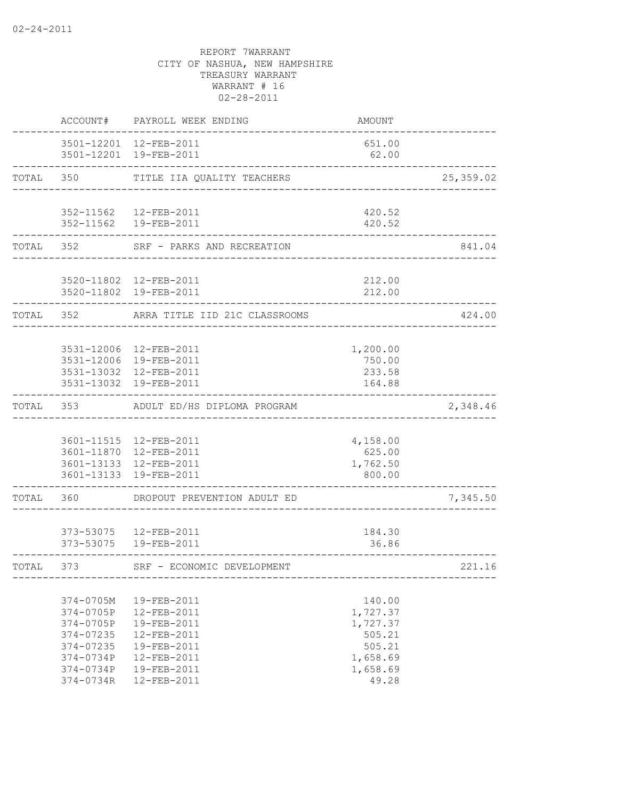|           | ACCOUNT#                                                                                                 | PAYROLL WEEK ENDING                                                                                                        | AMOUNT                                                                              |           |
|-----------|----------------------------------------------------------------------------------------------------------|----------------------------------------------------------------------------------------------------------------------------|-------------------------------------------------------------------------------------|-----------|
|           |                                                                                                          | 3501-12201 12-FEB-2011<br>3501-12201 19-FEB-2011                                                                           | 651.00<br>62.00                                                                     |           |
|           | TOTAL 350                                                                                                | TITLE IIA QUALITY TEACHERS                                                                                                 |                                                                                     | 25,359.02 |
|           |                                                                                                          | 352-11562  12-FEB-2011                                                                                                     | 420.52                                                                              |           |
|           |                                                                                                          | 352-11562  19-FEB-2011                                                                                                     | 420.52                                                                              |           |
|           | TOTAL 352                                                                                                | SRF - PARKS AND RECREATION                                                                                                 |                                                                                     | 841.04    |
|           |                                                                                                          | 3520-11802 12-FEB-2011<br>3520-11802 19-FEB-2011                                                                           | 212.00<br>212.00                                                                    |           |
| TOTAL 352 |                                                                                                          | ARRA TITLE IID 21C CLASSROOMS                                                                                              |                                                                                     | 424.00    |
|           |                                                                                                          | 3531-12006 12-FEB-2011<br>3531-12006 19-FEB-2011<br>3531-13032 12-FEB-2011<br>3531-13032 19-FEB-2011                       | 1,200.00<br>750.00<br>233.58<br>164.88                                              |           |
|           | TOTAL 353                                                                                                | ADULT ED/HS DIPLOMA PROGRAM                                                                                                |                                                                                     | 2,348.46  |
|           |                                                                                                          | 3601-11515  12-FEB-2011<br>3601-11870 12-FEB-2011<br>3601-13133 12-FEB-2011<br>3601-13133 19-FEB-2011                      | 4,158.00<br>625.00<br>1,762.50<br>800.00                                            |           |
| TOTAL 360 |                                                                                                          | DROPOUT PREVENTION ADULT ED                                                                                                |                                                                                     | 7,345.50  |
|           |                                                                                                          | 373-53075  12-FEB-2011<br>373-53075  19-FEB-2011                                                                           | 184.30<br>36.86                                                                     |           |
| TOTAL 373 |                                                                                                          | SRF - ECONOMIC DEVELOPMENT                                                                                                 |                                                                                     | 221.16    |
|           | 374-0705M<br>374-0705P<br>374-0705P<br>$374 - 07235$<br>374-07235<br>374-0734P<br>374-0734P<br>374-0734R | 19-FEB-2011<br>12-FEB-2011<br>19-FEB-2011<br>$12 - FEB - 2011$<br>19-FEB-2011<br>12-FEB-2011<br>19-FEB-2011<br>12-FEB-2011 | 140.00<br>1,727.37<br>1,727.37<br>505.21<br>505.21<br>1,658.69<br>1,658.69<br>49.28 |           |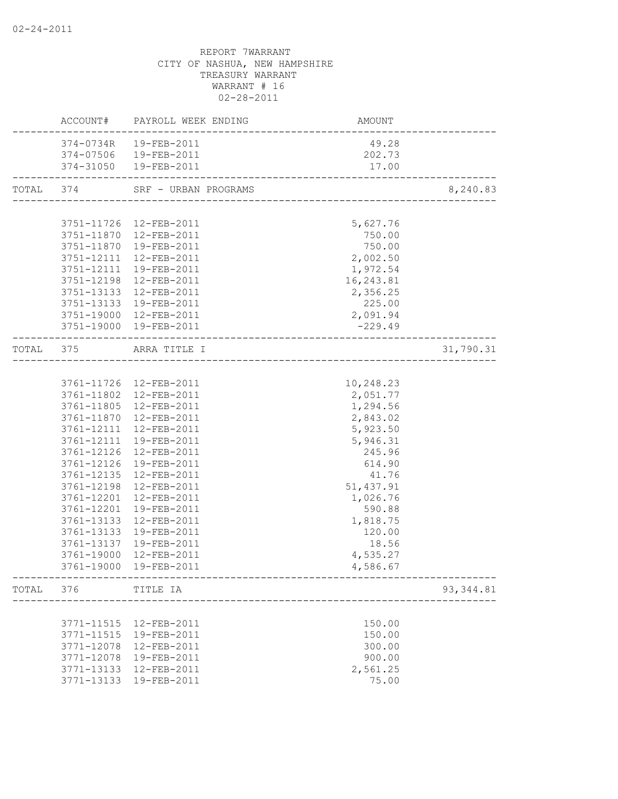|       |                          | ACCOUNT# PAYROLL WEEK ENDING    | AMOUNT            |            |
|-------|--------------------------|---------------------------------|-------------------|------------|
|       |                          | 374-0734R  19-FEB-2011          | 49.28             |            |
|       |                          | 374-07506  19-FEB-2011          | 202.73            |            |
|       |                          | 374-31050  19-FEB-2011          | 17.00             |            |
|       |                          | TOTAL 374 SRF - URBAN PROGRAMS  |                   | 8,240.83   |
|       |                          |                                 |                   |            |
|       |                          | 3751-11726 12-FEB-2011          | 5,627.76          |            |
|       |                          | 3751-11870  12-FEB-2011         | 750.00            |            |
|       |                          | 3751-11870  19-FEB-2011         | 750.00            |            |
|       |                          | 3751-12111 12-FEB-2011          | 2,002.50          |            |
|       |                          | 3751-12111 19-FEB-2011          | 1,972.54          |            |
|       |                          | 3751-12198 12-FEB-2011          | 16,243.81         |            |
|       |                          | 3751-13133 12-FEB-2011          | 2,356.25          |            |
|       |                          | 3751-13133 19-FEB-2011          | 225.00            |            |
|       |                          | 3751-19000 12-FEB-2011          | 2,091.94          |            |
|       |                          | 3751-19000 19-FEB-2011          | $-229.49$         |            |
|       |                          | TOTAL 375 ARRA TITLE I          |                   | 31,790.31  |
|       |                          |                                 |                   |            |
|       |                          | 3761-11726 12-FEB-2011          | 10,248.23         |            |
|       |                          | 3761-11802 12-FEB-2011          | 2,051.77          |            |
|       |                          | 3761-11805 12-FEB-2011          | 1,294.56          |            |
|       |                          | 3761-11870  12-FEB-2011         | 2,843.02          |            |
|       |                          | 3761-12111 12-FEB-2011          | 5,923.50          |            |
|       |                          | 3761-12111 19-FEB-2011          | 5,946.31          |            |
|       |                          | 3761-12126 12-FEB-2011          | 245.96            |            |
|       | 3761-12126               | 19-FEB-2011                     | 614.90            |            |
|       | 3761-12135               | 12-FEB-2011                     | 41.76             |            |
|       | 3761-12198               | 12-FEB-2011                     | 51, 437.91        |            |
|       | 3761-12201               | 12-FEB-2011                     | 1,026.76          |            |
|       | 3761-12201               | 19-FEB-2011                     | 590.88            |            |
|       | 3761-13133               | 12-FEB-2011                     | 1,818.75          |            |
|       | 3761-13133               | 19-FEB-2011                     | 120.00            |            |
|       | 3761-13137<br>3761-19000 | 19-FEB-2011<br>12-FEB-2011      | 18.56<br>4,535.27 |            |
|       |                          | 3761-19000 19-FEB-2011          | 4,586.67          |            |
|       |                          |                                 |                   |            |
| TOTAL | 376 TITLE IA             | _______________________________ |                   | 93, 344.81 |
|       |                          |                                 |                   |            |
|       | 3771-11515               | 12-FEB-2011                     | 150.00            |            |
|       | 3771-11515               | 19-FEB-2011                     | 150.00            |            |
|       | 3771-12078               | 12-FEB-2011                     | 300.00            |            |
|       | 3771-12078               | 19-FEB-2011                     | 900.00            |            |
|       | 3771-13133               | 12-FEB-2011                     | 2,561.25          |            |
|       | 3771-13133               | 19-FEB-2011                     | 75.00             |            |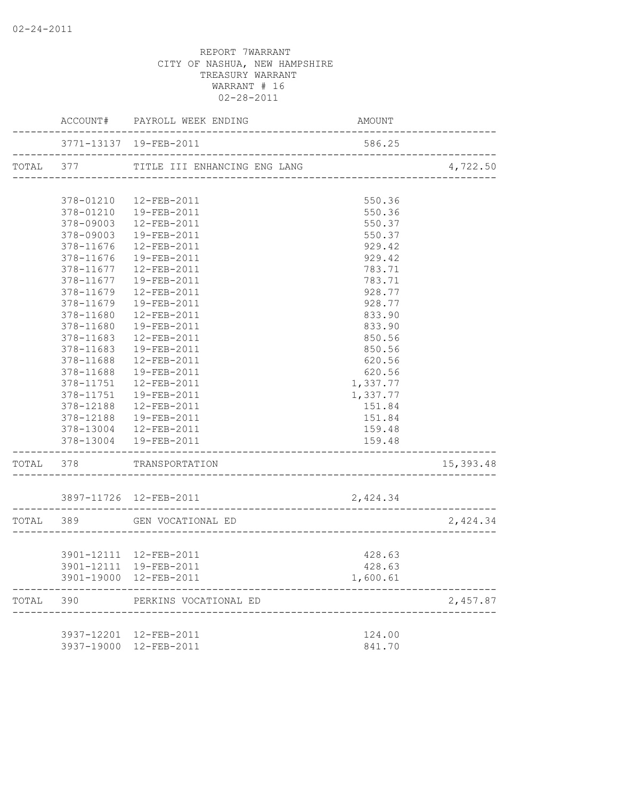|       |           | ACCOUNT# PAYROLL WEEK ENDING                                          | AMOUNT           |           |
|-------|-----------|-----------------------------------------------------------------------|------------------|-----------|
|       |           | 3771-13137 19-FEB-2011                                                | 586.25           |           |
|       |           |                                                                       |                  | 4,722.50  |
|       |           |                                                                       |                  |           |
|       | 378-01210 | 12-FEB-2011                                                           | 550.36           |           |
|       | 378-09003 | 378-01210  19-FEB-2011<br>12-FEB-2011                                 | 550.36<br>550.37 |           |
|       | 378-09003 | 19-FEB-2011                                                           | 550.37           |           |
|       | 378-11676 | 12-FEB-2011                                                           | 929.42           |           |
|       | 378-11676 | 19-FEB-2011                                                           | 929.42           |           |
|       |           | 378-11677  12-FEB-2011                                                | 783.71           |           |
|       |           | 378-11677  19-FEB-2011                                                | 783.71           |           |
|       | 378-11679 | 12-FEB-2011                                                           | 928.77           |           |
|       | 378-11679 | 19-FEB-2011                                                           | 928.77           |           |
|       | 378-11680 | 12-FEB-2011                                                           | 833.90           |           |
|       | 378-11680 | 19-FEB-2011                                                           | 833.90           |           |
|       | 378-11683 | 12-FEB-2011                                                           | 850.56           |           |
|       | 378-11683 | 19-FEB-2011                                                           | 850.56           |           |
|       | 378-11688 | 12-FEB-2011                                                           | 620.56           |           |
|       | 378-11688 | 19-FEB-2011                                                           | 620.56           |           |
|       | 378-11751 | 12-FEB-2011                                                           | 1,337.77         |           |
|       |           | 378-11751  19-FEB-2011                                                | 1,337.77         |           |
|       |           | 378-12188  12-FEB-2011                                                | 151.84           |           |
|       |           | 378-12188  19-FEB-2011                                                | 151.84           |           |
|       |           | 378-13004 12-FEB-2011                                                 | 159.48           |           |
|       |           | 378-13004  19-FEB-2011                                                | 159.48           |           |
|       |           | TOTAL 378 TRANSPORTATION                                              |                  | 15,393.48 |
|       |           | 3897-11726 12-FEB-2011                                                | 2,424.34         |           |
|       |           | --------------------------------------<br>TOTAL 389 GEN VOCATIONAL ED |                  | 2,424.34  |
|       |           | ___________________________                                           |                  |           |
|       |           | 3901-12111 12-FEB-2011                                                | 428.63           |           |
|       |           | 3901-12111 19-FEB-2011                                                | 428.63           |           |
|       |           | 3901-19000 12-FEB-2011                                                | 1,600.61         |           |
| TOTAL | 390       | PERKINS VOCATIONAL ED                                                 |                  | 2,457.87  |
|       |           |                                                                       |                  |           |
|       |           | 3937-12201 12-FEB-2011                                                | 124.00           |           |
|       |           | 3937-19000 12-FEB-2011                                                | 841.70           |           |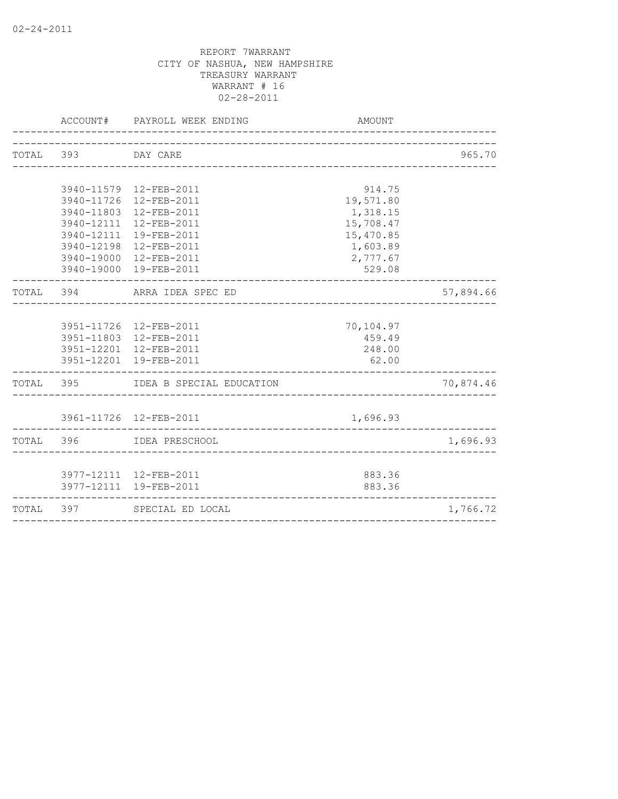|           |           | ACCOUNT# PAYROLL WEEK ENDING<br>----------------------- | AMOUNT                    |           |
|-----------|-----------|---------------------------------------------------------|---------------------------|-----------|
| TOTAL 393 |           | DAY CARE                                                | _________________________ | 965.70    |
|           |           |                                                         |                           |           |
|           |           | 3940-11579 12-FEB-2011                                  | 914.75                    |           |
|           |           | 3940-11726 12-FEB-2011                                  | 19,571.80                 |           |
|           |           | 3940-11803 12-FEB-2011                                  | 1,318.15                  |           |
|           |           | 3940-12111 12-FEB-2011                                  | 15,708.47                 |           |
|           |           | 3940-12111 19-FEB-2011                                  | 15,470.85                 |           |
|           |           | 3940-12198 12-FEB-2011                                  | 1,603.89                  |           |
|           |           | 3940-19000 12-FEB-2011                                  | 2,777.67                  |           |
|           |           | 3940-19000 19-FEB-2011                                  | 529.08                    |           |
|           |           | TOTAL 394 ARRA IDEA SPEC ED                             |                           | 57,894.66 |
|           |           |                                                         |                           |           |
|           |           | 3951-11726 12-FEB-2011                                  | 70,104.97                 |           |
|           |           | 3951-11803 12-FEB-2011                                  | 459.49                    |           |
|           |           | 3951-12201 12-FEB-2011                                  | 248.00                    |           |
|           |           | 3951-12201 19-FEB-2011                                  | 62.00                     |           |
| TOTAL 395 |           | IDEA B SPECIAL EDUCATION                                |                           | 70,874.46 |
|           |           |                                                         |                           |           |
|           |           | 3961-11726 12-FEB-2011                                  | 1,696.93                  |           |
| TOTAL 396 |           | IDEA PRESCHOOL                                          |                           | 1,696.93  |
|           |           |                                                         |                           |           |
|           |           | 3977-12111 12-FEB-2011                                  | 883.36                    |           |
|           |           | 3977-12111 19-FEB-2011                                  | 883.36                    |           |
|           | TOTAL 397 | SPECIAL ED LOCAL                                        |                           | 1,766.72  |
|           |           |                                                         |                           |           |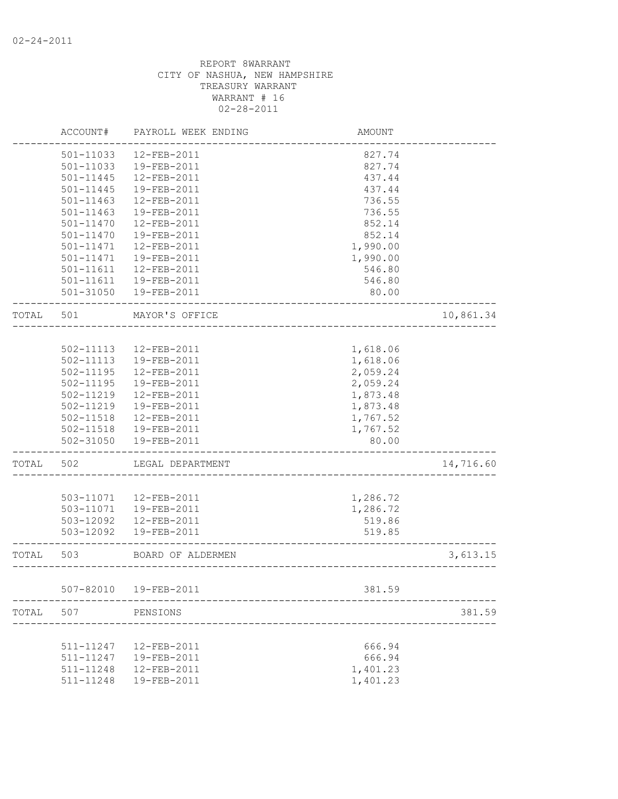|       | ACCOUNT#               | PAYROLL WEEK ENDING        | <b>AMOUNT</b>               |           |
|-------|------------------------|----------------------------|-----------------------------|-----------|
|       | 501-11033              | 12-FEB-2011                | 827.74                      |           |
|       | 501-11033              | 19-FEB-2011                | 827.74                      |           |
|       | $501 - 11445$          | 12-FEB-2011                | 437.44                      |           |
|       | 501-11445              | 19-FEB-2011                | 437.44                      |           |
|       | 501-11463              | 12-FEB-2011                | 736.55                      |           |
|       | $501 - 11463$          | 19-FEB-2011                | 736.55                      |           |
|       | $501 - 11470$          | 12-FEB-2011                | 852.14                      |           |
|       | $501 - 11470$          | 19-FEB-2011                | 852.14                      |           |
|       | 501-11471              | 12-FEB-2011                | 1,990.00                    |           |
|       | 501-11471              | 19-FEB-2011                | 1,990.00                    |           |
|       | $501 - 11611$          | 12-FEB-2011                | 546.80                      |           |
|       | 501-11611              | 19-FEB-2011                | 546.80                      |           |
|       | 501-31050              | 19-FEB-2011                | 80.00                       |           |
| TOTAL | 501                    | MAYOR'S OFFICE             |                             | 10,861.34 |
|       |                        |                            |                             |           |
|       | 502-11113              | 12-FEB-2011                | 1,618.06                    |           |
|       | 502-11113              | 19-FEB-2011                | 1,618.06                    |           |
|       | $502 - 11195$          | 12-FEB-2011                | 2,059.24                    |           |
|       | 502-11195              | 19-FEB-2011                | 2,059.24                    |           |
|       | 502-11219              | 12-FEB-2011                | 1,873.48                    |           |
|       | 502-11219              | 19-FEB-2011                | 1,873.48                    |           |
|       | 502-11518              | 12-FEB-2011                | 1,767.52                    |           |
|       | 502-11518              | 19-FEB-2011                | 1,767.52                    |           |
|       | 502-31050              | 19-FEB-2011                | 80.00                       |           |
| TOTAL | 502                    | LEGAL DEPARTMENT           |                             | 14,716.60 |
|       |                        |                            |                             |           |
|       | 503-11071              | 12-FEB-2011                | 1,286.72                    |           |
|       | 503-11071<br>503-12092 | 19-FEB-2011                | 1,286.72                    |           |
|       | 503-12092              | 12-FEB-2011<br>19-FEB-2011 | 519.86<br>519.85            |           |
| TOTAL | 503                    | BOARD OF ALDERMEN          |                             | 3,613.15  |
|       |                        |                            | ___________________________ |           |
|       | 507-82010              | 19-FEB-2011                | 381.59                      |           |
| TOTAL | 507                    | PENSIONS                   |                             | 381.59    |
|       |                        |                            |                             |           |
|       | 511-11247              | 12-FEB-2011                | 666.94                      |           |
|       | 511-11247              | 19-FEB-2011                | 666.94                      |           |
|       | 511-11248              | 12-FEB-2011                | 1,401.23                    |           |
|       | 511-11248              | 19-FEB-2011                | 1,401.23                    |           |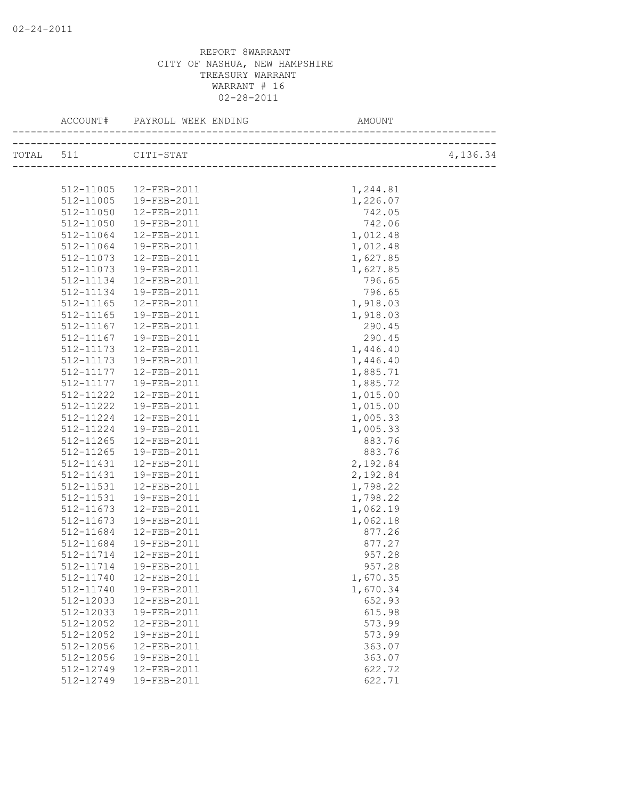| TOTAL 511 |           | CITI-STAT               |          | 4,136.34 |
|-----------|-----------|-------------------------|----------|----------|
|           |           |                         |          |          |
|           | 512-11005 | 12-FEB-2011             | 1,244.81 |          |
|           | 512-11005 | 19-FEB-2011             | 1,226.07 |          |
|           | 512-11050 | 12-FEB-2011             | 742.05   |          |
|           | 512-11050 | 19-FEB-2011             | 742.06   |          |
|           | 512-11064 | 12-FEB-2011             | 1,012.48 |          |
|           | 512-11064 | 19-FEB-2011             | 1,012.48 |          |
|           | 512-11073 | 12-FEB-2011             | 1,627.85 |          |
|           | 512-11073 | 19-FEB-2011             | 1,627.85 |          |
|           | 512-11134 | 12-FEB-2011             | 796.65   |          |
|           | 512-11134 | 19-FEB-2011             | 796.65   |          |
|           | 512-11165 | 12-FEB-2011             | 1,918.03 |          |
|           | 512-11165 | 19-FEB-2011             | 1,918.03 |          |
|           | 512-11167 | 12-FEB-2011             | 290.45   |          |
|           | 512-11167 | 19-FEB-2011             | 290.45   |          |
|           | 512-11173 | 12-FEB-2011             | 1,446.40 |          |
|           | 512-11173 | 19-FEB-2011             | 1,446.40 |          |
|           | 512-11177 | 12-FEB-2011             | 1,885.71 |          |
|           | 512-11177 | 19-FEB-2011             | 1,885.72 |          |
|           | 512-11222 | 12-FEB-2011             | 1,015.00 |          |
|           | 512-11222 | 19-FEB-2011             | 1,015.00 |          |
|           | 512-11224 | 12-FEB-2011             | 1,005.33 |          |
|           | 512-11224 | 19-FEB-2011             | 1,005.33 |          |
|           | 512-11265 | 12-FEB-2011             | 883.76   |          |
|           | 512-11265 | 19-FEB-2011             | 883.76   |          |
|           | 512-11431 | 12-FEB-2011             | 2,192.84 |          |
|           | 512-11431 | 19-FEB-2011             | 2,192.84 |          |
|           | 512-11531 | 12-FEB-2011             | 1,798.22 |          |
|           | 512-11531 | 19-FEB-2011             | 1,798.22 |          |
|           | 512-11673 | 12-FEB-2011             | 1,062.19 |          |
|           | 512-11673 | 19-FEB-2011             | 1,062.18 |          |
|           | 512-11684 | 12-FEB-2011             | 877.26   |          |
|           | 512-11684 | 19-FEB-2011             | 877.27   |          |
|           | 512-11714 | $12 - FEB - 2011$       | 957.28   |          |
|           |           | 512-11714   19-FEB-2011 | 957.28   |          |
|           | 512-11740 | 12-FEB-2011             | 1,670.35 |          |
|           | 512-11740 | 19-FEB-2011             | 1,670.34 |          |
|           | 512-12033 | 12-FEB-2011             | 652.93   |          |
|           | 512-12033 | 19-FEB-2011             | 615.98   |          |
|           | 512-12052 | 12-FEB-2011             | 573.99   |          |
|           | 512-12052 | 19-FEB-2011             | 573.99   |          |
|           | 512-12056 | 12-FEB-2011             | 363.07   |          |
|           | 512-12056 | 19-FEB-2011             | 363.07   |          |
|           | 512-12749 | 12-FEB-2011             | 622.72   |          |
|           | 512-12749 | 19-FEB-2011             | 622.71   |          |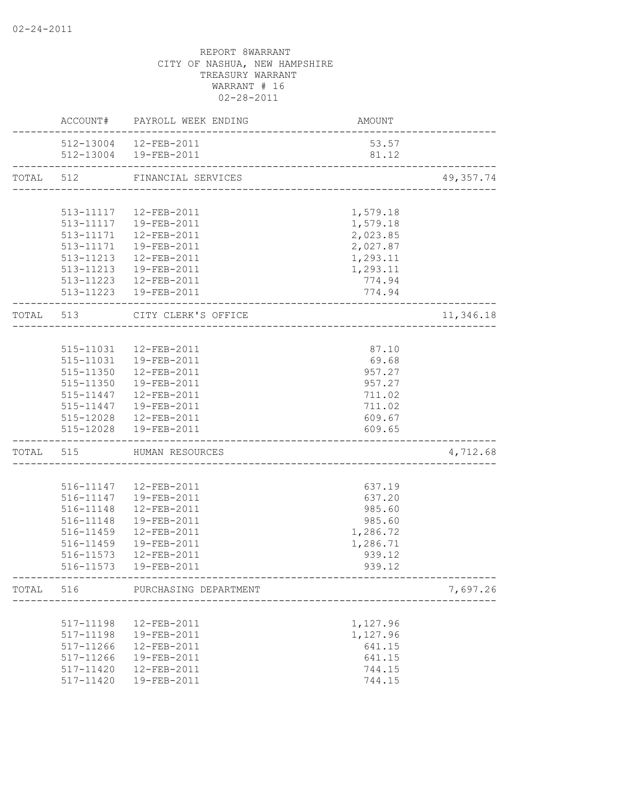|           |                   | ACCOUNT# PAYROLL WEEK ENDING<br>_____________    | AMOUNT                                |           |
|-----------|-------------------|--------------------------------------------------|---------------------------------------|-----------|
|           |                   | 512-13004 12-FEB-2011<br>512-13004  19-FEB-2011  | 53.57<br>81.12                        |           |
| TOTAL 512 |                   | FINANCIAL SERVICES                               |                                       | 49,357.74 |
|           |                   |                                                  |                                       |           |
|           |                   | 513-11117  12-FEB-2011                           | 1,579.18                              |           |
|           |                   | 513-11117  19-FEB-2011                           | 1,579.18                              |           |
|           |                   | 513-11171  12-FEB-2011                           | 2,023.85                              |           |
|           |                   | 513-11171  19-FEB-2011                           | 2,027.87                              |           |
|           |                   | 513-11213  12-FEB-2011                           | 1,293.11                              |           |
|           |                   | 513-11213  19-FEB-2011                           | 1,293.11                              |           |
|           |                   | 513-11223 12-FEB-2011                            | 774.94                                |           |
|           |                   | 513-11223  19-FEB-2011                           | 774.94                                |           |
|           |                   | TOTAL 513 CITY CLERK'S OFFICE                    |                                       | 11,346.18 |
|           |                   |                                                  |                                       |           |
|           |                   | 515-11031  12-FEB-2011                           | 87.10                                 |           |
|           |                   | 515-11031  19-FEB-2011                           | 69.68                                 |           |
|           |                   | 515-11350  12-FEB-2011                           | 957.27                                |           |
|           |                   | 515-11350  19-FEB-2011                           | 957.27                                |           |
|           |                   | 515-11447   12-FEB-2011                          | 711.02                                |           |
|           |                   | 515-11447  19-FEB-2011                           | 711.02                                |           |
|           |                   | 515-12028  12-FEB-2011<br>515-12028  19-FEB-2011 | 609.67<br>609.65                      |           |
|           | ----------------- |                                                  | _____________________________________ |           |
|           |                   | TOTAL 515 HUMAN RESOURCES                        | --------------------------            | 4,712.68  |
|           |                   | 516-11147  12-FEB-2011                           | 637.19                                |           |
|           |                   | 516-11147  19-FEB-2011                           | 637.20                                |           |
|           | 516-11148         | 12-FEB-2011                                      | 985.60                                |           |
|           | 516-11148         | 19-FEB-2011                                      | 985.60                                |           |
|           | 516-11459         | 12-FEB-2011                                      | 1,286.72                              |           |
|           | 516-11459         | 19-FEB-2011                                      | 1,286.71                              |           |
|           | 516-11573         | 12-FEB-2011                                      | 939.12                                |           |
|           |                   | 516-11573  19-FEB-2011                           | 939.12                                |           |
| TOTAL     | 516               | PURCHASING DEPARTMENT                            |                                       | 7,697.26  |
|           |                   |                                                  |                                       |           |
|           | 517-11198         | 12-FEB-2011                                      | 1,127.96                              |           |
|           | 517-11198         | 19-FEB-2011                                      | 1,127.96                              |           |
|           | 517-11266         | 12-FEB-2011                                      | 641.15                                |           |
|           | 517-11266         | 19-FEB-2011                                      | 641.15                                |           |
|           | 517-11420         | 12-FEB-2011                                      | 744.15                                |           |
|           | 517-11420         | 19-FEB-2011                                      | 744.15                                |           |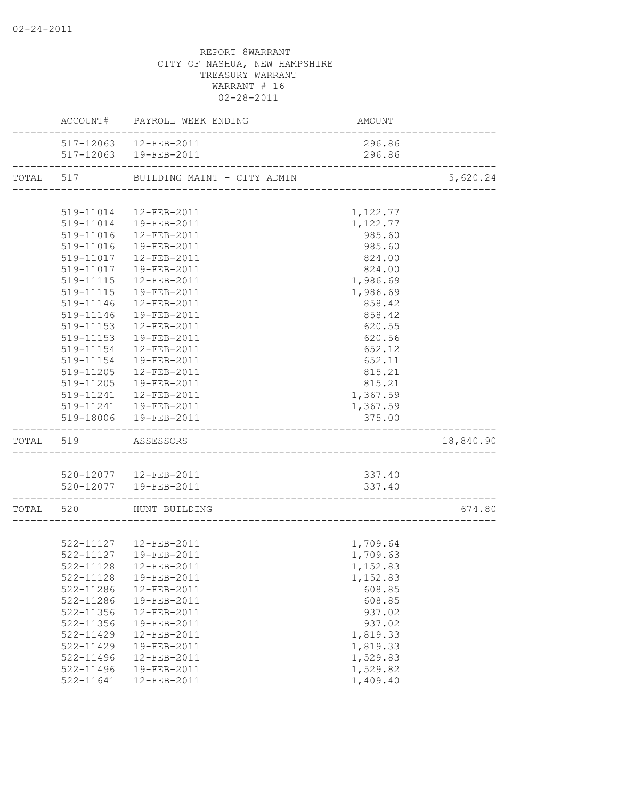|               | ACCOUNT# PAYROLL WEEK ENDING                             | AMOUNT   |           |
|---------------|----------------------------------------------------------|----------|-----------|
|               | 517-12063  12-FEB-2011                                   | 296.86   |           |
|               | 517-12063  19-FEB-2011                                   | 296.86   |           |
|               | TOTAL 517 BUILDING MAINT - CITY ADMIN                    |          | 5,620.24  |
|               |                                                          |          |           |
|               | 519-11014  12-FEB-2011                                   | 1,122.77 |           |
|               | 519-11014  19-FEB-2011                                   | 1,122.77 |           |
|               | 519-11016  12-FEB-2011                                   | 985.60   |           |
|               | 519-11016  19-FEB-2011                                   | 985.60   |           |
|               | 519-11017  12-FEB-2011                                   | 824.00   |           |
|               | 519-11017  19-FEB-2011                                   | 824.00   |           |
|               | 519-11115  12-FEB-2011                                   | 1,986.69 |           |
|               | 519-11115  19-FEB-2011                                   | 1,986.69 |           |
|               | 519-11146  12-FEB-2011                                   | 858.42   |           |
|               | 519-11146  19-FEB-2011                                   | 858.42   |           |
| 519-11153     | 12-FEB-2011                                              | 620.55   |           |
| 519-11153     | 19-FEB-2011                                              | 620.56   |           |
| 519-11154     | 12-FEB-2011                                              | 652.12   |           |
| 519-11154     | 19-FEB-2011                                              | 652.11   |           |
| 519-11205     | 12-FEB-2011                                              | 815.21   |           |
| 519-11205     | 19-FEB-2011                                              | 815.21   |           |
|               | 519-11241  12-FEB-2011                                   | 1,367.59 |           |
|               | 519-11241  19-FEB-2011                                   | 1,367.59 |           |
|               | 519-18006  19-FEB-2011                                   | 375.00   |           |
| TOTAL 519     | ASSESSORS                                                |          | 18,840.90 |
|               |                                                          |          |           |
|               | 520-12077  12-FEB-2011                                   | 337.40   |           |
|               | 520-12077  19-FEB-2011<br>______________________________ | 337.40   |           |
|               | TOTAL 520 HUNT BUILDING                                  |          | 674.80    |
|               |                                                          |          |           |
|               |                                                          | 1,709.64 |           |
|               | 522-11127  12-FEB-2011<br>522-11127  19-FEB-2011         | 1,709.63 |           |
|               | 522-11128  12-FEB-2011                                   | 1,152.83 |           |
| 522-11128     | 19-FEB-2011                                              | 1,152.83 |           |
| 522-11286     | 12-FEB-2011                                              | 608.85   |           |
| 522-11286     | 19-FEB-2011                                              | 608.85   |           |
| 522-11356     | 12-FEB-2011                                              | 937.02   |           |
| 522-11356     | 19-FEB-2011                                              | 937.02   |           |
| 522-11429     | 12-FEB-2011                                              | 1,819.33 |           |
| $522 - 11429$ | 19-FEB-2011                                              | 1,819.33 |           |
| $522 - 11496$ | 12-FEB-2011                                              | 1,529.83 |           |
| $522 - 11496$ | 19-FEB-2011                                              | 1,529.82 |           |
| 522-11641     | 12-FEB-2011                                              | 1,409.40 |           |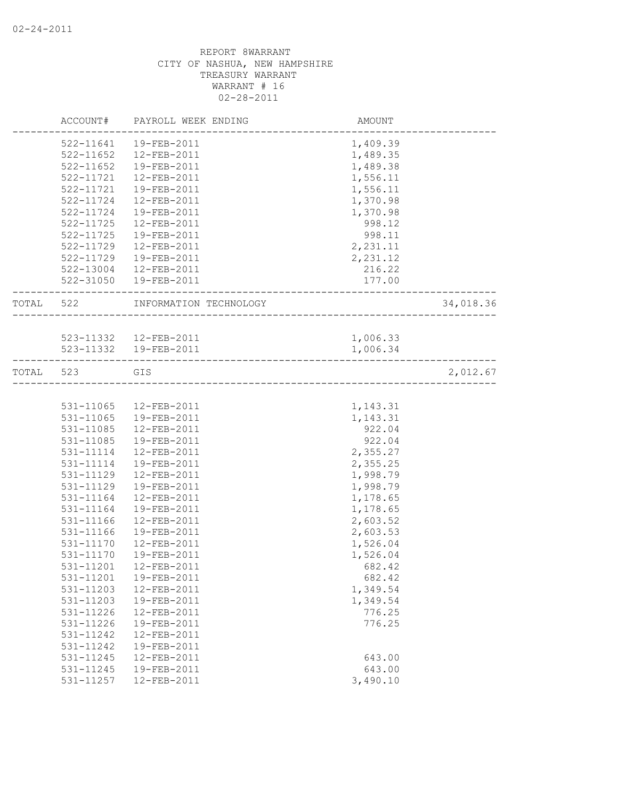|           | ACCOUNT#      | PAYROLL WEEK ENDING    | AMOUNT            |           |
|-----------|---------------|------------------------|-------------------|-----------|
|           | 522-11641     | 19-FEB-2011            | 1,409.39          |           |
|           | $522 - 11652$ | 12-FEB-2011            | 1,489.35          |           |
|           | $522 - 11652$ | 19-FEB-2011            | 1,489.38          |           |
|           | 522-11721     | 12-FEB-2011            | 1,556.11          |           |
|           | 522-11721     | 19-FEB-2011            | 1,556.11          |           |
|           | 522-11724     | 12-FEB-2011            | 1,370.98          |           |
|           | 522-11724     | 19-FEB-2011            | 1,370.98          |           |
|           | 522-11725     | 12-FEB-2011            | 998.12            |           |
|           | 522-11725     | 19-FEB-2011            | 998.11            |           |
|           | 522-11729     | 12-FEB-2011            | 2,231.11          |           |
|           | 522-11729     | 19-FEB-2011            | 2,231.12          |           |
|           | 522-13004     | 12-FEB-2011            | 216.22            |           |
|           |               | 522-31050  19-FEB-2011 | 177.00            |           |
| TOTAL 522 |               | INFORMATION TECHNOLOGY | ----------------- | 34,018.36 |
|           |               |                        |                   |           |
|           |               | 523-11332  12-FEB-2011 | 1,006.33          |           |
|           |               | 523-11332  19-FEB-2011 | 1,006.34          |           |
| TOTAL 523 |               | GIS                    |                   | 2,012.67  |
|           |               |                        |                   |           |
|           |               | 531-11065 12-FEB-2011  | 1,143.31          |           |
|           | 531-11065     | 19-FEB-2011            | 1,143.31          |           |
|           | 531-11085     | 12-FEB-2011            | 922.04            |           |
|           | 531-11085     | 19-FEB-2011            | 922.04            |           |
|           | 531-11114     | 12-FEB-2011            | 2,355.27          |           |
|           | 531-11114     | 19-FEB-2011            | 2,355.25          |           |
|           | 531-11129     | 12-FEB-2011            | 1,998.79          |           |
|           | 531-11129     | 19-FEB-2011            | 1,998.79          |           |
|           | 531-11164     | 12-FEB-2011            | 1,178.65          |           |
|           | 531-11164     | 19-FEB-2011            | 1,178.65          |           |
|           | 531-11166     | 12-FEB-2011            | 2,603.52          |           |
|           | 531-11166     | 19-FEB-2011            | 2,603.53          |           |
|           | $531 - 11170$ | 12-FEB-2011            | 1,526.04          |           |
|           | 531-11170     | 19-FEB-2011            | 1,526.04          |           |
|           | 531-11201     | 12-FEB-2011            | 682.42            |           |
|           | 531-11201     | 19-FEB-2011            | 682.42            |           |
|           | 531-11203     | 12-FEB-2011            | 1,349.54          |           |
|           | 531-11203     | 19-FEB-2011            | 1,349.54          |           |
|           | 531-11226     | 12-FEB-2011            | 776.25            |           |
|           | 531-11226     | 19-FEB-2011            | 776.25            |           |
|           | $531 - 11242$ | 12-FEB-2011            |                   |           |
|           | 531-11242     | 19-FEB-2011            |                   |           |
|           | 531-11245     | 12-FEB-2011            | 643.00            |           |
|           | 531-11245     | 19-FEB-2011            | 643.00            |           |
|           | 531-11257     | 12-FEB-2011            | 3,490.10          |           |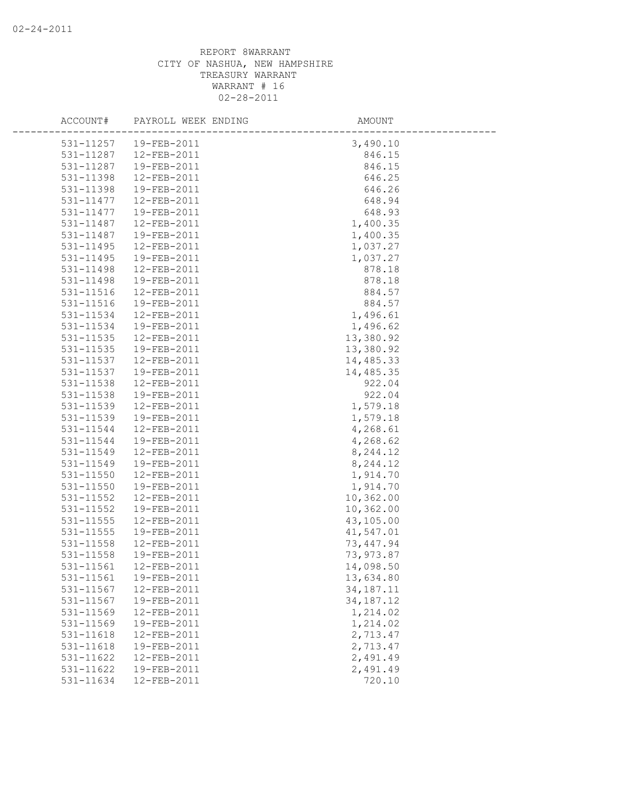| ACCOUNT#      | PAYROLL WEEK ENDING     | AMOUNT      |
|---------------|-------------------------|-------------|
|               | 531-11257   19-FEB-2011 | 3,490.10    |
| 531-11287     | 12-FEB-2011             | 846.15      |
| 531-11287     | 19-FEB-2011             | 846.15      |
| 531-11398     | 12-FEB-2011             | 646.25      |
| 531-11398     | 19-FEB-2011             | 646.26      |
| 531-11477     | 12-FEB-2011             | 648.94      |
| 531-11477     | 19-FEB-2011             | 648.93      |
| 531-11487     | 12-FEB-2011             | 1,400.35    |
| 531-11487     | 19-FEB-2011             | 1,400.35    |
| 531-11495     | 12-FEB-2011             | 1,037.27    |
| 531-11495     | 19-FEB-2011             | 1,037.27    |
| 531-11498     | 12-FEB-2011             | 878.18      |
| 531-11498     | 19-FEB-2011             | 878.18      |
| 531-11516     | 12-FEB-2011             | 884.57      |
| 531-11516     | 19-FEB-2011             | 884.57      |
| 531-11534     | 12-FEB-2011             | 1,496.61    |
| 531-11534     | 19-FEB-2011             | 1,496.62    |
| 531-11535     | 12-FEB-2011             | 13,380.92   |
| 531-11535     | 19-FEB-2011             | 13,380.92   |
| 531-11537     | 12-FEB-2011             | 14,485.33   |
| 531-11537     | 19-FEB-2011             | 14,485.35   |
| 531-11538     | 12-FEB-2011             | 922.04      |
| 531-11538     | 19-FEB-2011             | 922.04      |
| 531-11539     | 12-FEB-2011             | 1,579.18    |
| 531-11539     | 19-FEB-2011             | 1,579.18    |
| 531-11544     | 12-FEB-2011             | 4,268.61    |
| 531-11544     | 19-FEB-2011             | 4,268.62    |
| 531-11549     | 12-FEB-2011             | 8,244.12    |
| 531-11549     | 19-FEB-2011             | 8,244.12    |
| $531 - 11550$ | 12-FEB-2011             | 1,914.70    |
| 531-11550     | 19-FEB-2011             | 1,914.70    |
| 531-11552     | 12-FEB-2011             | 10,362.00   |
| 531-11552     | 19-FEB-2011             | 10,362.00   |
| 531-11555     | 12-FEB-2011             | 43,105.00   |
| 531-11555     | 19-FEB-2011             | 41,547.01   |
| 531-11558     | 12-FEB-2011             | 73, 447.94  |
| 531-11558     | 19-FEB-2011             | 73,973.87   |
| 531-11561     | 12-FEB-2011             | 14,098.50   |
| 531-11561     | 19-FEB-2011             | 13,634.80   |
| 531-11567     | 12-FEB-2011             | 34, 187. 11 |
| 531-11567     | 19-FEB-2011             | 34,187.12   |
| 531-11569     | 12-FEB-2011             | 1,214.02    |
| 531-11569     | 19-FEB-2011             | 1,214.02    |
| 531-11618     | 12-FEB-2011             | 2,713.47    |
| 531-11618     | 19-FEB-2011             | 2,713.47    |
| 531-11622     | 12-FEB-2011             | 2,491.49    |
| 531-11622     | 19-FEB-2011             | 2,491.49    |
| 531-11634     | 12-FEB-2011             | 720.10      |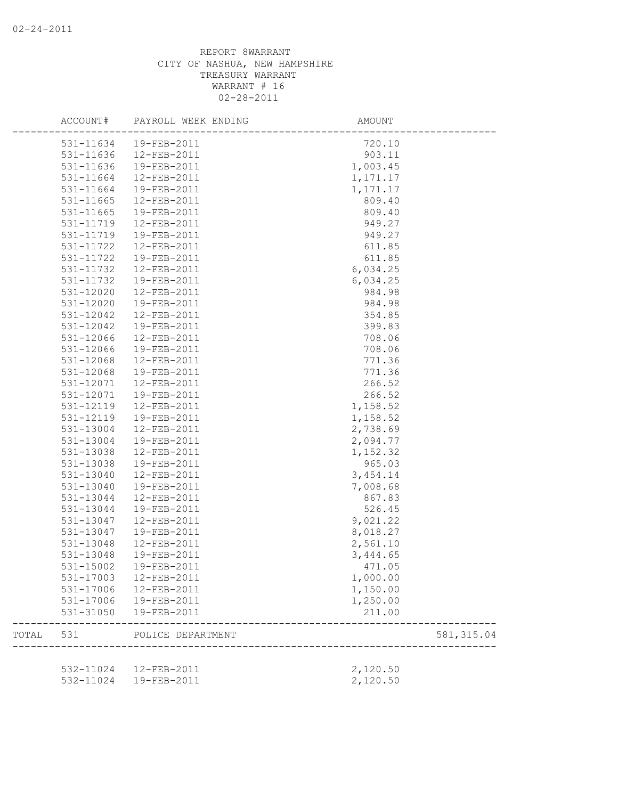|       | ACCOUNT#  | PAYROLL WEEK ENDING                              | AMOUNT             |             |
|-------|-----------|--------------------------------------------------|--------------------|-------------|
|       | 531-11634 | 19-FEB-2011                                      | 720.10             |             |
|       | 531-11636 | 12-FEB-2011                                      | 903.11             |             |
|       | 531-11636 | 19-FEB-2011                                      | 1,003.45           |             |
|       | 531-11664 | 12-FEB-2011                                      | 1,171.17           |             |
|       | 531-11664 | 19-FEB-2011                                      | 1,171.17           |             |
|       | 531-11665 | 12-FEB-2011                                      | 809.40             |             |
|       | 531-11665 | 19-FEB-2011                                      | 809.40             |             |
|       | 531-11719 | 12-FEB-2011                                      | 949.27             |             |
|       | 531-11719 | 19-FEB-2011                                      | 949.27             |             |
|       | 531-11722 | 12-FEB-2011                                      | 611.85             |             |
|       | 531-11722 | 19-FEB-2011                                      | 611.85             |             |
|       | 531-11732 | 12-FEB-2011                                      | 6,034.25           |             |
|       | 531-11732 | 19-FEB-2011                                      | 6,034.25           |             |
|       | 531-12020 | 12-FEB-2011                                      | 984.98             |             |
|       | 531-12020 | 19-FEB-2011                                      | 984.98             |             |
|       | 531-12042 | 12-FEB-2011                                      | 354.85             |             |
|       | 531-12042 | 19-FEB-2011                                      | 399.83             |             |
|       | 531-12066 | 12-FEB-2011                                      | 708.06             |             |
|       | 531-12066 | 19-FEB-2011                                      | 708.06             |             |
|       | 531-12068 | 12-FEB-2011                                      | 771.36             |             |
|       | 531-12068 | 19-FEB-2011                                      | 771.36             |             |
|       |           | 12-FEB-2011                                      | 266.52             |             |
|       | 531-12071 | 19-FEB-2011                                      | 266.52             |             |
|       | 531-12071 |                                                  |                    |             |
|       | 531-12119 | 12-FEB-2011                                      | 1,158.52           |             |
|       | 531-12119 | 19-FEB-2011                                      | 1,158.52           |             |
|       | 531-13004 | 12-FEB-2011                                      | 2,738.69           |             |
|       | 531-13004 | 19-FEB-2011                                      | 2,094.77           |             |
|       | 531-13038 | 12-FEB-2011                                      | 1,152.32           |             |
|       | 531-13038 | 19-FEB-2011                                      | 965.03             |             |
|       | 531-13040 | 12-FEB-2011                                      | 3, 454.14          |             |
|       | 531-13040 | 19-FEB-2011                                      | 7,008.68           |             |
|       | 531-13044 | 12-FEB-2011                                      | 867.83             |             |
|       | 531-13044 | 19-FEB-2011                                      | 526.45             |             |
|       | 531-13047 | 12-FEB-2011                                      | 9,021.22           |             |
|       | 531-13047 | 19-FEB-2011                                      | 8,018.27           |             |
|       | 531-13048 | 12-FEB-2011                                      | 2,561.10           |             |
|       | 531-13048 | 19-FEB-2011                                      | 3,444.65           |             |
|       | 531-15002 | 19-FEB-2011                                      | 471.05             |             |
|       | 531-17003 | 12-FEB-2011                                      | 1,000.00           |             |
|       |           | 531-17006 12-FEB-2011                            | 1,150.00           |             |
|       | 531-17006 | 19-FEB-2011                                      | 1,250.00           |             |
|       | 531-31050 | 19-FEB-2011                                      | 211.00             |             |
| TOTAL | 531       | POLICE DEPARTMENT                                | ------------------ | 581, 315.04 |
|       |           |                                                  | 2,120.50           |             |
|       |           | 532-11024  12-FEB-2011<br>532-11024  19-FEB-2011 | 2,120.50           |             |
|       |           |                                                  |                    |             |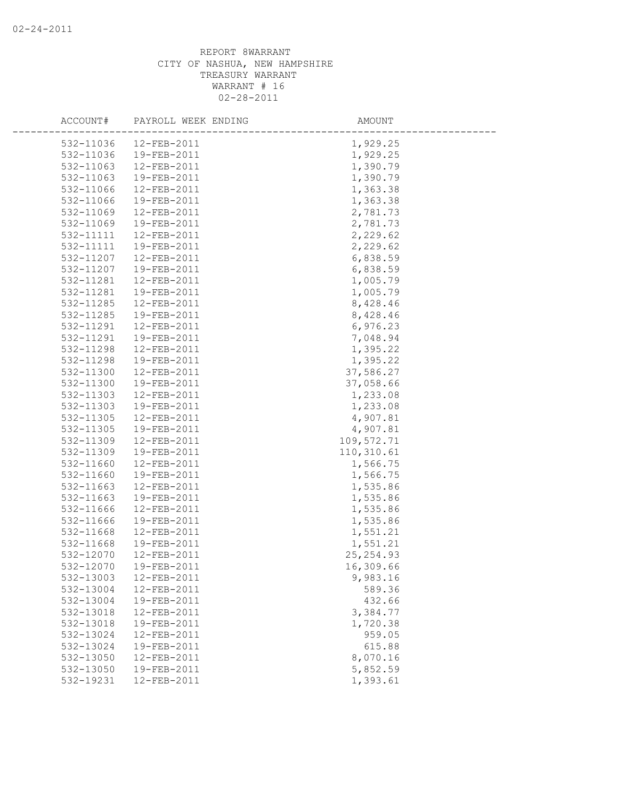| ACCOUNT#  | PAYROLL WEEK ENDING | AMOUNT     |  |
|-----------|---------------------|------------|--|
| 532-11036 | 12-FEB-2011         | 1,929.25   |  |
| 532-11036 | 19-FEB-2011         | 1,929.25   |  |
| 532-11063 | 12-FEB-2011         | 1,390.79   |  |
| 532-11063 | 19-FEB-2011         | 1,390.79   |  |
| 532-11066 | 12-FEB-2011         | 1,363.38   |  |
| 532-11066 | 19-FEB-2011         | 1,363.38   |  |
| 532-11069 | 12-FEB-2011         | 2,781.73   |  |
| 532-11069 | 19-FEB-2011         | 2,781.73   |  |
| 532-11111 | 12-FEB-2011         | 2,229.62   |  |
| 532-11111 | 19-FEB-2011         | 2,229.62   |  |
| 532-11207 | 12-FEB-2011         | 6,838.59   |  |
| 532-11207 | 19-FEB-2011         | 6,838.59   |  |
| 532-11281 | 12-FEB-2011         | 1,005.79   |  |
| 532-11281 | 19-FEB-2011         | 1,005.79   |  |
| 532-11285 | 12-FEB-2011         | 8,428.46   |  |
| 532-11285 | 19-FEB-2011         | 8,428.46   |  |
| 532-11291 | 12-FEB-2011         | 6,976.23   |  |
| 532-11291 | 19-FEB-2011         | 7,048.94   |  |
| 532-11298 | 12-FEB-2011         | 1,395.22   |  |
| 532-11298 | 19-FEB-2011         | 1,395.22   |  |
| 532-11300 | 12-FEB-2011         | 37,586.27  |  |
| 532-11300 | 19-FEB-2011         | 37,058.66  |  |
| 532-11303 | 12-FEB-2011         | 1,233.08   |  |
| 532-11303 | 19-FEB-2011         | 1,233.08   |  |
| 532-11305 | 12-FEB-2011         | 4,907.81   |  |
| 532-11305 | 19-FEB-2011         | 4,907.81   |  |
| 532-11309 | 12-FEB-2011         | 109,572.71 |  |
| 532-11309 | 19-FEB-2011         | 110,310.61 |  |
| 532-11660 | 12-FEB-2011         | 1,566.75   |  |
| 532-11660 | 19-FEB-2011         | 1,566.75   |  |
| 532-11663 | 12-FEB-2011         | 1,535.86   |  |
| 532-11663 | 19-FEB-2011         | 1,535.86   |  |
| 532-11666 | 12-FEB-2011         | 1,535.86   |  |
| 532-11666 | 19-FEB-2011         | 1,535.86   |  |
| 532-11668 | 12-FEB-2011         | 1,551.21   |  |
| 532-11668 | 19-FEB-2011         | 1,551.21   |  |
| 532-12070 | 12-FEB-2011         | 25, 254.93 |  |
| 532-12070 | 19-FEB-2011         | 16,309.66  |  |
| 532-13003 | 12-FEB-2011         | 9,983.16   |  |
| 532-13004 | 12-FEB-2011         | 589.36     |  |
| 532-13004 | 19-FEB-2011         | 432.66     |  |
| 532-13018 | 12-FEB-2011         | 3,384.77   |  |
| 532-13018 | 19-FEB-2011         | 1,720.38   |  |
| 532-13024 | 12-FEB-2011         | 959.05     |  |
| 532-13024 | 19-FEB-2011         | 615.88     |  |
| 532-13050 | 12-FEB-2011         | 8,070.16   |  |
| 532-13050 | 19-FEB-2011         | 5,852.59   |  |
| 532-19231 | 12-FEB-2011         | 1,393.61   |  |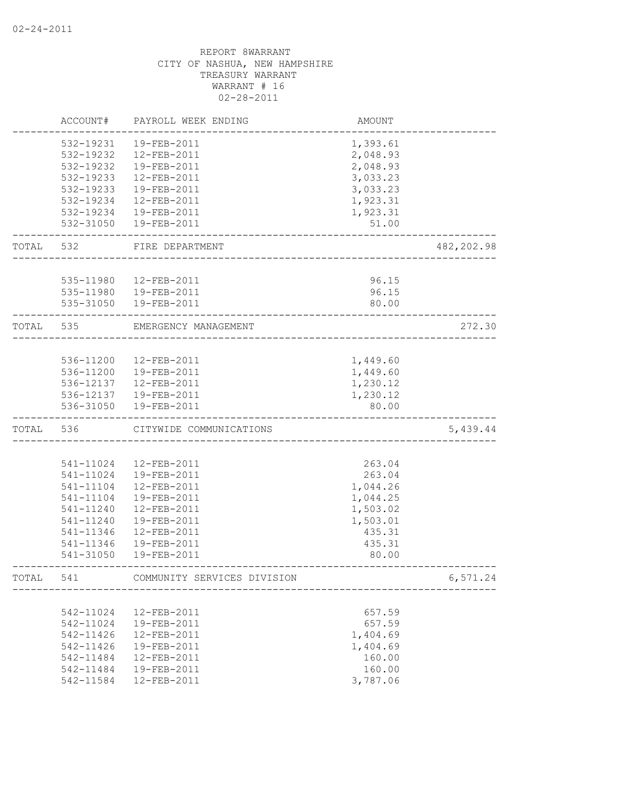|           | ACCOUNT#      | PAYROLL WEEK ENDING         | <b>AMOUNT</b> |             |
|-----------|---------------|-----------------------------|---------------|-------------|
|           | 532-19231     | 19-FEB-2011                 | 1,393.61      |             |
|           | 532-19232     | $12 - FEB - 2011$           | 2,048.93      |             |
|           | 532-19232     | 19-FEB-2011                 | 2,048.93      |             |
|           | 532-19233     | 12-FEB-2011                 | 3,033.23      |             |
|           | 532-19233     | 19-FEB-2011                 | 3,033.23      |             |
|           | 532-19234     | 12-FEB-2011                 | 1,923.31      |             |
|           | 532-19234     | 19-FEB-2011                 | 1,923.31      |             |
|           | 532-31050     | 19-FEB-2011                 | 51.00         |             |
| TOTAL 532 |               | FIRE DEPARTMENT             |               | 482, 202.98 |
|           |               |                             |               |             |
|           | 535-11980     | 12-FEB-2011                 | 96.15         |             |
|           | 535-11980     | 19-FEB-2011                 | 96.15         |             |
|           | 535-31050     | 19-FEB-2011                 | 80.00         |             |
| TOTAL     | 535           | EMERGENCY MANAGEMENT        |               | 272.30      |
|           |               |                             |               |             |
|           | 536-11200     | 12-FEB-2011                 | 1,449.60      |             |
|           | 536-11200     | 19-FEB-2011                 | 1,449.60      |             |
|           | 536-12137     | 12-FEB-2011                 | 1,230.12      |             |
|           | 536-12137     | 19-FEB-2011                 | 1,230.12      |             |
|           | 536-31050     | 19-FEB-2011                 | 80.00         |             |
| TOTAL     | 536           | CITYWIDE COMMUNICATIONS     |               | 5,439.44    |
|           |               |                             |               |             |
|           | 541-11024     | 12-FEB-2011                 | 263.04        |             |
|           | 541-11024     | 19-FEB-2011                 | 263.04        |             |
|           | 541-11104     | 12-FEB-2011                 | 1,044.26      |             |
|           | 541-11104     | 19-FEB-2011                 | 1,044.25      |             |
|           | 541-11240     | 12-FEB-2011                 | 1,503.02      |             |
|           | 541-11240     | 19-FEB-2011                 | 1,503.01      |             |
|           | 541-11346     | 12-FEB-2011                 | 435.31        |             |
|           | 541-11346     | 19-FEB-2011                 | 435.31        |             |
|           | 541-31050     | $19 - FEB - 2011$           | 80.00         |             |
| TOTAL     | 541           | COMMUNITY SERVICES DIVISION |               | 6,571.24    |
|           |               |                             |               |             |
|           | 542-11024     | 12-FEB-2011                 | 657.59        |             |
|           | 542-11024     | 19-FEB-2011                 | 657.59        |             |
|           | $542 - 11426$ | 12-FEB-2011                 | 1,404.69      |             |
|           | 542-11426     | 19-FEB-2011                 | 1,404.69      |             |
|           | 542-11484     | $12 - FEB - 2011$           | 160.00        |             |
|           | 542-11484     | 19-FEB-2011                 | 160.00        |             |
|           | 542-11584     | 12-FEB-2011                 | 3,787.06      |             |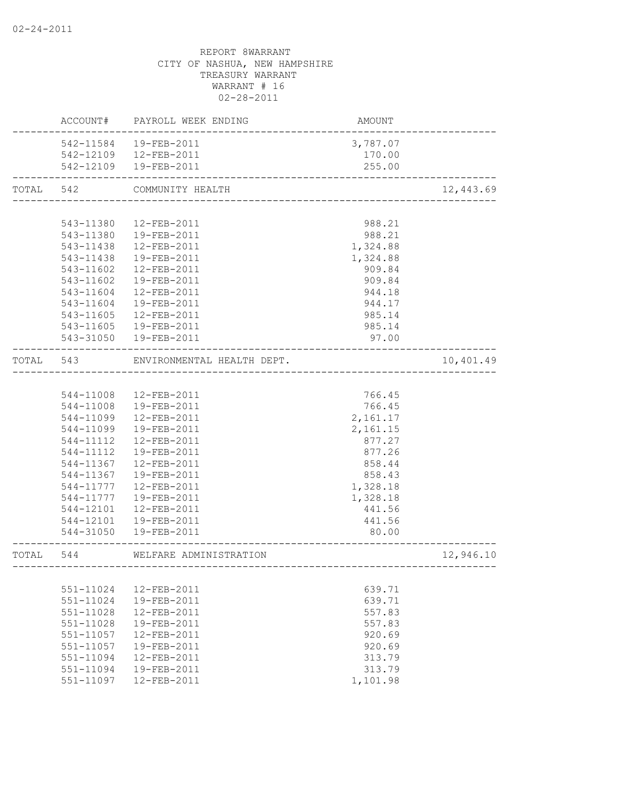|           |               | ACCOUNT# PAYROLL WEEK ENDING                           | AMOUNT   |           |
|-----------|---------------|--------------------------------------------------------|----------|-----------|
|           |               | 542-11584  19-FEB-2011                                 | 3,787.07 |           |
|           |               | 542-12109  12-FEB-2011                                 | 170.00   |           |
|           |               | 542-12109  19-FEB-2011<br>---------------------------- | 255.00   |           |
| TOTAL 542 |               | COMMUNITY HEALTH                                       |          | 12,443.69 |
|           |               |                                                        |          |           |
|           | 543-11380     | 12-FEB-2011                                            | 988.21   |           |
|           |               | 543-11380  19-FEB-2011                                 | 988.21   |           |
|           |               | 543-11438  12-FEB-2011                                 | 1,324.88 |           |
|           | 543-11438     | 19-FEB-2011                                            | 1,324.88 |           |
|           | 543-11602     | 12-FEB-2011                                            | 909.84   |           |
|           | 543-11602     | 19-FEB-2011                                            | 909.84   |           |
|           | 543-11604     | 12-FEB-2011                                            | 944.18   |           |
|           | 543-11604     | 19-FEB-2011                                            | 944.17   |           |
|           | 543-11605     | 12-FEB-2011                                            | 985.14   |           |
|           | 543-11605     | 19-FEB-2011                                            | 985.14   |           |
|           |               | 543-31050  19-FEB-2011                                 | 97.00    |           |
| TOTAL     | 543           | ENVIRONMENTAL HEALTH DEPT.                             |          | 10,401.49 |
|           |               |                                                        |          |           |
|           |               | 544-11008  12-FEB-2011                                 | 766.45   |           |
|           | 544-11008     | 19-FEB-2011                                            | 766.45   |           |
|           | 544-11099     | 12-FEB-2011                                            | 2,161.17 |           |
|           | 544-11099     | 19-FEB-2011                                            | 2,161.15 |           |
|           | 544-11112     | 12-FEB-2011                                            | 877.27   |           |
|           | 544-11112     | 19-FEB-2011                                            | 877.26   |           |
|           | 544-11367     | 12-FEB-2011                                            | 858.44   |           |
|           | 544-11367     | 19-FEB-2011                                            | 858.43   |           |
|           | 544-11777     | 12-FEB-2011                                            | 1,328.18 |           |
|           | 544-11777     | 19-FEB-2011                                            | 1,328.18 |           |
|           | 544-12101     | 12-FEB-2011                                            | 441.56   |           |
|           | 544-12101     | 19-FEB-2011                                            | 441.56   |           |
|           | 544-31050     | 19-FEB-2011                                            | 80.00    |           |
| TOTAL     | 544           | WELFARE ADMINISTRATION                                 |          | 12,946.10 |
|           |               |                                                        |          |           |
|           | 551-11024     | 12-FEB-2011                                            | 639.71   |           |
|           | 551-11024     | 19-FEB-2011                                            | 639.71   |           |
|           | $551 - 11028$ | 12-FEB-2011                                            | 557.83   |           |
|           | 551-11028     | 19-FEB-2011                                            | 557.83   |           |
|           | 551-11057     | $12 - FEB - 2011$                                      | 920.69   |           |
|           | 551-11057     | 19-FEB-2011                                            | 920.69   |           |
|           | $551 - 11094$ | $12 - FEB - 2011$                                      | 313.79   |           |
|           | $551 - 11094$ | 19-FEB-2011                                            | 313.79   |           |
|           | 551-11097     | 12-FEB-2011                                            | 1,101.98 |           |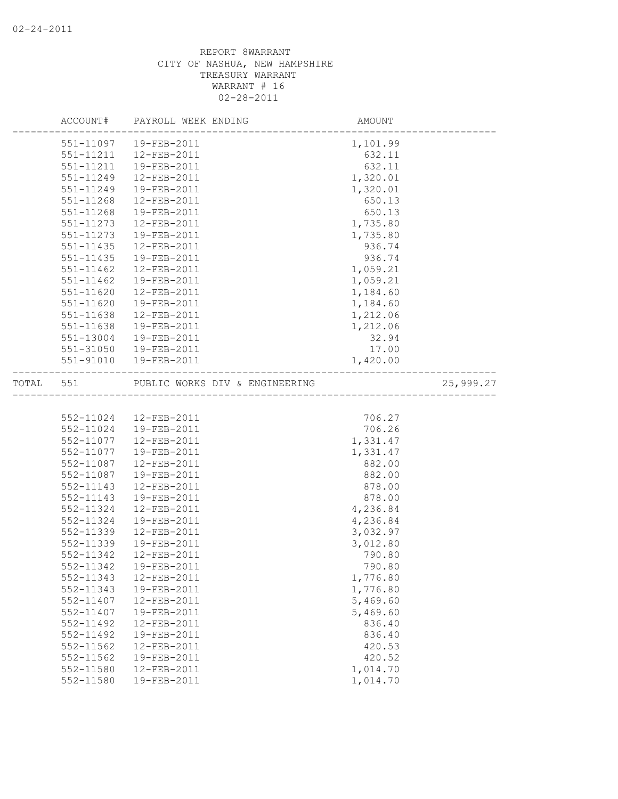|       |               | ACCOUNT# PAYROLL WEEK ENDING                                         | AMOUNT   |           |
|-------|---------------|----------------------------------------------------------------------|----------|-----------|
|       |               | 551-11097  19-FEB-2011                                               | 1,101.99 |           |
|       |               | 551-11211  12-FEB-2011                                               | 632.11   |           |
|       | 551-11211     | 19-FEB-2011                                                          | 632.11   |           |
|       | 551-11249     | 12-FEB-2011                                                          | 1,320.01 |           |
|       | 551-11249     | 19-FEB-2011                                                          | 1,320.01 |           |
|       | 551-11268     | 12-FEB-2011                                                          | 650.13   |           |
|       | 551-11268     | 19-FEB-2011                                                          | 650.13   |           |
|       | 551-11273     | 12-FEB-2011                                                          | 1,735.80 |           |
|       | 551-11273     | 19-FEB-2011                                                          | 1,735.80 |           |
|       | $551 - 11435$ | 12-FEB-2011                                                          | 936.74   |           |
|       | $551 - 11435$ | 19-FEB-2011                                                          | 936.74   |           |
|       | $551 - 11462$ | 12-FEB-2011                                                          | 1,059.21 |           |
|       | 551-11462     | 19-FEB-2011                                                          | 1,059.21 |           |
|       | 551-11620     | 12-FEB-2011                                                          | 1,184.60 |           |
|       | 551-11620     | 19-FEB-2011                                                          | 1,184.60 |           |
|       | 551-11638     | 12-FEB-2011                                                          | 1,212.06 |           |
|       | 551-11638     | 19-FEB-2011                                                          | 1,212.06 |           |
|       | 551-13004     | 19-FEB-2011                                                          | 32.94    |           |
|       | $551 - 31050$ | 19-FEB-2011                                                          | 17.00    |           |
|       |               | 551-91010  19-FEB-2011                                               | 1,420.00 |           |
| TOTAL | 551           | PUBLIC WORKS DIV & ENGINEERING<br>__________________________________ |          | 25,999.27 |
|       |               |                                                                      |          |           |
|       |               | 552-11024  12-FEB-2011                                               | 706.27   |           |
|       | 552-11024     | 19-FEB-2011                                                          | 706.26   |           |
|       | 552-11077     | 12-FEB-2011                                                          | 1,331.47 |           |
|       | 552-11077     | 19-FEB-2011                                                          | 1,331.47 |           |
|       | 552-11087     | 12-FEB-2011                                                          | 882.00   |           |
|       | 552-11087     | 19-FEB-2011                                                          | 882.00   |           |
|       | 552-11143     | 12-FEB-2011                                                          | 878.00   |           |
|       | 552-11143     | 19-FEB-2011                                                          | 878.00   |           |
|       | 552-11324     | 12-FEB-2011                                                          | 4,236.84 |           |
|       | 552-11324     | 19-FEB-2011                                                          | 4,236.84 |           |
|       | 552-11339     | 12-FEB-2011                                                          | 3,032.97 |           |
|       | 552-11339     | 19-FEB-2011                                                          | 3,012.80 |           |
|       | 552-11342     | 12-FEB-2011                                                          | 790.80   |           |
|       |               |                                                                      | 790.80   |           |
|       | 552-11343     | 12-FEB-2011                                                          | 1,776.80 |           |
|       | 552-11343     | 19-FEB-2011                                                          | 1,776.80 |           |
|       | 552-11407     | 12-FEB-2011                                                          | 5,469.60 |           |
|       | 552-11407     | 19-FEB-2011                                                          | 5,469.60 |           |
|       | 552-11492     | 12-FEB-2011                                                          | 836.40   |           |
|       | 552-11492     | 19-FEB-2011                                                          | 836.40   |           |
|       | $552 - 11562$ | 12-FEB-2011                                                          | 420.53   |           |
|       | 552-11562     | 19-FEB-2011                                                          | 420.52   |           |
|       | 552-11580     | 12-FEB-2011                                                          | 1,014.70 |           |
|       | 552-11580     | 19-FEB-2011                                                          | 1,014.70 |           |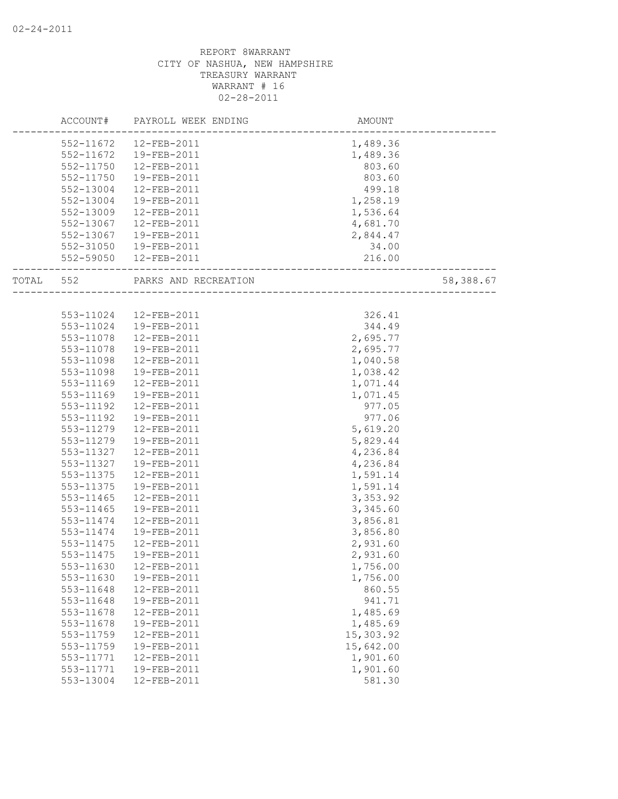|       | ACCOUNT#  | PAYROLL WEEK ENDING    | AMOUNT                    |           |
|-------|-----------|------------------------|---------------------------|-----------|
|       |           | 552-11672  12-FEB-2011 | 1,489.36                  |           |
|       |           | 552-11672  19-FEB-2011 | 1,489.36                  |           |
|       | 552-11750 | 12-FEB-2011            | 803.60                    |           |
|       | 552-11750 | 19-FEB-2011            | 803.60                    |           |
|       | 552-13004 | 12-FEB-2011            | 499.18                    |           |
|       | 552-13004 | 19-FEB-2011            | 1,258.19                  |           |
|       | 552-13009 | 12-FEB-2011            | 1,536.64                  |           |
|       | 552-13067 | 12-FEB-2011            |                           |           |
|       |           | 19-FEB-2011            | 4,681.70<br>2,844.47      |           |
|       | 552-13067 |                        |                           |           |
|       |           | 552-31050 19-FEB-2011  | 34.00<br>216.00           |           |
|       |           | 552-59050  12-FEB-2011 |                           |           |
| TOTAL | 552       | PARKS AND RECREATION   | \<br>-------------------- | 58,388.67 |
|       |           |                        |                           |           |
|       |           | 553-11024  12-FEB-2011 | 326.41                    |           |
|       | 553-11024 | 19-FEB-2011            | 344.49                    |           |
|       | 553-11078 | 12-FEB-2011            | 2,695.77                  |           |
|       | 553-11078 | 19-FEB-2011            | 2,695.77                  |           |
|       | 553-11098 | 12-FEB-2011            | 1,040.58                  |           |
|       | 553-11098 | 19-FEB-2011            | 1,038.42                  |           |
|       | 553-11169 | 12-FEB-2011            | 1,071.44                  |           |
|       | 553-11169 | 19-FEB-2011            | 1,071.45                  |           |
|       | 553-11192 | $12 - FEB - 2011$      | 977.05                    |           |
|       | 553-11192 | 19-FEB-2011            | 977.06                    |           |
|       | 553-11279 | 12-FEB-2011            | 5,619.20                  |           |
|       | 553-11279 | 19-FEB-2011            | 5,829.44                  |           |
|       | 553-11327 | 12-FEB-2011            | 4,236.84                  |           |
|       | 553-11327 | 19-FEB-2011            | 4,236.84                  |           |
|       | 553-11375 | 12-FEB-2011            | 1,591.14                  |           |
|       | 553-11375 | 19-FEB-2011            | 1,591.14                  |           |
|       | 553-11465 | 12-FEB-2011            | 3,353.92                  |           |
|       | 553-11465 | 19-FEB-2011            | 3,345.60                  |           |
|       | 553-11474 | $12 - FEB - 2011$      | 3,856.81                  |           |
|       | 553-11474 | 19-FEB-2011            | 3,856.80                  |           |
|       | 553-11475 | 12-FEB-2011            | 2,931.60                  |           |
|       | 553-11475 | 19-FEB-2011            | 2,931.60                  |           |
|       | 553-11630 | 12-FEB-2011            | 1,756.00                  |           |
|       | 553-11630 | 19-FEB-2011            | 1,756.00                  |           |
|       | 553-11648 | 12-FEB-2011            | 860.55                    |           |
|       | 553-11648 | 19-FEB-2011            | 941.71                    |           |
|       | 553-11678 | 12-FEB-2011            | 1,485.69                  |           |
|       | 553-11678 | 19-FEB-2011            | 1,485.69                  |           |
|       | 553-11759 | 12-FEB-2011            | 15,303.92                 |           |
|       | 553-11759 | 19-FEB-2011            | 15,642.00                 |           |
|       | 553-11771 | 12-FEB-2011            | 1,901.60                  |           |
|       | 553-11771 | 19-FEB-2011            | 1,901.60                  |           |
|       | 553-13004 | 12-FEB-2011            | 581.30                    |           |
|       |           |                        |                           |           |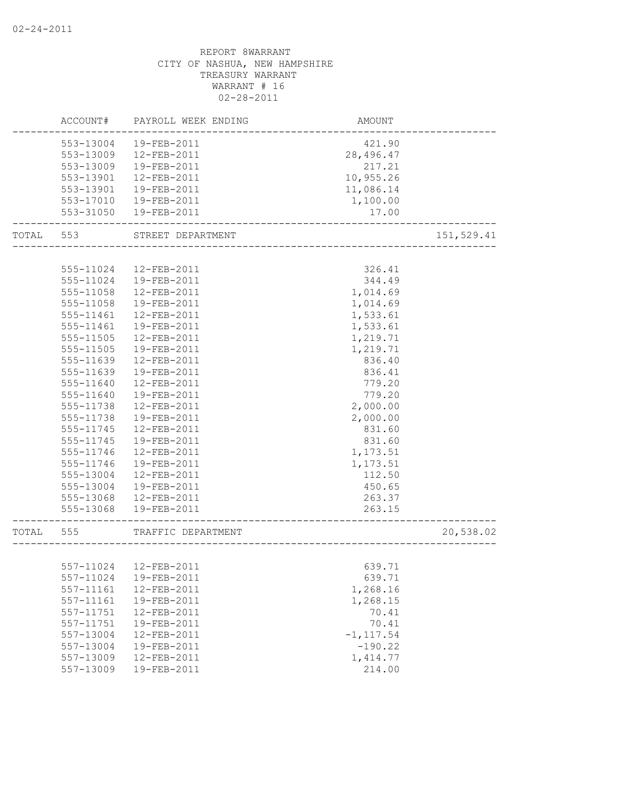|       | ACCOUNT#               | PAYROLL WEEK ENDING        | AMOUNT                    |            |
|-------|------------------------|----------------------------|---------------------------|------------|
|       | 553-13004              | 19-FEB-2011                | 421.90                    |            |
|       | 553-13009              | 12-FEB-2011                | 28,496.47                 |            |
|       | 553-13009              | 19-FEB-2011                | 217.21                    |            |
|       | 553-13901              | 12-FEB-2011                | 10,955.26                 |            |
|       | 553-13901              | 19-FEB-2011                | 11,086.14                 |            |
|       | 553-17010              | 19-FEB-2011                | 1,100.00                  |            |
|       | 553-31050              | 19-FEB-2011                | 17.00                     |            |
| TOTAL | 553                    | STREET DEPARTMENT          |                           | 151,529.41 |
|       |                        |                            |                           |            |
|       | 555-11024              | 12-FEB-2011                | 326.41                    |            |
|       | 555-11024              | 19-FEB-2011                | 344.49                    |            |
|       | 555-11058              | 12-FEB-2011                | 1,014.69                  |            |
|       | 555-11058              | 19-FEB-2011                | 1,014.69                  |            |
|       | 555-11461              | 12-FEB-2011                | 1,533.61                  |            |
|       | 555-11461              | 19-FEB-2011                | 1,533.61                  |            |
|       | 555-11505              | 12-FEB-2011                | 1,219.71                  |            |
|       | 555-11505              | 19-FEB-2011                | 1,219.71                  |            |
|       | 555-11639              | 12-FEB-2011                | 836.40                    |            |
|       | 555-11639              | 19-FEB-2011                | 836.41                    |            |
|       | 555-11640              | 12-FEB-2011                | 779.20                    |            |
|       | 555-11640              | 19-FEB-2011                | 779.20                    |            |
|       | 555-11738              | 12-FEB-2011                | 2,000.00                  |            |
|       | 555-11738              | 19-FEB-2011                | 2,000.00                  |            |
|       | 555-11745              | 12-FEB-2011                | 831.60                    |            |
|       | 555-11745              | 19-FEB-2011                | 831.60                    |            |
|       | 555-11746              | 12-FEB-2011<br>19-FEB-2011 | 1,173.51                  |            |
|       | 555-11746              |                            | 1,173.51                  |            |
|       | 555-13004<br>555-13004 | 12-FEB-2011<br>19-FEB-2011 | 112.50<br>450.65          |            |
|       | 555-13068              | 12-FEB-2011                | 263.37                    |            |
|       |                        | 555-13068  19-FEB-2011     | 263.15                    |            |
|       |                        |                            |                           |            |
| TOTAL | 555                    | TRAFFIC DEPARTMENT         |                           | 20,538.02  |
|       |                        |                            |                           |            |
|       |                        | 557-11024  12-FEB-2011     | 639.71                    |            |
|       | 557-11024              | 19-FEB-2011                | 639.71                    |            |
|       | 557-11161              | 12-FEB-2011<br>19-FEB-2011 | 1,268.16                  |            |
|       | 557-11161              |                            | 1,268.15                  |            |
|       | 557-11751              | 12-FEB-2011                | 70.41                     |            |
|       | 557-11751              | 19-FEB-2011                | 70.41                     |            |
|       | 557-13004<br>557-13004 | 12-FEB-2011<br>19-FEB-2011 | $-1, 117.54$<br>$-190.22$ |            |
|       | 557-13009              | 12-FEB-2011                | 1, 414.77                 |            |
|       | 557-13009              | 19-FEB-2011                | 214.00                    |            |
|       |                        |                            |                           |            |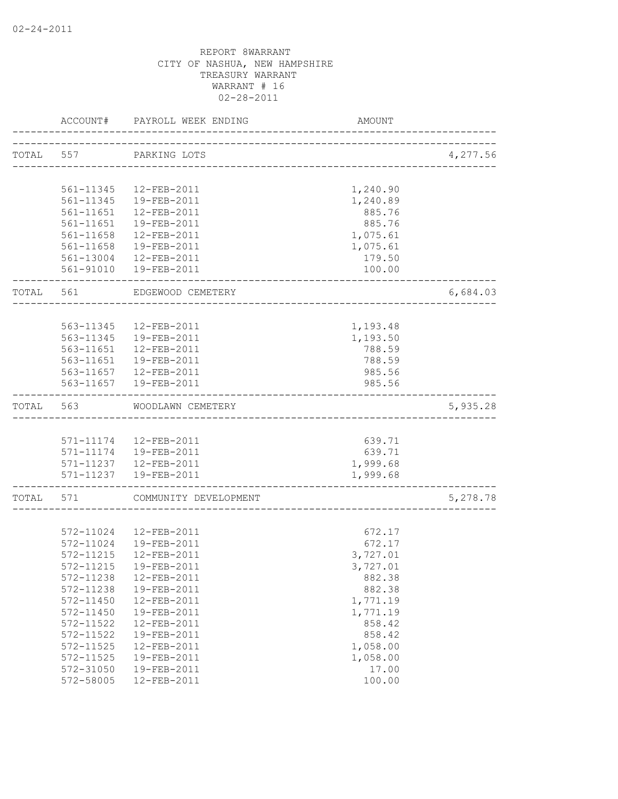|           | ACCOUNT#  | PAYROLL WEEK ENDING    | AMOUNT                            |          |
|-----------|-----------|------------------------|-----------------------------------|----------|
| TOTAL 557 |           | PARKING LOTS           |                                   | 4,277.56 |
|           |           |                        | _________________________________ |          |
|           | 561-11345 | 12-FEB-2011            | 1,240.90                          |          |
|           | 561-11345 | 19-FEB-2011            | 1,240.89                          |          |
|           | 561-11651 | 12-FEB-2011            | 885.76                            |          |
|           | 561-11651 | 19-FEB-2011            | 885.76                            |          |
|           | 561-11658 | 12-FEB-2011            | 1,075.61                          |          |
|           | 561-11658 | 19-FEB-2011            | 1,075.61                          |          |
|           |           | 561-13004  12-FEB-2011 | 179.50                            |          |
|           |           | 561-91010  19-FEB-2011 | 100.00                            |          |
| TOTAL 561 |           | EDGEWOOD CEMETERY      |                                   | 6,684.03 |
|           |           |                        |                                   |          |
|           | 563-11345 | 12-FEB-2011            | 1,193.48                          |          |
|           | 563-11345 | 19-FEB-2011            | 1,193.50                          |          |
|           | 563-11651 | 12-FEB-2011            | 788.59                            |          |
|           |           | 563-11651  19-FEB-2011 | 788.59                            |          |
|           |           | 563-11657  12-FEB-2011 | 985.56                            |          |
|           |           | 563-11657  19-FEB-2011 | 985.56                            |          |
| TOTAL 563 |           | WOODLAWN CEMETERY      |                                   | 5,935.28 |
|           |           |                        |                                   |          |
|           |           | 571-11174  12-FEB-2011 | 639.71                            |          |
|           |           | 571-11174  19-FEB-2011 | 639.71                            |          |
|           |           | 571-11237  12-FEB-2011 | 1,999.68                          |          |
|           |           | 571-11237  19-FEB-2011 | 1,999.68                          |          |
| TOTAL 571 |           | COMMUNITY DEVELOPMENT  |                                   | 5,278.78 |
|           |           |                        |                                   |          |
|           | 572-11024 | 12-FEB-2011            | 672.17                            |          |
|           | 572-11024 | 19-FEB-2011            | 672.17                            |          |
|           | 572-11215 | 12-FEB-2011            | 3,727.01                          |          |
|           | 572-11215 | 19-FEB-2011            | 3,727.01                          |          |
|           | 572-11238 | 12-FEB-2011            | 882.38                            |          |
|           | 572-11238 | 19-FEB-2011            | 882.38                            |          |
|           | 572-11450 | 12-FEB-2011            | 1,771.19                          |          |
|           | 572-11450 | 19-FEB-2011            | 1,771.19                          |          |
|           | 572-11522 | 12-FEB-2011            | 858.42                            |          |
|           | 572-11522 | 19-FEB-2011            | 858.42                            |          |
|           | 572-11525 | 12-FEB-2011            | 1,058.00                          |          |
|           | 572-11525 | 19-FEB-2011            | 1,058.00                          |          |
|           | 572-31050 | 19-FEB-2011            | 17.00                             |          |
|           | 572-58005 | 12-FEB-2011            | 100.00                            |          |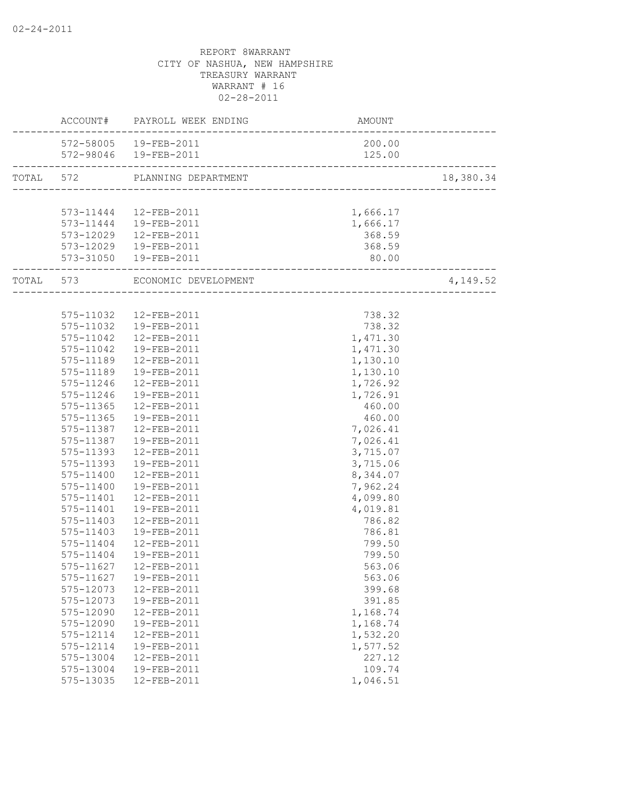|           | ACCOUNT# PAYROLL WEEK ENDING   | AMOUNT<br>------------------------ |           |
|-----------|--------------------------------|------------------------------------|-----------|
|           | 572-58005  19-FEB-2011         | 200.00                             |           |
|           | 572-98046  19-FEB-2011         | 125.00                             |           |
|           | TOTAL 572 PLANNING DEPARTMENT  |                                    | 18,380.34 |
|           |                                |                                    |           |
|           | 573-11444  12-FEB-2011         | 1,666.17                           |           |
|           | 573-11444   19-FEB-2011        | 1,666.17                           |           |
|           | 573-12029  12-FEB-2011         | 368.59                             |           |
|           | 573-12029  19-FEB-2011         | 368.59                             |           |
|           | 573-31050  19-FEB-2011         | 80.00<br>------------------------  |           |
|           | TOTAL 573 ECONOMIC DEVELOPMENT | ________________________           | 4,149.52  |
|           |                                |                                    |           |
|           | 575-11032  12-FEB-2011         | 738.32                             |           |
|           | 575-11032  19-FEB-2011         | 738.32                             |           |
|           | 575-11042  12-FEB-2011         | 1,471.30                           |           |
|           | 575-11042  19-FEB-2011         | 1,471.30                           |           |
|           | 575-11189  12-FEB-2011         | 1,130.10                           |           |
|           | 575-11189  19-FEB-2011         | 1,130.10                           |           |
| 575-11246 | 12-FEB-2011                    | 1,726.92                           |           |
| 575-11246 | 19-FEB-2011                    | 1,726.91                           |           |
| 575-11365 | 12-FEB-2011                    | 460.00                             |           |
| 575-11365 | 19-FEB-2011                    | 460.00                             |           |
| 575-11387 | 12-FEB-2011                    | 7,026.41                           |           |
| 575-11387 | 19-FEB-2011                    | 7,026.41                           |           |
| 575-11393 | 12-FEB-2011                    | 3,715.07                           |           |
| 575-11393 | 19-FEB-2011                    | 3,715.06                           |           |
| 575-11400 | 12-FEB-2011                    | 8,344.07                           |           |
| 575-11400 | 19-FEB-2011                    | 7,962.24                           |           |
| 575-11401 | 12-FEB-2011                    | 4,099.80                           |           |
| 575-11401 | 19-FEB-2011                    | 4,019.81                           |           |
| 575-11403 | 12-FEB-2011                    | 786.82                             |           |
| 575-11403 | 19-FEB-2011                    | 786.81                             |           |
| 575-11404 | 12-FEB-2011                    | 799.50                             |           |
| 575-11404 | 19-FEB-2011                    | 799.50                             |           |
|           | 575-11627  12-FEB-2011         | 563.06                             |           |
| 575-11627 | 19-FEB-2011                    | 563.06                             |           |
| 575-12073 | 12-FEB-2011                    | 399.68                             |           |
| 575-12073 | 19-FEB-2011                    | 391.85                             |           |
| 575-12090 | 12-FEB-2011                    | 1,168.74                           |           |
| 575-12090 | 19-FEB-2011                    | 1,168.74                           |           |
| 575-12114 | 12-FEB-2011                    | 1,532.20                           |           |
| 575-12114 | 19-FEB-2011                    | 1,577.52                           |           |
| 575-13004 | 12-FEB-2011                    | 227.12                             |           |
| 575-13004 | 19-FEB-2011                    | 109.74                             |           |
| 575-13035 | 12-FEB-2011                    | 1,046.51                           |           |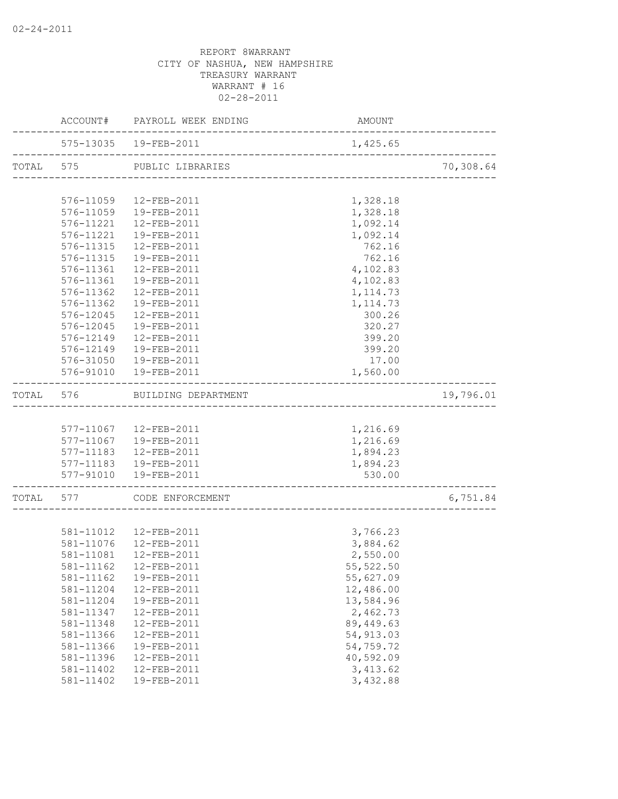|           |           | ACCOUNT# PAYROLL WEEK ENDING | AMOUNT                                |           |
|-----------|-----------|------------------------------|---------------------------------------|-----------|
|           |           | 575-13035 19-FEB-2011        | 1,425.65                              |           |
|           |           | TOTAL 575 PUBLIC LIBRARIES   | ------------------------------------- | 70,308.64 |
|           |           |                              |                                       |           |
|           |           | 576-11059 12-FEB-2011        | 1,328.18                              |           |
|           |           | 576-11059  19-FEB-2011       | 1,328.18                              |           |
|           | 576-11221 | 12-FEB-2011                  | 1,092.14                              |           |
|           |           | 576-11221  19-FEB-2011       | 1,092.14                              |           |
|           |           | 576-11315  12-FEB-2011       | 762.16                                |           |
|           |           | 576-11315  19-FEB-2011       | 762.16                                |           |
|           |           | 576-11361  12-FEB-2011       | 4,102.83                              |           |
|           |           | 576-11361  19-FEB-2011       | 4,102.83                              |           |
|           | 576-11362 | 12-FEB-2011                  | 1, 114.73                             |           |
|           | 576-11362 | 19-FEB-2011                  | 1, 114.73                             |           |
|           | 576-12045 | 12-FEB-2011                  | 300.26                                |           |
|           | 576-12045 | 19-FEB-2011                  | 320.27                                |           |
|           | 576-12149 | 12-FEB-2011                  | 399.20                                |           |
|           | 576-12149 | 19-FEB-2011                  | 399.20                                |           |
|           |           | 576-31050  19-FEB-2011       | 17.00                                 |           |
|           |           | 576-91010  19-FEB-2011       | 1,560.00                              |           |
| TOTAL 576 |           | BUILDING DEPARTMENT          |                                       | 19,796.01 |
|           |           |                              |                                       |           |
|           |           | 577-11067  12-FEB-2011       | 1,216.69                              |           |
|           |           | 577-11067  19-FEB-2011       | 1,216.69                              |           |
|           |           | 577-11183  12-FEB-2011       | 1,894.23                              |           |
|           |           | 577-11183  19-FEB-2011       | 1,894.23                              |           |
|           |           | 577-91010  19-FEB-2011       | 530.00                                |           |
|           |           | TOTAL 577 CODE ENFORCEMENT   | ------------------------------------  | 6,751.84  |
|           |           |                              |                                       |           |
|           |           | 581-11012  12-FEB-2011       | 3,766.23                              |           |
|           |           | 581-11076  12-FEB-2011       | 3,884.62                              |           |
|           |           | 581-11081  12-FEB-2011       | 2,550.00                              |           |
|           |           | 581-11162    12-FEB-2011     | 55, 522.50                            |           |
|           | 581-11162 | 19-FEB-2011                  | 55,627.09                             |           |
|           | 581-11204 | 12-FEB-2011                  | 12,486.00                             |           |
|           | 581-11204 | 19-FEB-2011                  | 13,584.96                             |           |
|           | 581-11347 | 12-FEB-2011                  | 2,462.73                              |           |
|           | 581-11348 | 12-FEB-2011                  | 89, 449.63                            |           |
|           | 581-11366 | 12-FEB-2011                  | 54, 913.03                            |           |
|           | 581-11366 | 19-FEB-2011                  | 54,759.72                             |           |
|           | 581-11396 | 12-FEB-2011                  | 40,592.09                             |           |
|           | 581-11402 | 12-FEB-2011                  | 3,413.62                              |           |
|           | 581-11402 | 19-FEB-2011                  | 3,432.88                              |           |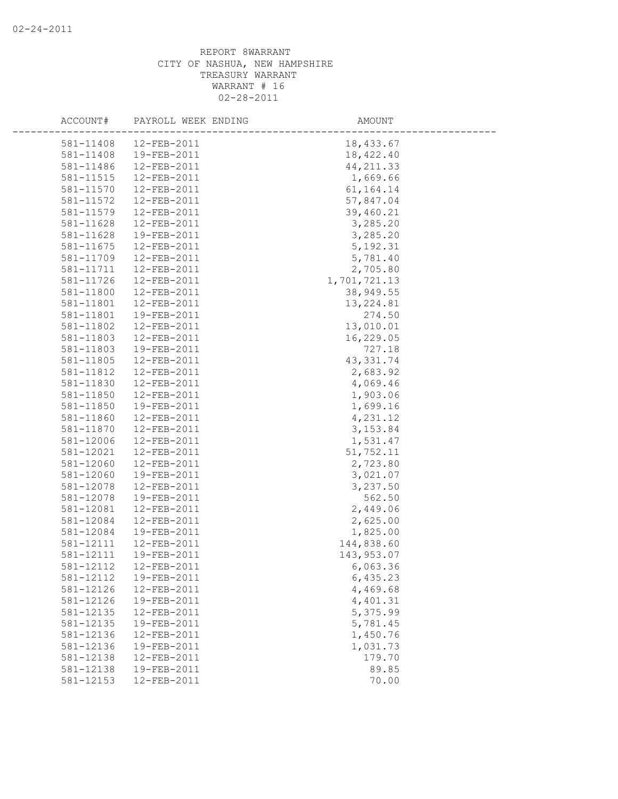| ACCOUNT#  | PAYROLL WEEK ENDING | AMOUNT       |  |
|-----------|---------------------|--------------|--|
| 581-11408 | 12-FEB-2011         | 18,433.67    |  |
| 581-11408 | 19-FEB-2011         | 18,422.40    |  |
| 581-11486 | 12-FEB-2011         | 44, 211.33   |  |
| 581-11515 | 12-FEB-2011         | 1,669.66     |  |
| 581-11570 | 12-FEB-2011         | 61, 164. 14  |  |
| 581-11572 | 12-FEB-2011         | 57,847.04    |  |
| 581-11579 | 12-FEB-2011         | 39,460.21    |  |
| 581-11628 | 12-FEB-2011         | 3,285.20     |  |
| 581-11628 | 19-FEB-2011         | 3,285.20     |  |
| 581-11675 | 12-FEB-2011         | 5, 192.31    |  |
| 581-11709 | 12-FEB-2011         | 5,781.40     |  |
| 581-11711 | 12-FEB-2011         | 2,705.80     |  |
| 581-11726 | 12-FEB-2011         | 1,701,721.13 |  |
| 581-11800 | 12-FEB-2011         | 38,949.55    |  |
| 581-11801 | 12-FEB-2011         | 13, 224.81   |  |
| 581-11801 | 19-FEB-2011         | 274.50       |  |
| 581-11802 | 12-FEB-2011         | 13,010.01    |  |
| 581-11803 | 12-FEB-2011         | 16,229.05    |  |
| 581-11803 | 19-FEB-2011         | 727.18       |  |
| 581-11805 | 12-FEB-2011         | 43, 331.74   |  |
| 581-11812 | 12-FEB-2011         | 2,683.92     |  |
| 581-11830 | 12-FEB-2011         | 4,069.46     |  |
| 581-11850 | 12-FEB-2011         | 1,903.06     |  |
| 581-11850 | 19-FEB-2011         | 1,699.16     |  |
| 581-11860 | 12-FEB-2011         | 4,231.12     |  |
| 581-11870 | 12-FEB-2011         | 3,153.84     |  |
| 581-12006 | 12-FEB-2011         | 1,531.47     |  |
| 581-12021 | 12-FEB-2011         | 51,752.11    |  |
| 581-12060 | 12-FEB-2011         | 2,723.80     |  |
| 581-12060 | 19-FEB-2011         | 3,021.07     |  |
| 581-12078 | 12-FEB-2011         | 3,237.50     |  |
| 581-12078 | 19-FEB-2011         | 562.50       |  |
| 581-12081 | 12-FEB-2011         | 2,449.06     |  |
| 581-12084 | 12-FEB-2011         | 2,625.00     |  |
| 581-12084 | 19-FEB-2011         | 1,825.00     |  |
| 581-12111 | 12-FEB-2011         | 144,838.60   |  |
| 581-12111 | 19-FEB-2011         | 143,953.07   |  |
| 581-12112 | 12-FEB-2011         | 6,063.36     |  |
| 581-12112 | 19-FEB-2011         | 6,435.23     |  |
| 581-12126 | 12-FEB-2011         | 4,469.68     |  |
| 581-12126 | 19-FEB-2011         | 4,401.31     |  |
| 581-12135 | 12-FEB-2011         | 5,375.99     |  |
| 581-12135 | 19-FEB-2011         | 5,781.45     |  |
| 581-12136 | 12-FEB-2011         | 1,450.76     |  |
| 581-12136 | 19-FEB-2011         | 1,031.73     |  |
| 581-12138 | 12-FEB-2011         | 179.70       |  |
| 581-12138 | 19-FEB-2011         | 89.85        |  |
| 581-12153 | 12-FEB-2011         | 70.00        |  |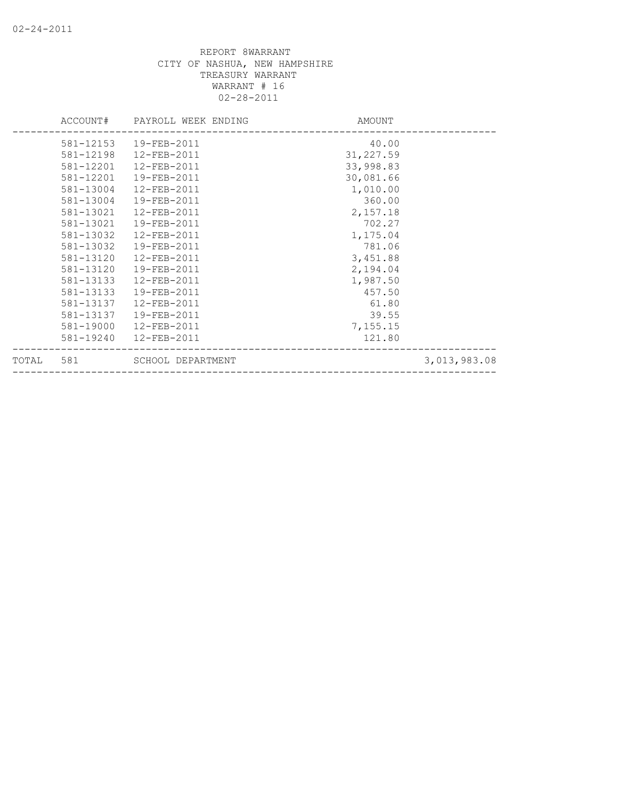| TOTAL | 581       | SCHOOL DEPARTMENT            |           | 3,013,983.08 |
|-------|-----------|------------------------------|-----------|--------------|
|       | 581-19240 | $12 - FEB - 2011$            | 121.80    |              |
|       | 581-19000 | 12-FEB-2011                  | 7,155.15  |              |
|       | 581-13137 | 19-FEB-2011                  | 39.55     |              |
|       | 581-13137 | $12 - FEB - 2011$            | 61.80     |              |
|       | 581-13133 | 19-FEB-2011                  | 457.50    |              |
|       | 581-13133 | 12-FEB-2011                  | 1,987.50  |              |
|       | 581-13120 | 19-FEB-2011                  | 2,194.04  |              |
|       | 581-13120 | 12-FEB-2011                  | 3,451.88  |              |
|       | 581-13032 | 19-FEB-2011                  | 781.06    |              |
|       | 581-13032 | 12-FEB-2011                  | 1,175.04  |              |
|       | 581-13021 | 19-FEB-2011                  | 702.27    |              |
|       | 581-13021 | 12-FEB-2011                  | 2,157.18  |              |
|       | 581-13004 | 19-FEB-2011                  | 360.00    |              |
|       | 581-13004 | 12-FEB-2011                  | 1,010.00  |              |
|       | 581-12201 | 19-FEB-2011                  | 30,081.66 |              |
|       | 581-12201 | 12-FEB-2011                  | 33,998.83 |              |
|       | 581-12198 | 12-FEB-2011                  | 31,227.59 |              |
|       | 581-12153 | 19-FEB-2011                  | 40.00     |              |
|       |           | ACCOUNT# PAYROLL WEEK ENDING | AMOUNT    |              |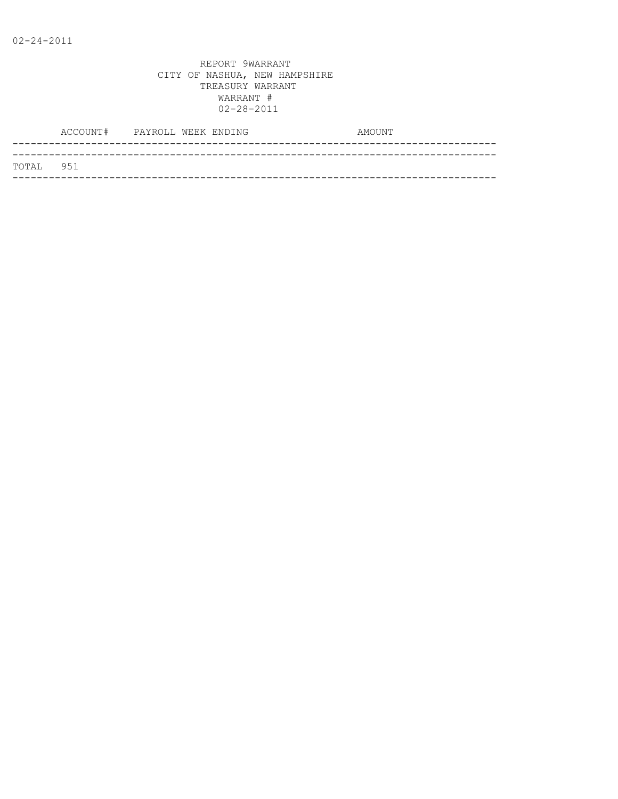|           | ACCOUNT# PAYROLL WEEK ENDING |  |  | AMOUNT |
|-----------|------------------------------|--|--|--------|
|           |                              |  |  |        |
| TOTAL 951 |                              |  |  |        |
|           |                              |  |  |        |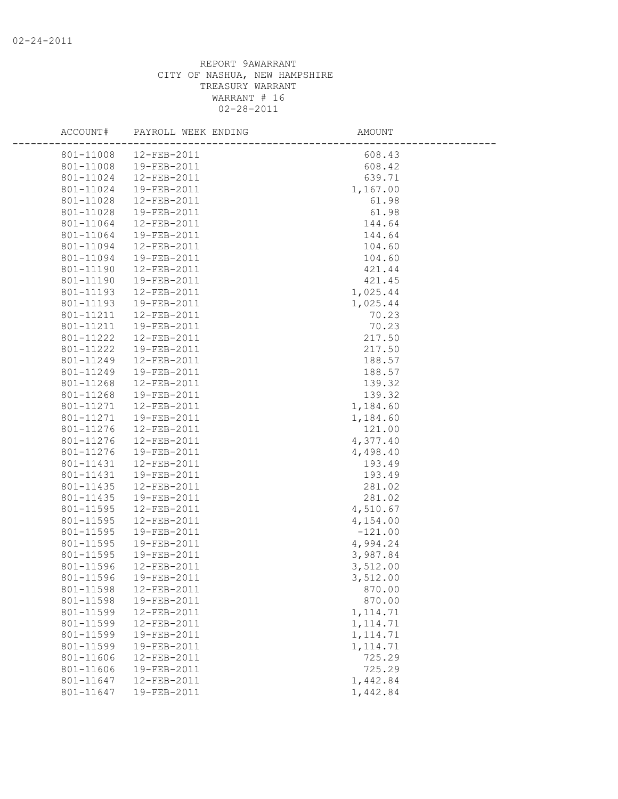| ACCOUNT#  | PAYROLL WEEK ENDING | AMOUNT    |  |
|-----------|---------------------|-----------|--|
| 801-11008 | 12-FEB-2011         | 608.43    |  |
| 801-11008 | 19-FEB-2011         | 608.42    |  |
| 801-11024 | 12-FEB-2011         | 639.71    |  |
| 801-11024 | 19-FEB-2011         | 1,167.00  |  |
| 801-11028 | 12-FEB-2011         | 61.98     |  |
| 801-11028 | 19-FEB-2011         | 61.98     |  |
| 801-11064 | 12-FEB-2011         | 144.64    |  |
| 801-11064 | 19-FEB-2011         | 144.64    |  |
| 801-11094 | 12-FEB-2011         | 104.60    |  |
| 801-11094 | 19-FEB-2011         | 104.60    |  |
| 801-11190 | 12-FEB-2011         | 421.44    |  |
| 801-11190 | 19-FEB-2011         | 421.45    |  |
| 801-11193 | 12-FEB-2011         | 1,025.44  |  |
| 801-11193 | 19-FEB-2011         | 1,025.44  |  |
| 801-11211 | 12-FEB-2011         | 70.23     |  |
| 801-11211 | 19-FEB-2011         | 70.23     |  |
| 801-11222 | 12-FEB-2011         | 217.50    |  |
| 801-11222 | 19-FEB-2011         | 217.50    |  |
| 801-11249 | 12-FEB-2011         | 188.57    |  |
| 801-11249 | 19-FEB-2011         | 188.57    |  |
| 801-11268 | 12-FEB-2011         | 139.32    |  |
| 801-11268 | 19-FEB-2011         | 139.32    |  |
| 801-11271 | 12-FEB-2011         | 1,184.60  |  |
| 801-11271 | 19-FEB-2011         | 1,184.60  |  |
| 801-11276 | 12-FEB-2011         | 121.00    |  |
| 801-11276 | 12-FEB-2011         | 4,377.40  |  |
| 801-11276 | 19-FEB-2011         | 4,498.40  |  |
| 801-11431 | 12-FEB-2011         | 193.49    |  |
| 801-11431 | 19-FEB-2011         | 193.49    |  |
| 801-11435 | 12-FEB-2011         | 281.02    |  |
| 801-11435 | 19-FEB-2011         | 281.02    |  |
| 801-11595 | 12-FEB-2011         | 4,510.67  |  |
| 801-11595 | 12-FEB-2011         | 4,154.00  |  |
| 801-11595 | 19-FEB-2011         | $-121.00$ |  |
| 801-11595 | 19-FEB-2011         | 4,994.24  |  |
| 801-11595 | 19-FEB-2011         | 3,987.84  |  |
| 801-11596 | 12-FEB-2011         | 3,512.00  |  |
| 801-11596 | 19-FEB-2011         | 3,512.00  |  |
| 801-11598 | 12-FEB-2011         | 870.00    |  |
| 801-11598 | 19-FEB-2011         | 870.00    |  |
| 801-11599 | 12-FEB-2011         | 1, 114.71 |  |
| 801-11599 | 12-FEB-2011         | 1, 114.71 |  |
| 801-11599 | 19-FEB-2011         | 1, 114.71 |  |
| 801-11599 | 19-FEB-2011         | 1, 114.71 |  |
| 801-11606 | 12-FEB-2011         | 725.29    |  |
| 801-11606 | 19-FEB-2011         | 725.29    |  |
| 801-11647 | 12-FEB-2011         | 1,442.84  |  |
| 801-11647 | 19-FEB-2011         | 1,442.84  |  |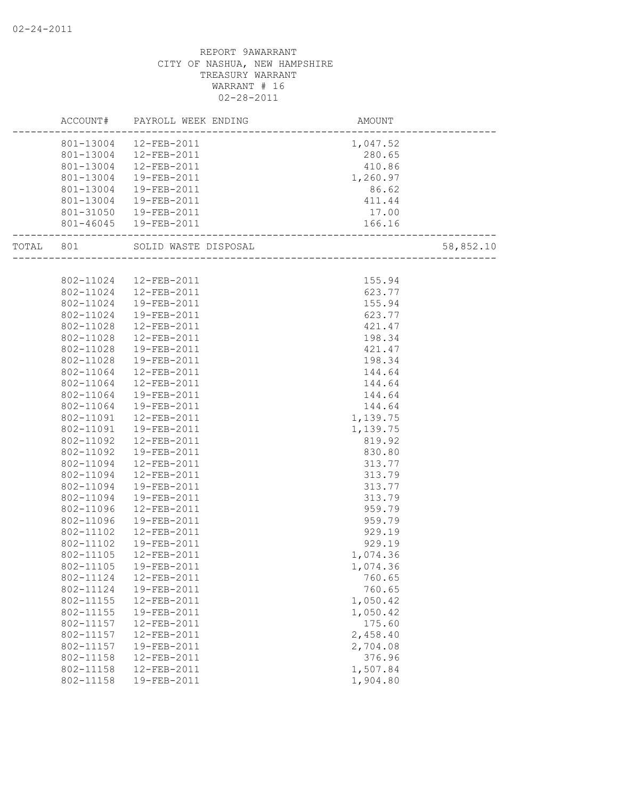|           | ACCOUNT#  | PAYROLL WEEK ENDING    | AMOUNT               |           |
|-----------|-----------|------------------------|----------------------|-----------|
|           |           | 801-13004 12-FEB-2011  | 1,047.52             |           |
|           | 801-13004 | 12-FEB-2011            | 280.65               |           |
|           | 801-13004 | 12-FEB-2011            | 410.86               |           |
|           | 801-13004 | 19-FEB-2011            | 1,260.97             |           |
|           | 801-13004 | 19-FEB-2011            | 86.62                |           |
|           | 801-13004 | 19-FEB-2011            | 411.44               |           |
|           | 801-31050 | 19-FEB-2011            | 17.00                |           |
|           |           | 801-46045  19-FEB-2011 | 166.16               |           |
| TOTAL 801 |           | SOLID WASTE DISPOSAL   |                      | 58,852.10 |
|           |           |                        | ____________________ |           |
|           | 802-11024 | 12-FEB-2011            | 155.94               |           |
|           | 802-11024 | 12-FEB-2011            | 623.77               |           |
|           | 802-11024 | 19-FEB-2011            | 155.94               |           |
|           | 802-11024 | 19-FEB-2011            | 623.77               |           |
|           | 802-11028 | 12-FEB-2011            | 421.47               |           |
|           | 802-11028 | $12 - FEB - 2011$      | 198.34               |           |
|           | 802-11028 | 19-FEB-2011            | 421.47               |           |
|           | 802-11028 | 19-FEB-2011            | 198.34               |           |
|           | 802-11064 | 12-FEB-2011            | 144.64               |           |
|           | 802-11064 | 12-FEB-2011            | 144.64               |           |
|           | 802-11064 | 19-FEB-2011            | 144.64               |           |
|           | 802-11064 | 19-FEB-2011            | 144.64               |           |
|           | 802-11091 | 12-FEB-2011            | 1,139.75             |           |
|           | 802-11091 | 19-FEB-2011            | 1,139.75             |           |
|           | 802-11092 | 12-FEB-2011            | 819.92               |           |
|           | 802-11092 | 19-FEB-2011            | 830.80               |           |
|           | 802-11094 | 12-FEB-2011            | 313.77               |           |
|           | 802-11094 | 12-FEB-2011            | 313.79               |           |
|           | 802-11094 | 19-FEB-2011            | 313.77               |           |
|           | 802-11094 | 19-FEB-2011            | 313.79               |           |
|           | 802-11096 | 12-FEB-2011            | 959.79               |           |
|           | 802-11096 | 19-FEB-2011            | 959.79               |           |
|           | 802-11102 | 12-FEB-2011            | 929.19               |           |
|           | 802-11102 | 19-FEB-2011            | 929.19               |           |
|           | 802-11105 | 12-FEB-2011            | 1,074.36             |           |
|           | 802-11105 | 19-FEB-2011            | 1,074.36             |           |
|           | 802-11124 | 12-FEB-2011            | 760.65               |           |
|           | 802-11124 | 19-FEB-2011            | 760.65               |           |
|           | 802-11155 | 12-FEB-2011            | 1,050.42             |           |
|           | 802-11155 | 19-FEB-2011            | 1,050.42             |           |
|           | 802-11157 | 12-FEB-2011            | 175.60               |           |
|           | 802-11157 | 12-FEB-2011            | 2,458.40             |           |
|           | 802-11157 | 19-FEB-2011            | 2,704.08             |           |
|           | 802-11158 | 12-FEB-2011            | 376.96               |           |
|           | 802-11158 | 12-FEB-2011            | 1,507.84             |           |
|           | 802-11158 | 19-FEB-2011            | 1,904.80             |           |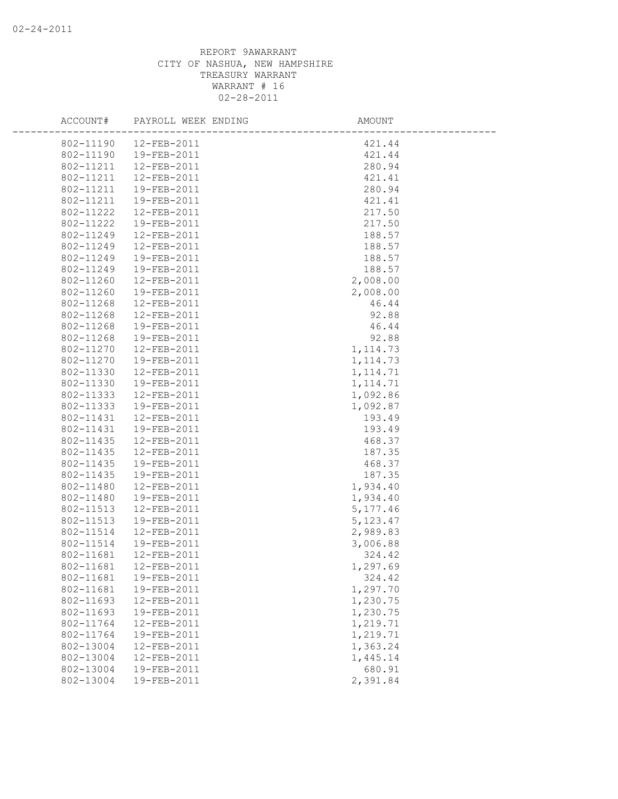| ACCOUNT#  | PAYROLL WEEK ENDING | AMOUNT    |  |
|-----------|---------------------|-----------|--|
| 802-11190 | 12-FEB-2011         | 421.44    |  |
| 802-11190 | 19-FEB-2011         | 421.44    |  |
| 802-11211 | 12-FEB-2011         | 280.94    |  |
| 802-11211 | 12-FEB-2011         | 421.41    |  |
| 802-11211 | 19-FEB-2011         | 280.94    |  |
| 802-11211 | 19-FEB-2011         | 421.41    |  |
| 802-11222 | 12-FEB-2011         | 217.50    |  |
| 802-11222 | 19-FEB-2011         | 217.50    |  |
| 802-11249 | 12-FEB-2011         | 188.57    |  |
| 802-11249 | 12-FEB-2011         | 188.57    |  |
| 802-11249 | 19-FEB-2011         | 188.57    |  |
| 802-11249 | 19-FEB-2011         | 188.57    |  |
| 802-11260 | 12-FEB-2011         | 2,008.00  |  |
| 802-11260 | 19-FEB-2011         | 2,008.00  |  |
| 802-11268 | $12 - FEB - 2011$   | 46.44     |  |
| 802-11268 | 12-FEB-2011         | 92.88     |  |
| 802-11268 | 19-FEB-2011         | 46.44     |  |
| 802-11268 | 19-FEB-2011         | 92.88     |  |
| 802-11270 | 12-FEB-2011         | 1, 114.73 |  |
| 802-11270 | 19-FEB-2011         | 1, 114.73 |  |
| 802-11330 | 12-FEB-2011         | 1, 114.71 |  |
| 802-11330 | 19-FEB-2011         | 1, 114.71 |  |
| 802-11333 | 12-FEB-2011         | 1,092.86  |  |
| 802-11333 | 19-FEB-2011         | 1,092.87  |  |
| 802-11431 | 12-FEB-2011         | 193.49    |  |
| 802-11431 | 19-FEB-2011         | 193.49    |  |
| 802-11435 | 12-FEB-2011         | 468.37    |  |
| 802-11435 | 12-FEB-2011         | 187.35    |  |
| 802-11435 | 19-FEB-2011         | 468.37    |  |
| 802-11435 | 19-FEB-2011         | 187.35    |  |
| 802-11480 | 12-FEB-2011         | 1,934.40  |  |
| 802-11480 | 19-FEB-2011         | 1,934.40  |  |
| 802-11513 | 12-FEB-2011         | 5, 177.46 |  |
| 802-11513 | 19-FEB-2011         | 5, 123.47 |  |
| 802-11514 | 12-FEB-2011         | 2,989.83  |  |
| 802-11514 | 19-FEB-2011         | 3,006.88  |  |
| 802-11681 | 12-FEB-2011         | 324.42    |  |
| 802-11681 | 12-FEB-2011         | 1,297.69  |  |
| 802-11681 | 19-FEB-2011         | 324.42    |  |
| 802-11681 | 19-FEB-2011         | 1,297.70  |  |
| 802-11693 | 12-FEB-2011         | 1,230.75  |  |
| 802-11693 | 19-FEB-2011         | 1,230.75  |  |
| 802-11764 | 12-FEB-2011         | 1,219.71  |  |
| 802-11764 | 19-FEB-2011         | 1,219.71  |  |
| 802-13004 | 12-FEB-2011         | 1,363.24  |  |
| 802-13004 | 12-FEB-2011         | 1,445.14  |  |
| 802-13004 | 19-FEB-2011         | 680.91    |  |
| 802-13004 | 19-FEB-2011         | 2,391.84  |  |
|           |                     |           |  |